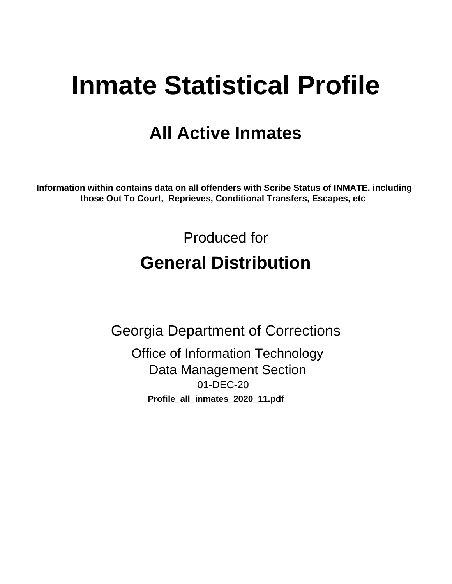# **Inmate Statistical Profile**

# **All Active Inmates**

Information within contains data on all offenders with Scribe Status of INMATE, including those Out To Court, Reprieves, Conditional Transfers, Escapes, etc

> Produced for **General Distribution**

**Georgia Department of Corrections** 

**Office of Information Technology Data Management Section** 01-DEC-20 Profile\_all\_inmates\_2020\_11.pdf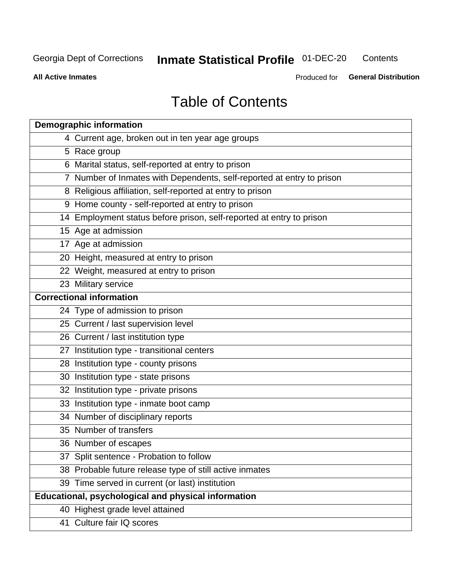#### **Inmate Statistical Profile 01-DEC-20** Contents

**All Active Inmates** 

Produced for General Distribution

# **Table of Contents**

| <b>Demographic information</b>                                        |
|-----------------------------------------------------------------------|
| 4 Current age, broken out in ten year age groups                      |
| 5 Race group                                                          |
| 6 Marital status, self-reported at entry to prison                    |
| 7 Number of Inmates with Dependents, self-reported at entry to prison |
| 8 Religious affiliation, self-reported at entry to prison             |
| 9 Home county - self-reported at entry to prison                      |
| 14 Employment status before prison, self-reported at entry to prison  |
| 15 Age at admission                                                   |
| 17 Age at admission                                                   |
| 20 Height, measured at entry to prison                                |
| 22 Weight, measured at entry to prison                                |
| 23 Military service                                                   |
| <b>Correctional information</b>                                       |
| 24 Type of admission to prison                                        |
| 25 Current / last supervision level                                   |
| 26 Current / last institution type                                    |
| 27 Institution type - transitional centers                            |
| 28 Institution type - county prisons                                  |
| 30 Institution type - state prisons                                   |
| 32 Institution type - private prisons                                 |
| 33 Institution type - inmate boot camp                                |
| 34 Number of disciplinary reports                                     |
| 35 Number of transfers                                                |
| 36 Number of escapes                                                  |
| 37 Split sentence - Probation to follow                               |
| 38 Probable future release type of still active inmates               |
| 39 Time served in current (or last) institution                       |
| <b>Educational, psychological and physical information</b>            |
| 40 Highest grade level attained                                       |
| 41 Culture fair IQ scores                                             |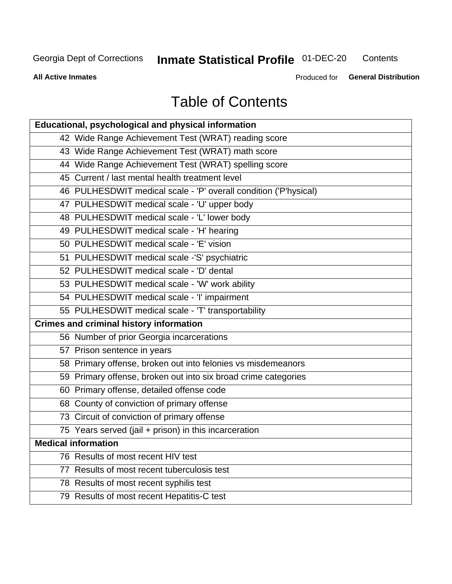# **Inmate Statistical Profile 01-DEC-20**

Contents

**All Active Inmates** 

Produced for General Distribution

# **Table of Contents**

| Educational, psychological and physical information              |
|------------------------------------------------------------------|
| 42 Wide Range Achievement Test (WRAT) reading score              |
| 43 Wide Range Achievement Test (WRAT) math score                 |
| 44 Wide Range Achievement Test (WRAT) spelling score             |
| 45 Current / last mental health treatment level                  |
| 46 PULHESDWIT medical scale - 'P' overall condition ('P'hysical) |
| 47 PULHESDWIT medical scale - 'U' upper body                     |
| 48 PULHESDWIT medical scale - 'L' lower body                     |
| 49 PULHESDWIT medical scale - 'H' hearing                        |
| 50 PULHESDWIT medical scale - 'E' vision                         |
| 51 PULHESDWIT medical scale -'S' psychiatric                     |
| 52 PULHESDWIT medical scale - 'D' dental                         |
| 53 PULHESDWIT medical scale - 'W' work ability                   |
| 54 PULHESDWIT medical scale - 'I' impairment                     |
| 55 PULHESDWIT medical scale - 'T' transportability               |
| <b>Crimes and criminal history information</b>                   |
| 56 Number of prior Georgia incarcerations                        |
| 57 Prison sentence in years                                      |
| 58 Primary offense, broken out into felonies vs misdemeanors     |
| 59 Primary offense, broken out into six broad crime categories   |
| 60 Primary offense, detailed offense code                        |
| 68 County of conviction of primary offense                       |
| 73 Circuit of conviction of primary offense                      |
| 75 Years served (jail + prison) in this incarceration            |
| <b>Medical information</b>                                       |
| 76 Results of most recent HIV test                               |
| 77 Results of most recent tuberculosis test                      |
| 78 Results of most recent syphilis test                          |
| 79 Results of most recent Hepatitis-C test                       |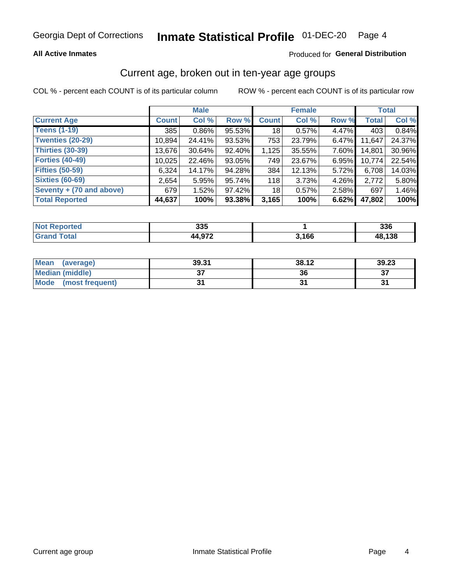# Inmate Statistical Profile 01-DEC-20 Page 4

#### **All Active Inmates**

#### Produced for General Distribution

#### Current age, broken out in ten-year age groups

COL % - percent each COUNT is of its particular column

|                          |              | <b>Male</b> |        |              | <b>Female</b> |          |              | Total  |  |
|--------------------------|--------------|-------------|--------|--------------|---------------|----------|--------------|--------|--|
| <b>Current Age</b>       | <b>Count</b> | Col %       | Row %  | <b>Count</b> | Col %         | Row %    | <b>Total</b> | Col %  |  |
| <b>Teens (1-19)</b>      | 385          | $0.86\%$    | 95.53% | 18           | 0.57%         | 4.47%    | 403          | 0.84%  |  |
| <b>Twenties (20-29)</b>  | 10,894       | 24.41%      | 93.53% | 753          | 23.79%        | $6.47\%$ | 11,647       | 24.37% |  |
| <b>Thirties (30-39)</b>  | 13,676       | 30.64%      | 92.40% | 1,125        | 35.55%        | 7.60%    | 14,801       | 30.96% |  |
| <b>Forties (40-49)</b>   | 10,025       | 22.46%      | 93.05% | 749          | 23.67%        | 6.95%    | 10,774       | 22.54% |  |
| <b>Fifties (50-59)</b>   | 6,324        | 14.17%      | 94.28% | 384          | 12.13%        | 5.72%    | 6,708        | 14.03% |  |
| <b>Sixties (60-69)</b>   | 2,654        | 5.95%       | 95.74% | 118          | 3.73%         | 4.26%    | 2,772        | 5.80%  |  |
| Seventy + (70 and above) | 679          | 1.52%       | 97.42% | 18           | 0.57%         | 2.58%    | 697          | 1.46%  |  |
| <b>Total Reported</b>    | 44,637       | 100%        | 93.38% | 3,165        | 100%          | 6.62%    | 47,802       | 100%   |  |

| <b>Not</b>     | つつに            |         | <b>220</b> |
|----------------|----------------|---------|------------|
| <b>Address</b> | ააა            |         | აახ        |
| <b>Total</b>   | $\lambda$ 0.72 | 9 4 C C | ,138       |

| <b>Mean</b><br>(average) | 39.31         | 38.12 | 39.23     |
|--------------------------|---------------|-------|-----------|
| Median (middle)          | $\sim$<br>ا پ | 36    | ^¬<br>، ب |
| Mode<br>(most frequent)  |               |       |           |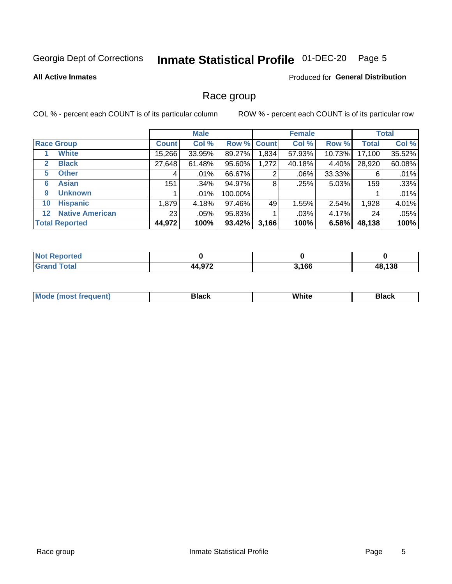#### Inmate Statistical Profile 01-DEC-20 Page 5

#### **All Active Inmates**

#### Produced for General Distribution

#### Race group

COL % - percent each COUNT is of its particular column

|                                   |                 | <b>Male</b> |             |       | <b>Female</b> |        |              | <b>Total</b> |  |
|-----------------------------------|-----------------|-------------|-------------|-------|---------------|--------|--------------|--------------|--|
| <b>Race Group</b>                 | <b>Count</b>    | Col %       | Row % Count |       | Col %         | Row %  | <b>Total</b> | Col %        |  |
| <b>White</b>                      | 15,266          | 33.95%      | 89.27%      | .834  | 57.93%        | 10.73% | 17,100       | 35.52%       |  |
| <b>Black</b><br>2                 | 27,648          | 61.48%      | 95.60%      | 1,272 | 40.18%        | 4.40%  | 28,920       | 60.08%       |  |
| <b>Other</b><br>5.                | 4               | $.01\%$     | 66.67%      | 2     | .06%          | 33.33% | 6            | .01%         |  |
| <b>Asian</b><br>6                 | 151             | .34%        | 94.97%      | 8     | .25%          | 5.03%  | 159          | .33%         |  |
| <b>Unknown</b><br>9               |                 | $.01\%$     | 100.00%     |       |               |        |              | .01%         |  |
| <b>Hispanic</b><br>10             | 1,879           | 4.18%       | 97.46%      | 49    | 1.55%         | 2.54%  | 1,928        | 4.01%        |  |
| <b>Native American</b><br>$12 \,$ | 23 <sub>1</sub> | $.05\%$     | 95.83%      |       | .03%          | 4.17%  | 24           | .05%         |  |
| <b>Total Reported</b>             | 44,972          | 100%        | 93.42%      | 3,166 | 100%          | 6.58%  | 48,138       | 100%         |  |

| norted<br>'NO.         |               |       |        |
|------------------------|---------------|-------|--------|
| <b>Total</b><br>'Grano | 072<br>44,972 | 3,166 | 48,138 |

| m | <br>w |  |
|---|-------|--|
|   |       |  |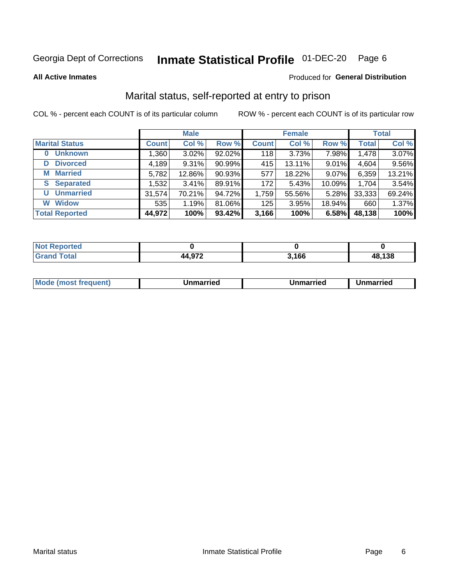#### Inmate Statistical Profile 01-DEC-20 Page 6

**All Active Inmates** 

#### **Produced for General Distribution**

### Marital status, self-reported at entry to prison

COL % - percent each COUNT is of its particular column

|                            | <b>Male</b>  |        |        | <b>Female</b> |        |        | <b>Total</b> |        |
|----------------------------|--------------|--------|--------|---------------|--------|--------|--------------|--------|
| <b>Marital Status</b>      | <b>Count</b> | Col %  | Row %  | <b>Count</b>  | Col %  | Row %  | <b>Total</b> | Col %  |
| <b>Unknown</b><br>$\bf{0}$ | 1,360        | 3.02%  | 92.02% | 118           | 3.73%  | 7.98%  | 1,478        | 3.07%  |
| <b>Divorced</b><br>D       | 4,189        | 9.31%  | 90.99% | 415           | 13.11% | 9.01%  | 4,604        | 9.56%  |
| <b>Married</b><br>М        | 5,782        | 12.86% | 90.93% | 577           | 18.22% | 9.07%  | 6,359        | 13.21% |
| <b>Separated</b><br>S      | 1,532        | 3.41%  | 89.91% | 172           | 5.43%  | 10.09% | 1,704        | 3.54%  |
| <b>Unmarried</b><br>U      | 31,574       | 70.21% | 94.72% | 1,759         | 55.56% | 5.28%  | 33,333       | 69.24% |
| <b>Widow</b><br>W          | 535          | 1.19%  | 81.06% | 125           | 3.95%  | 18.94% | 660          | 1.37%  |
| <b>Total Reported</b>      | 44,972       | 100%   | 93.42% | 3,166         | 100%   | 6.58%  | 48,138       | 100%   |

| N <sub>of</sub><br>≅norted in |       |       |        |
|-------------------------------|-------|-------|--------|
| <b>Total</b>                  | 1.070 | 3.166 | 48,138 |

|--|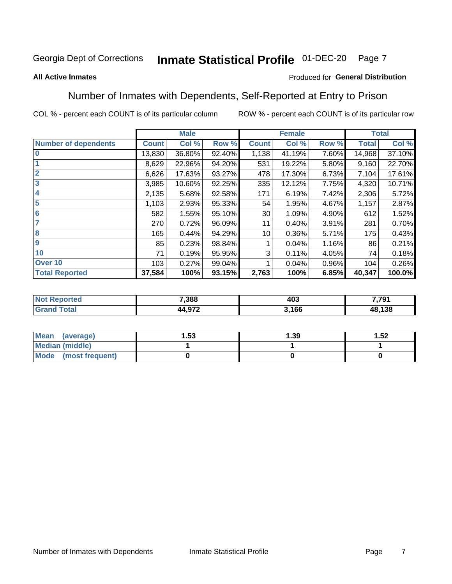#### Inmate Statistical Profile 01-DEC-20 Page 7

#### **All Active Inmates**

#### Produced for General Distribution

#### Number of Inmates with Dependents, Self-Reported at Entry to Prison

COL % - percent each COUNT is of its particular column

|                             | <b>Male</b>  |        | <b>Female</b> |              |        | <b>Total</b> |              |        |
|-----------------------------|--------------|--------|---------------|--------------|--------|--------------|--------------|--------|
| <b>Number of dependents</b> | <b>Count</b> | Col %  | Row %         | <b>Count</b> | Col %  | Row %        | <b>Total</b> | Col %  |
| l 0                         | 13,830       | 36.80% | 92.40%        | 1,138        | 41.19% | 7.60%        | 14,968       | 37.10% |
|                             | 8,629        | 22.96% | 94.20%        | 531          | 19.22% | 5.80%        | 9,160        | 22.70% |
| $\overline{2}$              | 6,626        | 17.63% | 93.27%        | 478          | 17.30% | 6.73%        | 7,104        | 17.61% |
| $\mathbf{3}$                | 3,985        | 10.60% | 92.25%        | 335          | 12.12% | 7.75%        | 4,320        | 10.71% |
| $\overline{\mathbf{4}}$     | 2,135        | 5.68%  | 92.58%        | 171          | 6.19%  | 7.42%        | 2,306        | 5.72%  |
| 5                           | 1,103        | 2.93%  | 95.33%        | 54           | 1.95%  | 4.67%        | 1,157        | 2.87%  |
| 6                           | 582          | 1.55%  | 95.10%        | 30           | 1.09%  | 4.90%        | 612          | 1.52%  |
| 7                           | 270          | 0.72%  | 96.09%        | 11           | 0.40%  | 3.91%        | 281          | 0.70%  |
| 8                           | 165          | 0.44%  | 94.29%        | 10           | 0.36%  | 5.71%        | 175          | 0.43%  |
| 9                           | 85           | 0.23%  | 98.84%        |              | 0.04%  | 1.16%        | 86           | 0.21%  |
| 10                          | 71           | 0.19%  | 95.95%        | 3            | 0.11%  | 4.05%        | 74           | 0.18%  |
| Over 10                     | 103          | 0.27%  | 99.04%        |              | 0.04%  | $0.96\%$     | 104          | 0.26%  |
| <b>Total Reported</b>       | 37,584       | 100%   | 93.15%        | 2,763        | 100%   | 6.85%        | 40,347       | 100.0% |

| 7,388  | د م<br>4U J<br>__ | 7 7Q1<br>. |
|--------|-------------------|------------|
| $\sim$ | 166               | 138<br>ΛΩ  |

| Mean (average)         | l.53 | 1.39 | 1.52 |
|------------------------|------|------|------|
| <b>Median (middle)</b> |      |      |      |
| Mode (most frequent)   |      |      |      |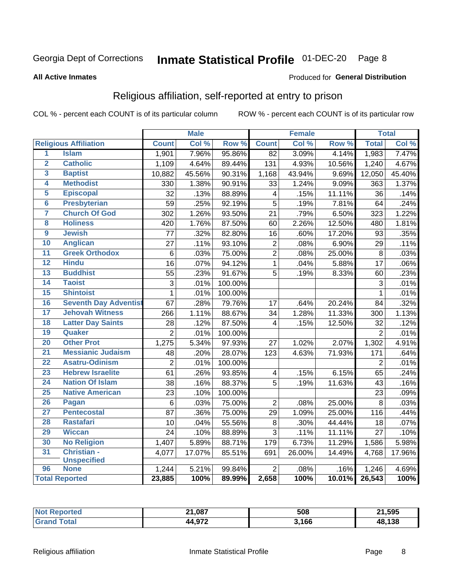#### Inmate Statistical Profile 01-DEC-20 Page 8

#### **All Active Inmates**

#### Produced for General Distribution

### Religious affiliation, self-reported at entry to prison

COL % - percent each COUNT is of its particular column

|                         |                              |                 | <b>Male</b> |         |                         | <b>Female</b> |        |                 | <b>Total</b> |
|-------------------------|------------------------------|-----------------|-------------|---------|-------------------------|---------------|--------|-----------------|--------------|
|                         | <b>Religious Affiliation</b> | <b>Count</b>    | Col %       | Row %   | <b>Count</b>            | Col %         | Row %  | <b>Total</b>    | Col %        |
| $\overline{1}$          | <b>Islam</b>                 | 1,901           | 7.96%       | 95.86%  | $\overline{82}$         | 3.09%         | 4.14%  | 1,983           | 7.47%        |
| $\overline{2}$          | <b>Catholic</b>              | 1,109           | 4.64%       | 89.44%  | 131                     | 4.93%         | 10.56% | 1,240           | 4.67%        |
| 3                       | <b>Baptist</b>               | 10,882          | 45.56%      | 90.31%  | 1,168                   | 43.94%        | 9.69%  | 12,050          | 45.40%       |
| 4                       | <b>Methodist</b>             | 330             | 1.38%       | 90.91%  | 33                      | 1.24%         | 9.09%  | 363             | 1.37%        |
| 5                       | <b>Episcopal</b>             | 32              | .13%        | 88.89%  | $\overline{\mathbf{4}}$ | .15%          | 11.11% | 36              | .14%         |
| $\overline{\bf{6}}$     | <b>Presbyterian</b>          | 59              | .25%        | 92.19%  | $\overline{5}$          | .19%          | 7.81%  | 64              | .24%         |
| 7                       | <b>Church Of God</b>         | 302             | 1.26%       | 93.50%  | 21                      | .79%          | 6.50%  | 323             | 1.22%        |
| $\overline{\mathbf{8}}$ | <b>Holiness</b>              | 420             | 1.76%       | 87.50%  | 60                      | 2.26%         | 12.50% | 480             | 1.81%        |
| $\overline{9}$          | <b>Jewish</b>                | 77              | .32%        | 82.80%  | 16                      | .60%          | 17.20% | 93              | .35%         |
| 10                      | <b>Anglican</b>              | 27              | .11%        | 93.10%  | $\overline{c}$          | .08%          | 6.90%  | 29              | .11%         |
| $\overline{11}$         | <b>Greek Orthodox</b>        | $6\phantom{1}6$ | .03%        | 75.00%  | $\overline{2}$          | .08%          | 25.00% | 8               | .03%         |
| 12                      | <b>Hindu</b>                 | $\overline{16}$ | .07%        | 94.12%  | $\overline{1}$          | .04%          | 5.88%  | $\overline{17}$ | .06%         |
| 13                      | <b>Buddhist</b>              | 55              | .23%        | 91.67%  | 5                       | .19%          | 8.33%  | 60              | .23%         |
| 14                      | <b>Taoist</b>                | 3               | .01%        | 100.00% |                         |               |        | 3               | .01%         |
| 15                      | <b>Shintoist</b>             | $\mathbf{1}$    | .01%        | 100.00% |                         |               |        | 1               | .01%         |
| 16                      | <b>Seventh Day Adventist</b> | 67              | .28%        | 79.76%  | 17                      | .64%          | 20.24% | 84              | .32%         |
| 17                      | <b>Jehovah Witness</b>       | 266             | 1.11%       | 88.67%  | 34                      | 1.28%         | 11.33% | 300             | 1.13%        |
| 18                      | <b>Latter Day Saints</b>     | 28              | .12%        | 87.50%  | 4                       | .15%          | 12.50% | 32              | .12%         |
| 19                      | Quaker                       | $\overline{2}$  | .01%        | 100.00% |                         |               |        | $\overline{2}$  | .01%         |
| 20                      | <b>Other Prot</b>            | 1,275           | 5.34%       | 97.93%  | 27                      | 1.02%         | 2.07%  | 1,302           | 4.91%        |
| 21                      | <b>Messianic Judaism</b>     | 48              | .20%        | 28.07%  | 123                     | 4.63%         | 71.93% | 171             | .64%         |
| 22                      | <b>Asatru-Odinism</b>        | $\overline{2}$  | .01%        | 100.00% |                         |               |        | $\overline{2}$  | .01%         |
| 23                      | <b>Hebrew Israelite</b>      | 61              | .26%        | 93.85%  | 4                       | .15%          | 6.15%  | 65              | .24%         |
| 24                      | <b>Nation Of Islam</b>       | 38              | .16%        | 88.37%  | 5                       | .19%          | 11.63% | 43              | .16%         |
| 25                      | <b>Native American</b>       | $\overline{23}$ | .10%        | 100.00% |                         |               |        | $\overline{23}$ | .09%         |
| 26                      | Pagan                        | $\,6$           | .03%        | 75.00%  | $\overline{2}$          | .08%          | 25.00% | 8               | .03%         |
| 27                      | <b>Pentecostal</b>           | 87              | .36%        | 75.00%  | 29                      | 1.09%         | 25.00% | 116             | .44%         |
| 28                      | <b>Rastafari</b>             | 10              | .04%        | 55.56%  | $\,8\,$                 | .30%          | 44.44% | 18              | .07%         |
| 29                      | <b>Wiccan</b>                | 24              | .10%        | 88.89%  | $\overline{3}$          | .11%          | 11.11% | $\overline{27}$ | .10%         |
| 30                      | <b>No Religion</b>           | 1,407           | 5.89%       | 88.71%  | 179                     | 6.73%         | 11.29% | 1,586           | 5.98%        |
| 31                      | Christian -                  | 4,077           | 17.07%      | 85.51%  | 691                     | 26.00%        | 14.49% | 4,768           | 17.96%       |
|                         | <b>Unspecified</b>           |                 |             |         |                         |               |        |                 |              |
| 96                      | <b>None</b>                  | 1,244           | 5.21%       | 99.84%  | $\overline{2}$          | .08%          | .16%   | 1,246           | 4.69%        |
|                         | <b>Total Reported</b>        | 23,885          | 100%        | 89.99%  | 2,658                   | 100%          | 10.01% | 26,543          | 100%         |

| тес | 1,087<br>ີ | 508   | 21,595 |
|-----|------------|-------|--------|
|     | 072<br>1 A | 3,166 | 48,138 |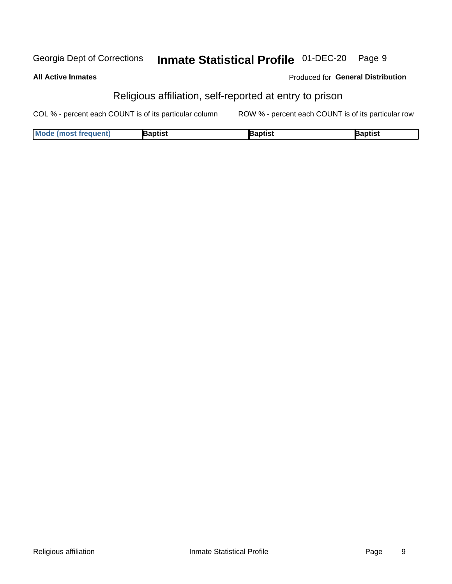#### Inmate Statistical Profile 01-DEC-20 Georgia Dept of Corrections Page 9

**All Active Inmates** 

#### Produced for General Distribution

### Religious affiliation, self-reported at entry to prison

COL % - percent each COUNT is of its particular column ROW % - percent each COUNT is of its particular row

| <b>Mode (most frequent)</b> | 3aptist | aptist | Baptist |
|-----------------------------|---------|--------|---------|
|-----------------------------|---------|--------|---------|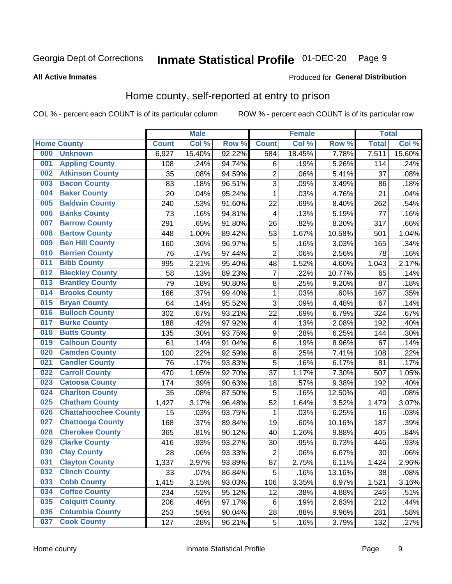#### Inmate Statistical Profile 01-DEC-20 Page 9

#### **All Active Inmates**

#### Produced for General Distribution

### Home county, self-reported at entry to prison

COL % - percent each COUNT is of its particular column

|     |                             |              | <b>Male</b> |                  |                  | <b>Female</b> |        | <b>Total</b> |        |
|-----|-----------------------------|--------------|-------------|------------------|------------------|---------------|--------|--------------|--------|
|     | <b>Home County</b>          | <b>Count</b> | Col %       | Row <sup>%</sup> | <b>Count</b>     | Col %         | Row %  | <b>Total</b> | Col %  |
| 000 | <b>Unknown</b>              | 6,927        | 15.40%      | 92.22%           | 584              | 18.45%        | 7.78%  | 7,511        | 15.60% |
| 001 | <b>Appling County</b>       | 108          | .24%        | 94.74%           | $\,6$            | .19%          | 5.26%  | 114          | .24%   |
| 002 | <b>Atkinson County</b>      | 35           | .08%        | 94.59%           | $\overline{c}$   | .06%          | 5.41%  | 37           | .08%   |
| 003 | <b>Bacon County</b>         | 83           | .18%        | 96.51%           | 3                | .09%          | 3.49%  | 86           | .18%   |
| 004 | <b>Baker County</b>         | 20           | .04%        | 95.24%           | $\mathbf{1}$     | .03%          | 4.76%  | 21           | .04%   |
| 005 | <b>Baldwin County</b>       | 240          | .53%        | 91.60%           | 22               | .69%          | 8.40%  | 262          | .54%   |
| 006 | <b>Banks County</b>         | 73           | .16%        | 94.81%           | 4                | .13%          | 5.19%  | 77           | .16%   |
| 007 | <b>Barrow County</b>        | 291          | .65%        | 91.80%           | 26               | .82%          | 8.20%  | 317          | .66%   |
| 008 | <b>Bartow County</b>        | 448          | 1.00%       | 89.42%           | 53               | 1.67%         | 10.58% | 501          | 1.04%  |
| 009 | <b>Ben Hill County</b>      | 160          | .36%        | 96.97%           | 5                | .16%          | 3.03%  | 165          | .34%   |
| 010 | <b>Berrien County</b>       | 76           | .17%        | 97.44%           | $\overline{2}$   | .06%          | 2.56%  | 78           | .16%   |
| 011 | <b>Bibb County</b>          | 995          | 2.21%       | 95.40%           | 48               | 1.52%         | 4.60%  | 1,043        | 2.17%  |
| 012 | <b>Bleckley County</b>      | 58           | .13%        | 89.23%           | 7                | .22%          | 10.77% | 65           | .14%   |
| 013 | <b>Brantley County</b>      | 79           | .18%        | 90.80%           | 8                | .25%          | 9.20%  | 87           | .18%   |
| 014 | <b>Brooks County</b>        | 166          | .37%        | 99.40%           | $\mathbf{1}$     | .03%          | .60%   | 167          | .35%   |
| 015 | <b>Bryan County</b>         | 64           | .14%        | 95.52%           | 3                | .09%          | 4.48%  | 67           | .14%   |
| 016 | <b>Bulloch County</b>       | 302          | .67%        | 93.21%           | 22               | .69%          | 6.79%  | 324          | .67%   |
| 017 | <b>Burke County</b>         | 188          | .42%        | 97.92%           | 4                | .13%          | 2.08%  | 192          | .40%   |
| 018 | <b>Butts County</b>         | 135          | .30%        | 93.75%           | $\boldsymbol{9}$ | .28%          | 6.25%  | 144          | .30%   |
| 019 | <b>Calhoun County</b>       | 61           | .14%        | 91.04%           | $\,6$            | .19%          | 8.96%  | 67           | .14%   |
| 020 | <b>Camden County</b>        | 100          | .22%        | 92.59%           | $\bf 8$          | .25%          | 7.41%  | 108          | .22%   |
| 021 | <b>Candler County</b>       | 76           | .17%        | 93.83%           | 5                | .16%          | 6.17%  | 81           | .17%   |
| 022 | <b>Carroll County</b>       | 470          | 1.05%       | 92.70%           | 37               | 1.17%         | 7.30%  | 507          | 1.05%  |
| 023 | <b>Catoosa County</b>       | 174          | .39%        | 90.63%           | 18               | .57%          | 9.38%  | 192          | .40%   |
| 024 | <b>Charlton County</b>      | 35           | .08%        | 87.50%           | 5                | .16%          | 12.50% | 40           | .08%   |
| 025 | <b>Chatham County</b>       | 1,427        | 3.17%       | 96.48%           | 52               | 1.64%         | 3.52%  | 1,479        | 3.07%  |
| 026 | <b>Chattahoochee County</b> | 15           | .03%        | 93.75%           | 1                | .03%          | 6.25%  | 16           | .03%   |
| 027 | <b>Chattooga County</b>     | 168          | .37%        | 89.84%           | 19               | .60%          | 10.16% | 187          | .39%   |
| 028 | <b>Cherokee County</b>      | 365          | .81%        | 90.12%           | 40               | 1.26%         | 9.88%  | 405          | .84%   |
| 029 | <b>Clarke County</b>        | 416          | .93%        | 93.27%           | 30               | .95%          | 6.73%  | 446          | .93%   |
| 030 | <b>Clay County</b>          | 28           | .06%        | 93.33%           | $\overline{2}$   | .06%          | 6.67%  | 30           | .06%   |
| 031 | <b>Clayton County</b>       | 1,337        | 2.97%       | 93.89%           | 87               | 2.75%         | 6.11%  | 1,424        | 2.96%  |
| 032 | <b>Clinch County</b>        | 33           | .07%        | 86.84%           | 5                | .16%          | 13.16% | 38           | .08%   |
| 033 | <b>Cobb County</b>          | 1,415        | 3.15%       | 93.03%           | 106              | 3.35%         | 6.97%  | 1,521        | 3.16%  |
| 034 | <b>Coffee County</b>        | 234          | .52%        | 95.12%           | 12               | .38%          | 4.88%  | 246          | .51%   |
| 035 | <b>Colquitt County</b>      | 206          | .46%        | 97.17%           | $\,6$            | .19%          | 2.83%  | 212          | .44%   |
| 036 | <b>Columbia County</b>      | 253          | .56%        | 90.04%           | 28               | .88%          | 9.96%  | 281          | .58%   |
| 037 | <b>Cook County</b>          | 127          | .28%        | 96.21%           | 5                | .16%          | 3.79%  | 132          | .27%   |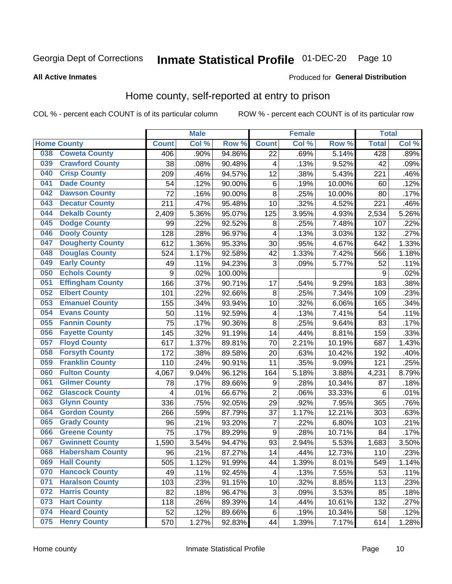**All Active Inmates** 

#### Inmate Statistical Profile 01-DEC-20 Page 10

**Produced for General Distribution** 

### Home county, self-reported at entry to prison

COL % - percent each COUNT is of its particular column

|     |                         |                     | <b>Male</b> |                  |                           | <b>Female</b> |        | <b>Total</b> |       |
|-----|-------------------------|---------------------|-------------|------------------|---------------------------|---------------|--------|--------------|-------|
|     | <b>Home County</b>      | <b>Count</b>        | Col %       | Row <sup>%</sup> | <b>Count</b>              | Col %         | Row %  | <b>Total</b> | Col % |
| 038 | <b>Coweta County</b>    | 406                 | .90%        | 94.86%           | 22                        | .69%          | 5.14%  | 428          | .89%  |
| 039 | <b>Crawford County</b>  | 38                  | .08%        | 90.48%           | 4                         | .13%          | 9.52%  | 42           | .09%  |
| 040 | <b>Crisp County</b>     | 209                 | .46%        | 94.57%           | 12                        | .38%          | 5.43%  | 221          | .46%  |
| 041 | <b>Dade County</b>      | 54                  | .12%        | 90.00%           | 6                         | .19%          | 10.00% | 60           | .12%  |
| 042 | <b>Dawson County</b>    | 72                  | .16%        | 90.00%           | 8                         | .25%          | 10.00% | 80           | .17%  |
| 043 | <b>Decatur County</b>   | 211                 | .47%        | 95.48%           | 10                        | .32%          | 4.52%  | 221          | .46%  |
| 044 | <b>Dekalb County</b>    | 2,409               | 5.36%       | 95.07%           | 125                       | 3.95%         | 4.93%  | 2,534        | 5.26% |
| 045 | <b>Dodge County</b>     | 99                  | .22%        | 92.52%           | 8                         | .25%          | 7.48%  | 107          | .22%  |
| 046 | <b>Dooly County</b>     | 128                 | .28%        | 96.97%           | $\overline{\mathbf{4}}$   | .13%          | 3.03%  | 132          | .27%  |
| 047 | <b>Dougherty County</b> | 612                 | 1.36%       | 95.33%           | 30                        | .95%          | 4.67%  | 642          | 1.33% |
| 048 | <b>Douglas County</b>   | 524                 | 1.17%       | 92.58%           | 42                        | 1.33%         | 7.42%  | 566          | 1.18% |
| 049 | <b>Early County</b>     | 49                  | .11%        | 94.23%           | 3                         | .09%          | 5.77%  | 52           | .11%  |
| 050 | <b>Echols County</b>    | $\boldsymbol{9}$    | .02%        | 100.00%          |                           |               |        | 9            | .02%  |
| 051 | <b>Effingham County</b> | 166                 | .37%        | 90.71%           | 17                        | .54%          | 9.29%  | 183          | .38%  |
| 052 | <b>Elbert County</b>    | 101                 | .22%        | 92.66%           | 8                         | .25%          | 7.34%  | 109          | .23%  |
| 053 | <b>Emanuel County</b>   | 155                 | .34%        | 93.94%           | 10                        | .32%          | 6.06%  | 165          | .34%  |
| 054 | <b>Evans County</b>     | 50                  | .11%        | 92.59%           | 4                         | .13%          | 7.41%  | 54           | .11%  |
| 055 | <b>Fannin County</b>    | 75                  | .17%        | 90.36%           | 8                         | .25%          | 9.64%  | 83           | .17%  |
| 056 | <b>Fayette County</b>   | 145                 | .32%        | 91.19%           | 14                        | .44%          | 8.81%  | 159          | .33%  |
| 057 | <b>Floyd County</b>     | 617                 | 1.37%       | 89.81%           | 70                        | 2.21%         | 10.19% | 687          | 1.43% |
| 058 | <b>Forsyth County</b>   | 172                 | .38%        | 89.58%           | 20                        | .63%          | 10.42% | 192          | .40%  |
| 059 | <b>Franklin County</b>  | 110                 | .24%        | 90.91%           | 11                        | .35%          | 9.09%  | 121          | .25%  |
| 060 | <b>Fulton County</b>    | 4,067               | 9.04%       | 96.12%           | 164                       | 5.18%         | 3.88%  | 4,231        | 8.79% |
| 061 | <b>Gilmer County</b>    | 78                  | .17%        | 89.66%           | 9                         | .28%          | 10.34% | 87           | .18%  |
| 062 | <b>Glascock County</b>  | 4                   | .01%        | 66.67%           | $\overline{2}$            | .06%          | 33.33% | 6            | .01%  |
| 063 | <b>Glynn County</b>     | 336                 | .75%        | 92.05%           | 29                        | .92%          | 7.95%  | 365          | .76%  |
| 064 | <b>Gordon County</b>    | 266                 | .59%        | 87.79%           | 37                        | 1.17%         | 12.21% | 303          | .63%  |
| 065 | <b>Grady County</b>     | 96                  | .21%        | 93.20%           | 7                         | .22%          | 6.80%  | 103          | .21%  |
| 066 | <b>Greene County</b>    | 75                  | .17%        | 89.29%           | $\boldsymbol{9}$          | .28%          | 10.71% | 84           | .17%  |
| 067 | <b>Gwinnett County</b>  | $\overline{1}, 590$ | 3.54%       | 94.47%           | 93                        | 2.94%         | 5.53%  | 1,683        | 3.50% |
| 068 | <b>Habersham County</b> | 96                  | .21%        | 87.27%           | 14                        | .44%          | 12.73% | 110          | .23%  |
| 069 | <b>Hall County</b>      | 505                 | 1.12%       | 91.99%           | 44                        | 1.39%         | 8.01%  | 549          | 1.14% |
| 070 | <b>Hancock County</b>   | 49                  | .11%        | 92.45%           | 4                         | .13%          | 7.55%  | 53           | .11%  |
| 071 | <b>Haralson County</b>  | 103                 | .23%        | 91.15%           | 10                        | .32%          | 8.85%  | 113          | .23%  |
| 072 | <b>Harris County</b>    | 82                  | .18%        | 96.47%           | $\ensuremath{\mathsf{3}}$ | .09%          | 3.53%  | 85           | .18%  |
| 073 | <b>Hart County</b>      | 118                 | .26%        | 89.39%           | 14                        | .44%          | 10.61% | 132          | .27%  |
| 074 | <b>Heard County</b>     | 52                  | .12%        | 89.66%           | 6                         | .19%          | 10.34% | 58           | .12%  |
| 075 | <b>Henry County</b>     | 570                 | 1.27%       | 92.83%           | 44                        | 1.39%         | 7.17%  | 614          | 1.28% |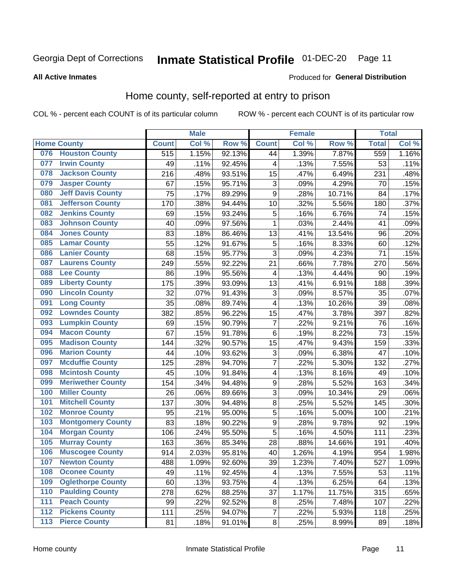### Inmate Statistical Profile 01-DEC-20 Page 11

**All Active Inmates** 

#### **Produced for General Distribution**

#### Home county, self-reported at entry to prison

COL % - percent each COUNT is of its particular column

|     |                          |                  | <b>Male</b> |        |                         | <b>Female</b> |        | <b>Total</b> |       |
|-----|--------------------------|------------------|-------------|--------|-------------------------|---------------|--------|--------------|-------|
|     | <b>Home County</b>       | <b>Count</b>     | Col %       | Row %  | <b>Count</b>            | Col %         | Row %  | <b>Total</b> | Col % |
| 076 | <b>Houston County</b>    | $\overline{515}$ | 1.15%       | 92.13% | 44                      | 1.39%         | 7.87%  | 559          | 1.16% |
| 077 | <b>Irwin County</b>      | 49               | .11%        | 92.45% | 4                       | .13%          | 7.55%  | 53           | .11%  |
| 078 | <b>Jackson County</b>    | 216              | .48%        | 93.51% | 15                      | .47%          | 6.49%  | 231          | .48%  |
| 079 | <b>Jasper County</b>     | 67               | .15%        | 95.71% | 3                       | .09%          | 4.29%  | 70           | .15%  |
| 080 | <b>Jeff Davis County</b> | 75               | .17%        | 89.29% | $\boldsymbol{9}$        | .28%          | 10.71% | 84           | .17%  |
| 081 | <b>Jefferson County</b>  | 170              | .38%        | 94.44% | 10                      | .32%          | 5.56%  | 180          | .37%  |
| 082 | <b>Jenkins County</b>    | 69               | .15%        | 93.24% | 5                       | .16%          | 6.76%  | 74           | .15%  |
| 083 | <b>Johnson County</b>    | 40               | .09%        | 97.56% | 1                       | .03%          | 2.44%  | 41           | .09%  |
| 084 | <b>Jones County</b>      | 83               | .18%        | 86.46% | 13                      | .41%          | 13.54% | 96           | .20%  |
| 085 | <b>Lamar County</b>      | 55               | .12%        | 91.67% | 5                       | .16%          | 8.33%  | 60           | .12%  |
| 086 | <b>Lanier County</b>     | 68               | .15%        | 95.77% | $\overline{3}$          | .09%          | 4.23%  | 71           | .15%  |
| 087 | <b>Laurens County</b>    | 249              | .55%        | 92.22% | 21                      | .66%          | 7.78%  | 270          | .56%  |
| 088 | <b>Lee County</b>        | 86               | .19%        | 95.56% | $\overline{\mathbf{4}}$ | .13%          | 4.44%  | 90           | .19%  |
| 089 | <b>Liberty County</b>    | 175              | .39%        | 93.09% | 13                      | .41%          | 6.91%  | 188          | .39%  |
| 090 | <b>Lincoln County</b>    | 32               | .07%        | 91.43% | $\overline{3}$          | .09%          | 8.57%  | 35           | .07%  |
| 091 | <b>Long County</b>       | 35               | .08%        | 89.74% | $\overline{\mathbf{4}}$ | .13%          | 10.26% | 39           | .08%  |
| 092 | <b>Lowndes County</b>    | 382              | .85%        | 96.22% | 15                      | .47%          | 3.78%  | 397          | .82%  |
| 093 | <b>Lumpkin County</b>    | 69               | .15%        | 90.79% | $\overline{7}$          | .22%          | 9.21%  | 76           | .16%  |
| 094 | <b>Macon County</b>      | 67               | .15%        | 91.78% | $\,6$                   | .19%          | 8.22%  | 73           | .15%  |
| 095 | <b>Madison County</b>    | 144              | .32%        | 90.57% | 15                      | .47%          | 9.43%  | 159          | .33%  |
| 096 | <b>Marion County</b>     | 44               | .10%        | 93.62% | 3                       | .09%          | 6.38%  | 47           | .10%  |
| 097 | <b>Mcduffie County</b>   | 125              | .28%        | 94.70% | 7                       | .22%          | 5.30%  | 132          | .27%  |
| 098 | <b>Mcintosh County</b>   | 45               | .10%        | 91.84% | $\overline{\mathbf{4}}$ | .13%          | 8.16%  | 49           | .10%  |
| 099 | <b>Meriwether County</b> | 154              | .34%        | 94.48% | $\boldsymbol{9}$        | .28%          | 5.52%  | 163          | .34%  |
| 100 | <b>Miller County</b>     | 26               | .06%        | 89.66% | 3                       | .09%          | 10.34% | 29           | .06%  |
| 101 | <b>Mitchell County</b>   | 137              | .30%        | 94.48% | $\bf 8$                 | .25%          | 5.52%  | 145          | .30%  |
| 102 | <b>Monroe County</b>     | 95               | .21%        | 95.00% | $\overline{5}$          | .16%          | 5.00%  | 100          | .21%  |
| 103 | <b>Montgomery County</b> | 83               | .18%        | 90.22% | $\boldsymbol{9}$        | .28%          | 9.78%  | 92           | .19%  |
| 104 | <b>Morgan County</b>     | 106              | .24%        | 95.50% | 5                       | .16%          | 4.50%  | 111          | .23%  |
| 105 | <b>Murray County</b>     | 163              | .36%        | 85.34% | 28                      | .88%          | 14.66% | 191          | .40%  |
| 106 | <b>Muscogee County</b>   | 914              | 2.03%       | 95.81% | 40                      | 1.26%         | 4.19%  | 954          | 1.98% |
| 107 | <b>Newton County</b>     | 488              | 1.09%       | 92.60% | 39                      | 1.23%         | 7.40%  | 527          | 1.09% |
| 108 | <b>Oconee County</b>     | 49               | .11%        | 92.45% | 4                       | .13%          | 7.55%  | 53           | .11%  |
| 109 | <b>Oglethorpe County</b> | 60               | .13%        | 93.75% | 4                       | .13%          | 6.25%  | 64           | .13%  |
| 110 | <b>Paulding County</b>   | 278              | .62%        | 88.25% | 37                      | 1.17%         | 11.75% | 315          | .65%  |
| 111 | <b>Peach County</b>      | 99               | .22%        | 92.52% | 8                       | .25%          | 7.48%  | 107          | .22%  |
| 112 | <b>Pickens County</b>    | 111              | .25%        | 94.07% | 7                       | .22%          | 5.93%  | 118          | .25%  |
| 113 | <b>Pierce County</b>     | 81               | .18%        | 91.01% | $\bf 8$                 | .25%          | 8.99%  | 89           | .18%  |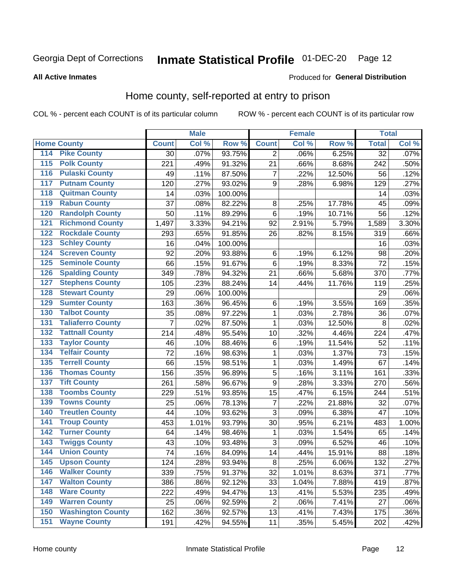### Inmate Statistical Profile 01-DEC-20 Page 12

#### **All Active Inmates**

#### Produced for General Distribution

#### Home county, self-reported at entry to prison

COL % - percent each COUNT is of its particular column

|                  |                          |                | <b>Male</b> |                  |                | <b>Female</b> |        | <b>Total</b>    |       |
|------------------|--------------------------|----------------|-------------|------------------|----------------|---------------|--------|-----------------|-------|
|                  | <b>Home County</b>       | <b>Count</b>   | Col %       | Row <sup>%</sup> | <b>Count</b>   | Col %         | Row %  | <b>Total</b>    | Col % |
| 114              | <b>Pike County</b>       | 30             | .07%        | 93.75%           | 2              | .06%          | 6.25%  | $\overline{32}$ | .07%  |
| 115              | <b>Polk County</b>       | 221            | .49%        | 91.32%           | 21             | .66%          | 8.68%  | 242             | .50%  |
| 116              | <b>Pulaski County</b>    | 49             | .11%        | 87.50%           | $\overline{7}$ | .22%          | 12.50% | 56              | .12%  |
| 117              | <b>Putnam County</b>     | 120            | .27%        | 93.02%           | 9              | .28%          | 6.98%  | 129             | .27%  |
| 118              | <b>Quitman County</b>    | 14             | .03%        | 100.00%          |                |               |        | 14              | .03%  |
| 119              | <b>Rabun County</b>      | 37             | .08%        | 82.22%           | $\bf 8$        | .25%          | 17.78% | 45              | .09%  |
| 120              | <b>Randolph County</b>   | 50             | .11%        | 89.29%           | $\,6$          | .19%          | 10.71% | 56              | .12%  |
| 121              | <b>Richmond County</b>   | 1,497          | 3.33%       | 94.21%           | 92             | 2.91%         | 5.79%  | 1,589           | 3.30% |
| 122              | <b>Rockdale County</b>   | 293            | .65%        | 91.85%           | 26             | .82%          | 8.15%  | 319             | .66%  |
| 123              | <b>Schley County</b>     | 16             | .04%        | 100.00%          |                |               |        | 16              | .03%  |
| 124              | <b>Screven County</b>    | 92             | .20%        | 93.88%           | $\,6$          | .19%          | 6.12%  | 98              | .20%  |
| 125              | <b>Seminole County</b>   | 66             | .15%        | 91.67%           | 6              | .19%          | 8.33%  | 72              | .15%  |
| 126              | <b>Spalding County</b>   | 349            | .78%        | 94.32%           | 21             | .66%          | 5.68%  | 370             | .77%  |
| 127              | <b>Stephens County</b>   | 105            | .23%        | 88.24%           | 14             | .44%          | 11.76% | 119             | .25%  |
| 128              | <b>Stewart County</b>    | 29             | .06%        | 100.00%          |                |               |        | 29              | .06%  |
| 129              | <b>Sumter County</b>     | 163            | .36%        | 96.45%           | 6              | .19%          | 3.55%  | 169             | .35%  |
| 130              | <b>Talbot County</b>     | 35             | .08%        | 97.22%           | 1              | .03%          | 2.78%  | 36              | .07%  |
| 131              | <b>Taliaferro County</b> | $\overline{7}$ | .02%        | 87.50%           | 1              | .03%          | 12.50% | 8               | .02%  |
| 132              | <b>Tattnall County</b>   | 214            | .48%        | 95.54%           | 10             | .32%          | 4.46%  | 224             | .47%  |
| 133              | <b>Taylor County</b>     | 46             | .10%        | 88.46%           | 6              | .19%          | 11.54% | 52              | .11%  |
| 134              | <b>Telfair County</b>    | 72             | .16%        | 98.63%           | $\mathbf{1}$   | .03%          | 1.37%  | 73              | .15%  |
| $\overline{135}$ | <b>Terrell County</b>    | 66             | .15%        | 98.51%           | $\mathbf{1}$   | .03%          | 1.49%  | 67              | .14%  |
| 136              | <b>Thomas County</b>     | 156            | .35%        | 96.89%           | 5              | .16%          | 3.11%  | 161             | .33%  |
| 137              | <b>Tift County</b>       | 261            | .58%        | 96.67%           | 9              | .28%          | 3.33%  | 270             | .56%  |
| 138              | <b>Toombs County</b>     | 229            | .51%        | 93.85%           | 15             | .47%          | 6.15%  | 244             | .51%  |
| 139              | <b>Towns County</b>      | 25             | .06%        | 78.13%           | $\overline{7}$ | .22%          | 21.88% | 32              | .07%  |
| 140              | <b>Treutlen County</b>   | 44             | .10%        | 93.62%           | $\mathbf{3}$   | .09%          | 6.38%  | 47              | .10%  |
| 141              | <b>Troup County</b>      | 453            | 1.01%       | 93.79%           | 30             | .95%          | 6.21%  | 483             | 1.00% |
| 142              | <b>Turner County</b>     | 64             | .14%        | 98.46%           | 1              | .03%          | 1.54%  | 65              | .14%  |
| 143              | <b>Twiggs County</b>     | 43             | .10%        | 93.48%           | 3              | .09%          | 6.52%  | 46              | .10%  |
| 144              | <b>Union County</b>      | 74             | .16%        | 84.09%           | 14             | .44%          | 15.91% | 88              | .18%  |
| 145              | <b>Upson County</b>      | 124            | .28%        | 93.94%           | $\bf 8$        | .25%          | 6.06%  | 132             | .27%  |
| 146              | <b>Walker County</b>     | 339            | .75%        | 91.37%           | 32             | 1.01%         | 8.63%  | 371             | .77%  |
| 147              | <b>Walton County</b>     | 386            | .86%        | 92.12%           | 33             | 1.04%         | 7.88%  | 419             | .87%  |
| 148              | <b>Ware County</b>       | 222            | .49%        | 94.47%           | 13             | .41%          | 5.53%  | 235             | .49%  |
| 149              | <b>Warren County</b>     | 25             | .06%        | 92.59%           | $\overline{2}$ | .06%          | 7.41%  | 27              | .06%  |
| 150              | <b>Washington County</b> | 162            | .36%        | 92.57%           | 13             | .41%          | 7.43%  | 175             | .36%  |
| 151              | <b>Wayne County</b>      | 191            | .42%        | 94.55%           | 11             | .35%          | 5.45%  | 202             | .42%  |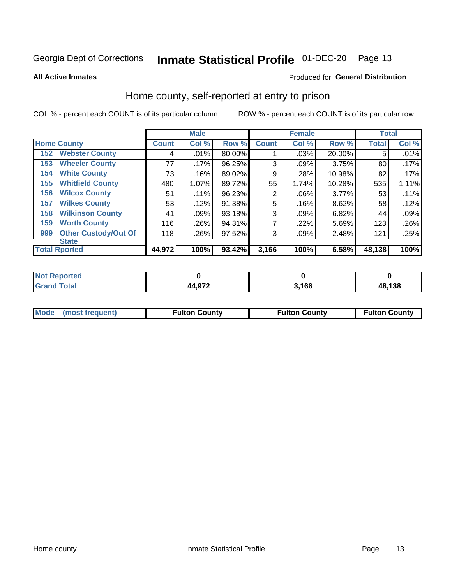### Inmate Statistical Profile 01-DEC-20 Page 13

**All Active Inmates** 

#### Produced for General Distribution

#### Home county, self-reported at entry to prison

COL % - percent each COUNT is of its particular column

|     |                             |              | <b>Male</b> |        |                | <b>Female</b> |          | <b>Total</b> |       |
|-----|-----------------------------|--------------|-------------|--------|----------------|---------------|----------|--------------|-------|
|     | <b>Home County</b>          | <b>Count</b> | Col %       | Row %  | <b>Count</b>   | Col %         | Row %    | <b>Total</b> | Col % |
| 152 | <b>Webster County</b>       | 4            | .01%        | 80.00% |                | .03%          | 20.00%   | 5            | .01%  |
| 153 | <b>Wheeler County</b>       | 77           | $.17\%$     | 96.25% | 3              | .09%          | 3.75%    | 80           | .17%  |
| 154 | <b>White County</b>         | 73           | .16%        | 89.02% | 9              | .28%          | 10.98%   | 82           | .17%  |
| 155 | <b>Whitfield County</b>     | 480          | 1.07%       | 89.72% | 55             | 1.74%         | 10.28%   | 535          | 1.11% |
| 156 | <b>Wilcox County</b>        | 51           | .11%        | 96.23% | $\overline{2}$ | .06%          | $3.77\%$ | 53           | .11%  |
| 157 | <b>Wilkes County</b>        | 53           | .12%        | 91.38% | 5              | .16%          | 8.62%    | 58           | .12%  |
| 158 | <b>Wilkinson County</b>     | 41           | .09%        | 93.18% | 3              | .09%          | 6.82%    | 44           | .09%  |
| 159 | <b>Worth County</b>         | 116          | .26%        | 94.31% | 7              | .22%          | 5.69%    | 123          | .26%  |
| 999 | <b>Other Custody/Out Of</b> | 118          | .26%        | 97.52% | 3              | .09%          | 2.48%    | 121          | .25%  |
|     | <b>State</b>                |              |             |        |                |               |          |              |       |
|     | <b>Total Rported</b>        | 44,972       | 100%        | 93.42% | 3,166          | 100%          | 6.58%    | 48,138       | 100%  |

| <b>Not</b><br>Reported       |        |      |        |
|------------------------------|--------|------|--------|
| <b>Total</b><br><b>Grand</b> | 44,972 | ,166 | 48,138 |

| Mode (most frequent) | <b>Fulton County</b> | <b>Fulton County</b> | <b>Fulton County</b> |
|----------------------|----------------------|----------------------|----------------------|
|                      |                      |                      |                      |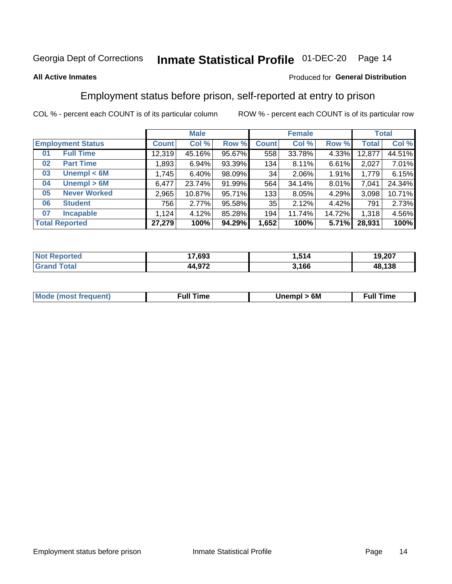#### Inmate Statistical Profile 01-DEC-20 Page 14

#### **All Active Inmates**

#### Produced for General Distribution

#### Employment status before prison, self-reported at entry to prison

COL % - percent each COUNT is of its particular column

|                           |              | <b>Male</b> |        |              | <b>Female</b> |        |              | <b>Total</b> |
|---------------------------|--------------|-------------|--------|--------------|---------------|--------|--------------|--------------|
| <b>Employment Status</b>  | <b>Count</b> | Col %       | Row %  | <b>Count</b> | Col %         | Row %  | <b>Total</b> | Col %        |
| <b>Full Time</b><br>01    | 12,319       | 45.16%      | 95.67% | 558          | 33.78%        | 4.33%  | 12,877       | 44.51%       |
| <b>Part Time</b><br>02    | 1,893        | 6.94%       | 93.39% | 134          | 8.11%         | 6.61%  | 2,027        | 7.01%        |
| Unempl $<$ 6M<br>03       | 1,745        | 6.40%       | 98.09% | 34           | 2.06%         | 1.91%  | 1,779        | 6.15%        |
| Unempl > 6M<br>04         | 6,477        | 23.74%      | 91.99% | 564          | 34.14%        | 8.01%  | 7,041        | 24.34%       |
| <b>Never Worked</b><br>05 | 2,965        | 10.87%      | 95.71% | 133          | 8.05%         | 4.29%  | 3,098        | 10.71%       |
| <b>Student</b><br>06      | 756          | 2.77%       | 95.58% | 35           | 2.12%         | 4.42%  | 791          | 2.73%        |
| <b>Incapable</b><br>07    | .124         | 4.12%       | 85.28% | 194          | 11.74%        | 14.72% | 1,318        | 4.56%        |
| <b>Total Reported</b>     | 27,279       | 100%        | 94.29% | 1,652        | 100%          | 5.71%  | 28,931       | 100%         |

| orteo<br><b>NOT</b> | 17,693          | ---<br>514. | 19,207 |
|---------------------|-----------------|-------------|--------|
| $\sim$<br>Grs       | A 072<br>44.9/2 | 3,166       | 48,138 |

| <b>Mode (most frequent)</b> | rull 1<br>the contract of the contract of the contract of the contract of the contract of the contract of the contract of | 6M | ïme<br>ιuι<br>the contract of the contract of the contract of the contract of the contract of the contract of the contract of |
|-----------------------------|---------------------------------------------------------------------------------------------------------------------------|----|-------------------------------------------------------------------------------------------------------------------------------|
|                             |                                                                                                                           |    |                                                                                                                               |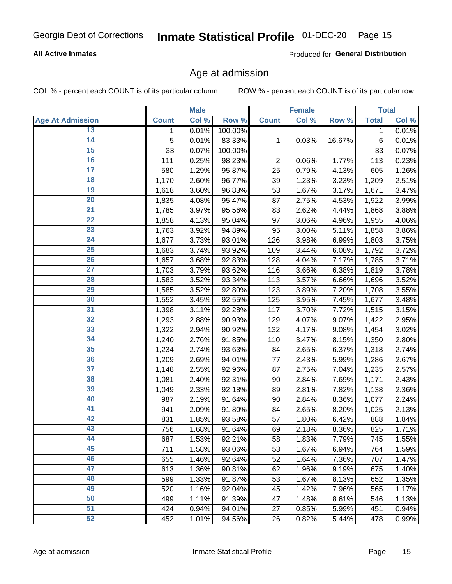# Inmate Statistical Profile 01-DEC-20 Page 15

#### **All Active Inmates**

Produced for General Distribution

#### Age at admission

COL % - percent each COUNT is of its particular column

|                         |              | <b>Male</b> |         |                | <b>Female</b> |        |              | <b>Total</b> |
|-------------------------|--------------|-------------|---------|----------------|---------------|--------|--------------|--------------|
| <b>Age At Admission</b> | <b>Count</b> | Col %       | Row %   | <b>Count</b>   | Col %         | Row %  | <b>Total</b> | Col %        |
| 13                      | 1            | 0.01%       | 100.00% |                |               |        | 1            | 0.01%        |
| $\overline{14}$         | 5            | 0.01%       | 83.33%  | 1              | 0.03%         | 16.67% | $\,6$        | 0.01%        |
| 15                      | 33           | 0.07%       | 100.00% |                |               |        | 33           | 0.07%        |
| 16                      | 111          | 0.25%       | 98.23%  | $\overline{2}$ | 0.06%         | 1.77%  | 113          | 0.23%        |
| $\overline{17}$         | 580          | 1.29%       | 95.87%  | 25             | 0.79%         | 4.13%  | 605          | 1.26%        |
| 18                      | 1,170        | 2.60%       | 96.77%  | 39             | 1.23%         | 3.23%  | 1,209        | 2.51%        |
| 19                      | 1,618        | 3.60%       | 96.83%  | 53             | 1.67%         | 3.17%  | 1,671        | 3.47%        |
| $\overline{20}$         | 1,835        | 4.08%       | 95.47%  | 87             | 2.75%         | 4.53%  | 1,922        | 3.99%        |
| $\overline{21}$         | 1,785        | 3.97%       | 95.56%  | 83             | 2.62%         | 4.44%  | 1,868        | 3.88%        |
| $\overline{22}$         | 1,858        | 4.13%       | 95.04%  | 97             | 3.06%         | 4.96%  | 1,955        | 4.06%        |
| 23                      | 1,763        | 3.92%       | 94.89%  | 95             | 3.00%         | 5.11%  | 1,858        | 3.86%        |
| $\overline{24}$         | 1,677        | 3.73%       | 93.01%  | 126            | 3.98%         | 6.99%  | 1,803        | 3.75%        |
| $\overline{25}$         | 1,683        | 3.74%       | 93.92%  | 109            | 3.44%         | 6.08%  | 1,792        | 3.72%        |
| 26                      | 1,657        | 3.68%       | 92.83%  | 128            | 4.04%         | 7.17%  | 1,785        | 3.71%        |
| $\overline{27}$         | 1,703        | 3.79%       | 93.62%  | 116            | 3.66%         | 6.38%  | 1,819        | 3.78%        |
| 28                      | 1,583        | 3.52%       | 93.34%  | 113            | 3.57%         | 6.66%  | 1,696        | 3.52%        |
| 29                      | 1,585        | 3.52%       | 92.80%  | 123            | 3.89%         | 7.20%  | 1,708        | 3.55%        |
| 30                      | 1,552        | 3.45%       | 92.55%  | 125            | 3.95%         | 7.45%  | 1,677        | 3.48%        |
| 31                      | 1,398        | 3.11%       | 92.28%  | 117            | 3.70%         | 7.72%  | 1,515        | 3.15%        |
| 32                      | 1,293        | 2.88%       | 90.93%  | 129            | 4.07%         | 9.07%  | 1,422        | 2.95%        |
| 33                      | 1,322        | 2.94%       | 90.92%  | 132            | 4.17%         | 9.08%  | 1,454        | 3.02%        |
| 34                      | 1,240        | 2.76%       | 91.85%  | 110            | 3.47%         | 8.15%  | 1,350        | 2.80%        |
| 35                      | 1,234        | 2.74%       | 93.63%  | 84             | 2.65%         | 6.37%  | 1,318        | 2.74%        |
| 36                      | 1,209        | 2.69%       | 94.01%  | 77             | 2.43%         | 5.99%  | 1,286        | 2.67%        |
| $\overline{37}$         | 1,148        | 2.55%       | 92.96%  | 87             | 2.75%         | 7.04%  | 1,235        | 2.57%        |
| 38                      | 1,081        | 2.40%       | 92.31%  | 90             | 2.84%         | 7.69%  | 1,171        | 2.43%        |
| 39                      | 1,049        | 2.33%       | 92.18%  | 89             | 2.81%         | 7.82%  | 1,138        | 2.36%        |
| 40                      | 987          | 2.19%       | 91.64%  | 90             | 2.84%         | 8.36%  | 1,077        | 2.24%        |
| 41                      | 941          | 2.09%       | 91.80%  | 84             | 2.65%         | 8.20%  | 1,025        | 2.13%        |
| 42                      | 831          | 1.85%       | 93.58%  | 57             | 1.80%         | 6.42%  | 888          | 1.84%        |
| 43                      | 756          | 1.68%       | 91.64%  | 69             | 2.18%         | 8.36%  | 825          | 1.71%        |
| 44                      | 687          | 1.53%       | 92.21%  | 58             | 1.83%         | 7.79%  | 745          | 1.55%        |
| 45                      | 711          | 1.58%       | 93.06%  | 53             | 1.67%         | 6.94%  | 764          | 1.59%        |
| 46                      | 655          | 1.46%       | 92.64%  | 52             | 1.64%         | 7.36%  | 707          | 1.47%        |
| 47                      | 613          | 1.36%       | 90.81%  | 62             | 1.96%         | 9.19%  | 675          | 1.40%        |
| 48                      | 599          | 1.33%       | 91.87%  | 53             | 1.67%         | 8.13%  | 652          | 1.35%        |
| 49                      | 520          | 1.16%       | 92.04%  | 45             | 1.42%         | 7.96%  | 565          | 1.17%        |
| 50                      | 499          | 1.11%       | 91.39%  | 47             | 1.48%         | 8.61%  | 546          | 1.13%        |
| $\overline{51}$         | 424          | 0.94%       | 94.01%  | 27             | 0.85%         | 5.99%  | 451          | 0.94%        |
| 52                      | 452          | 1.01%       | 94.56%  | 26             | 0.82%         | 5.44%  | 478          | 0.99%        |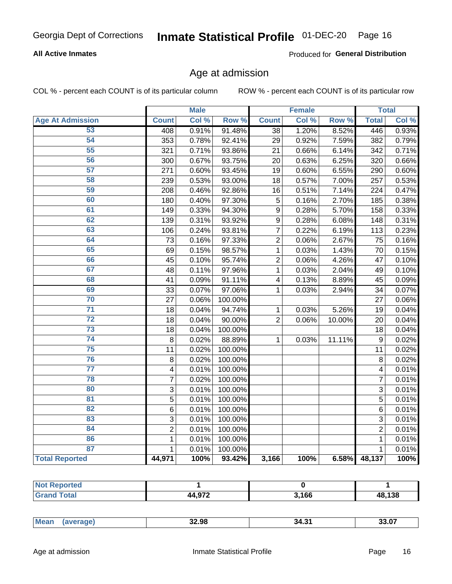# Inmate Statistical Profile 01-DEC-20 Page 16

#### **All Active Inmates**

Produced for General Distribution

#### Age at admission

COL % - percent each COUNT is of its particular column

|                         |                         | <b>Male</b> |         |                  | <b>Female</b> |           |                  | <b>Total</b> |
|-------------------------|-------------------------|-------------|---------|------------------|---------------|-----------|------------------|--------------|
| <b>Age At Admission</b> | <b>Count</b>            | Col %       | Row %   | <b>Count</b>     | Col %         | Row %     | <b>Total</b>     | Col %        |
| 53                      | 408                     | 0.91%       | 91.48%  | $\overline{38}$  | 1.20%         | 8.52%     | 446              | 0.93%        |
| 54                      | 353                     | 0.78%       | 92.41%  | 29               | 0.92%         | 7.59%     | 382              | 0.79%        |
| 55                      | 321                     | 0.71%       | 93.86%  | 21               | 0.66%         | 6.14%     | 342              | 0.71%        |
| 56                      | 300                     | 0.67%       | 93.75%  | 20               | 0.63%         | 6.25%     | 320              | 0.66%        |
| $\overline{57}$         | 271                     | 0.60%       | 93.45%  | 19               | 0.60%         | 6.55%     | 290              | 0.60%        |
| 58                      | 239                     | 0.53%       | 93.00%  | 18               | 0.57%         | 7.00%     | 257              | 0.53%        |
| 59                      | 208                     | 0.46%       | 92.86%  | 16               | 0.51%         | 7.14%     | 224              | 0.47%        |
| 60                      | 180                     | 0.40%       | 97.30%  | 5                | 0.16%         | 2.70%     | 185              | 0.38%        |
| 61                      | 149                     | 0.33%       | 94.30%  | 9                | 0.28%         | 5.70%     | 158              | 0.33%        |
| 62                      | 139                     | 0.31%       | 93.92%  | $\boldsymbol{9}$ | 0.28%         | 6.08%     | 148              | 0.31%        |
| 63                      | 106                     | 0.24%       | 93.81%  | $\overline{7}$   | 0.22%         | 6.19%     | 113              | 0.23%        |
| 64                      | 73                      | 0.16%       | 97.33%  | $\overline{c}$   | 0.06%         | 2.67%     | 75               | 0.16%        |
| 65                      | 69                      | 0.15%       | 98.57%  | $\mathbf{1}$     | 0.03%         | 1.43%     | 70               | 0.15%        |
| 66                      | 45                      | 0.10%       | 95.74%  | $\overline{2}$   | 0.06%         | 4.26%     | 47               | 0.10%        |
| 67                      | 48                      | 0.11%       | 97.96%  | 1                | 0.03%         | 2.04%     | 49               | 0.10%        |
| 68                      | 41                      | 0.09%       | 91.11%  | 4                | 0.13%         | 8.89%     | 45               | 0.09%        |
| 69                      | 33                      | 0.07%       | 97.06%  | 1                | 0.03%         | 2.94%     | 34               | 0.07%        |
| 70                      | 27                      | 0.06%       | 100.00% |                  |               |           | 27               | 0.06%        |
| $\overline{71}$         | 18                      | 0.04%       | 94.74%  | 1                | 0.03%         | 5.26%     | 19               | 0.04%        |
| $\overline{72}$         | 18                      | 0.04%       | 90.00%  | $\overline{2}$   | 0.06%         | 10.00%    | 20               | 0.04%        |
| $\overline{73}$         | 18                      | 0.04%       | 100.00% |                  |               |           | 18               | 0.04%        |
| $\overline{74}$         | 8                       | 0.02%       | 88.89%  | $\mathbf{1}$     | 0.03%         | $11.11\%$ | $\boldsymbol{9}$ | 0.02%        |
| 75                      | 11                      | 0.02%       | 100.00% |                  |               |           | 11               | 0.02%        |
| 76                      | 8                       | 0.02%       | 100.00% |                  |               |           | 8                | 0.02%        |
| $\overline{77}$         | $\overline{\mathbf{4}}$ | 0.01%       | 100.00% |                  |               |           | 4                | 0.01%        |
| 78                      | $\overline{7}$          | 0.02%       | 100.00% |                  |               |           | $\overline{7}$   | 0.01%        |
| 80                      | $\mathbf{3}$            | 0.01%       | 100.00% |                  |               |           | $\overline{3}$   | 0.01%        |
| $\overline{81}$         | $\overline{5}$          | 0.01%       | 100.00% |                  |               |           | $\overline{5}$   | 0.01%        |
| 82                      | 6                       | 0.01%       | 100.00% |                  |               |           | 6                | 0.01%        |
| 83                      | 3                       | 0.01%       | 100.00% |                  |               |           | 3                | 0.01%        |
| 84                      | $\overline{2}$          | 0.01%       | 100.00% |                  |               |           | $\overline{2}$   | 0.01%        |
| 86                      | $\mathbf 1$             | 0.01%       | 100.00% |                  |               |           | 1                | 0.01%        |
| 87                      | $\mathbf{1}$            | 0.01%       | 100.00% |                  |               |           | $\mathbf{1}$     | 0.01%        |
| <b>Total Reported</b>   | 44,971                  | 100%        | 93.42%  | 3,166            | 100%          | 6.58%     | 48,137           | 100%         |

| тес |                        |       |        |
|-----|------------------------|-------|--------|
|     | 1.070<br><i>nr</i><br> | 3,166 | 48.138 |

| 33.U.<br>ан<br>י ט די<br>$\cdots$ | <b>Me:</b> | 32.98 | . .<br>34. | $\mathbf{A}$ |
|-----------------------------------|------------|-------|------------|--------------|
|-----------------------------------|------------|-------|------------|--------------|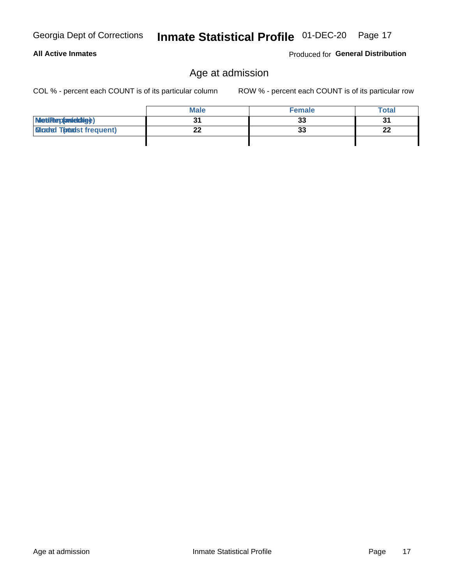**All Active Inmates** 

### Age at admission

COL % - percent each COUNT is of its particular column

ROW % - percent each COUNT is of its particular row

|                                 | <b>Male</b> | <b>Female</b> | <b>Total</b> |
|---------------------------------|-------------|---------------|--------------|
| MetiRep(aniektige)              |             | 33            | 31           |
| <b>Gladed Totadst frequent)</b> | LL          | 33            | n.<br>44     |
|                                 |             |               |              |

Inmate Statistical Profile 01-DEC-20 Page 17

Produced for General Distribution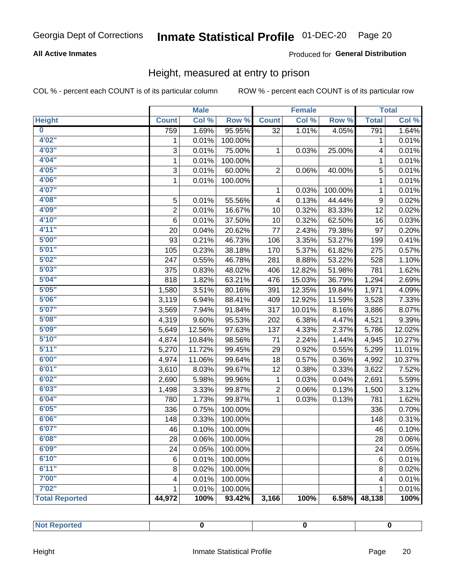# Inmate Statistical Profile 01-DEC-20 Page 20

#### **All Active Inmates**

#### Produced for General Distribution

#### Height, measured at entry to prison

COL % - percent each COUNT is of its particular column

|                         |                | <b>Male</b> |         |                         | <b>Female</b> |         |              | <b>Total</b> |
|-------------------------|----------------|-------------|---------|-------------------------|---------------|---------|--------------|--------------|
| <b>Height</b>           | <b>Count</b>   | Col %       | Row %   | <b>Count</b>            | Col %         | Row %   | <b>Total</b> | Col %        |
| $\overline{\mathbf{0}}$ | 759            | 1.69%       | 95.95%  | 32                      | 1.01%         | 4.05%   | 791          | 1.64%        |
| 4'02''                  | 1              | 0.01%       | 100.00% |                         |               |         | 1            | 0.01%        |
| 4'03''                  | 3              | 0.01%       | 75.00%  | 1                       | 0.03%         | 25.00%  | 4            | 0.01%        |
| 4'04"                   | 1              | 0.01%       | 100.00% |                         |               |         | 1            | 0.01%        |
| 4'05"                   | 3              | 0.01%       | 60.00%  | $\overline{2}$          | 0.06%         | 40.00%  | 5            | 0.01%        |
| 4'06"                   | 1              | 0.01%       | 100.00% |                         |               |         | 1            | 0.01%        |
| 4'07"                   |                |             |         | 1                       | 0.03%         | 100.00% | 1            | 0.01%        |
| 4'08"                   | 5              | 0.01%       | 55.56%  | 4                       | 0.13%         | 44.44%  | 9            | 0.02%        |
| 4'09"                   | $\overline{2}$ | 0.01%       | 16.67%  | 10                      | 0.32%         | 83.33%  | 12           | 0.02%        |
| 4'10''                  | 6              | 0.01%       | 37.50%  | 10                      | 0.32%         | 62.50%  | 16           | 0.03%        |
| 4'11''                  | 20             | 0.04%       | 20.62%  | 77                      | 2.43%         | 79.38%  | 97           | 0.20%        |
| 5'00''                  | 93             | 0.21%       | 46.73%  | 106                     | 3.35%         | 53.27%  | 199          | 0.41%        |
| 5'01"                   | 105            | 0.23%       | 38.18%  | 170                     | 5.37%         | 61.82%  | 275          | 0.57%        |
| 5'02"                   | 247            | 0.55%       | 46.78%  | 281                     | 8.88%         | 53.22%  | 528          | 1.10%        |
| 5'03''                  | 375            | 0.83%       | 48.02%  | 406                     | 12.82%        | 51.98%  | 781          | 1.62%        |
| 5'04"                   | 818            | 1.82%       | 63.21%  | 476                     | 15.03%        | 36.79%  | 1,294        | 2.69%        |
| 5'05"                   | 1,580          | 3.51%       | 80.16%  | 391                     | 12.35%        | 19.84%  | 1,971        | 4.09%        |
| 5'06''                  | 3,119          | 6.94%       | 88.41%  | 409                     | 12.92%        | 11.59%  | 3,528        | 7.33%        |
| 5'07"                   | 3,569          | 7.94%       | 91.84%  | 317                     | 10.01%        | 8.16%   | 3,886        | 8.07%        |
| 5'08''                  | 4,319          | 9.60%       | 95.53%  | 202                     | 6.38%         | 4.47%   | 4,521        | 9.39%        |
| 5'09''                  | 5,649          | 12.56%      | 97.63%  | 137                     | 4.33%         | 2.37%   | 5,786        | 12.02%       |
| 5'10''                  | 4,874          | 10.84%      | 98.56%  | 71                      | 2.24%         | 1.44%   | 4,945        | 10.27%       |
| 5'11''                  | 5,270          | 11.72%      | 99.45%  | 29                      | 0.92%         | 0.55%   | 5,299        | 11.01%       |
| 6'00''                  | 4,974          | 11.06%      | 99.64%  | 18                      | 0.57%         | 0.36%   | 4,992        | 10.37%       |
| 6'01''                  | 3,610          | 8.03%       | 99.67%  | 12                      | 0.38%         | 0.33%   | 3,622        | 7.52%        |
| 6'02"                   | 2,690          | 5.98%       | 99.96%  | 1                       | 0.03%         | 0.04%   | 2,691        | 5.59%        |
| 6'03''                  | 1,498          | 3.33%       | 99.87%  | $\overline{\mathbf{c}}$ | 0.06%         | 0.13%   | 1,500        | 3.12%        |
| 6'04"                   | 780            | 1.73%       | 99.87%  | $\mathbf{1}$            | 0.03%         | 0.13%   | 781          | 1.62%        |
| 6'05"                   | 336            | 0.75%       | 100.00% |                         |               |         | 336          | 0.70%        |
| 6'06''                  | 148            | 0.33%       | 100.00% |                         |               |         | 148          | 0.31%        |
| 6'07''                  | 46             | 0.10%       | 100.00% |                         |               |         | 46           | 0.10%        |
| 6'08"                   | 28             | 0.06%       | 100.00% |                         |               |         | 28           | 0.06%        |
| 6'09''                  | 24             | 0.05%       | 100.00% |                         |               |         | 24           | 0.05%        |
| 6'10''                  | 6              | 0.01%       | 100.00% |                         |               |         | 6            | 0.01%        |
| 6'11''                  | 8              | 0.02%       | 100.00% |                         |               |         | 8            | 0.02%        |
| 7'00"                   | 4              | 0.01%       | 100.00% |                         |               |         | 4            | 0.01%        |
| 7'02"                   | 1              | 0.01%       | 100.00% |                         |               |         | 1            | 0.01%        |
| <b>Total Reported</b>   | 44,972         | 100%        | 93.42%  | 3,166                   | 100%          | 6.58%   | 48,138       | 100%         |

| المنتصب المتعارف<br>тео<br>. |  |  |
|------------------------------|--|--|
|                              |  |  |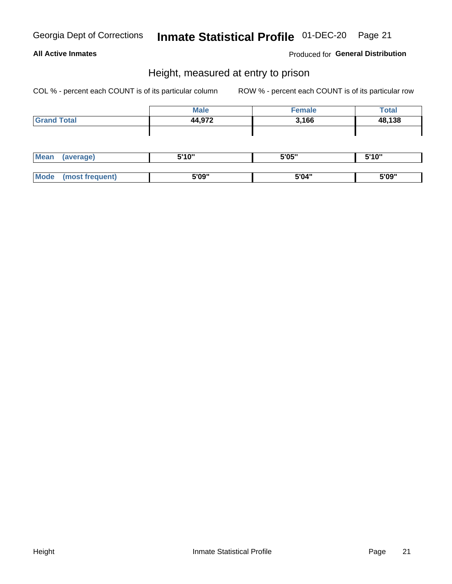# Inmate Statistical Profile 01-DEC-20 Page 21

#### **All Active Inmates**

#### Produced for General Distribution

#### Height, measured at entry to prison

COL % - percent each COUNT is of its particular column

|                    | <b>Male</b> | <b>Female</b> | <b>Total</b> |
|--------------------|-------------|---------------|--------------|
| <b>Grand Total</b> | 44,972      | 3,166         | 48,138       |
|                    |             |               |              |
|                    |             |               |              |

| <b>Mean</b><br>verage) |  | 5'10'' | 5'05" | 5'10" |
|------------------------|--|--------|-------|-------|
|                        |  |        |       |       |
| <b>Mode</b>            |  | 5'09"  | 5'04" | 5'09" |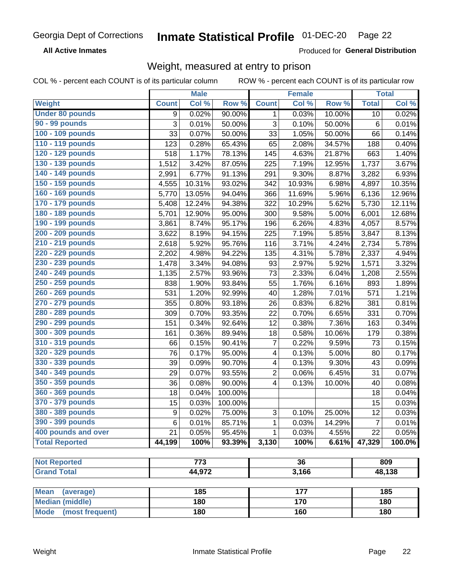#### Inmate Statistical Profile 01-DEC-20 Page 22

**All Active Inmates** 

Produced for General Distribution

#### Weight, measured at entry to prison

COL % - percent each COUNT is of its particular column

|                                                    |                  | <b>Male</b> |         |                         | Female |        |                | <b>Total</b> |
|----------------------------------------------------|------------------|-------------|---------|-------------------------|--------|--------|----------------|--------------|
| Weight                                             | <b>Count</b>     | Col %       | Row %   | <b>Count</b>            | Col %  | Row %  | <b>Total</b>   | Col %        |
| <b>Under 80 pounds</b>                             | 9                | 0.02%       | 90.00%  | 1                       | 0.03%  | 10.00% | 10             | 0.02%        |
| 90 - 99 pounds                                     | 3                | 0.01%       | 50.00%  | 3                       | 0.10%  | 50.00% | 6              | 0.01%        |
| 100 - 109 pounds                                   | 33               | 0.07%       | 50.00%  | 33                      | 1.05%  | 50.00% | 66             | 0.14%        |
| 110 - 119 pounds                                   | 123              | 0.28%       | 65.43%  | 65                      | 2.08%  | 34.57% | 188            | 0.40%        |
| 120 - 129 pounds                                   | 518              | 1.17%       | 78.13%  | 145                     | 4.63%  | 21.87% | 663            | 1.40%        |
| 130 - 139 pounds                                   | 1,512            | 3.42%       | 87.05%  | 225                     | 7.19%  | 12.95% | 1,737          | 3.67%        |
| 140 - 149 pounds                                   | 2,991            | 6.77%       | 91.13%  | 291                     | 9.30%  | 8.87%  | 3,282          | 6.93%        |
| 150 - 159 pounds                                   | 4,555            | 10.31%      | 93.02%  | 342                     | 10.93% | 6.98%  | 4,897          | 10.35%       |
| 160 - 169 pounds                                   | 5,770            | 13.05%      | 94.04%  | 366                     | 11.69% | 5.96%  | 6,136          | 12.96%       |
| 170 - 179 pounds                                   | 5,408            | 12.24%      | 94.38%  | 322                     | 10.29% | 5.62%  | 5,730          | 12.11%       |
| 180 - 189 pounds                                   | 5,701            | 12.90%      | 95.00%  | 300                     | 9.58%  | 5.00%  | 6,001          | 12.68%       |
| 190 - 199 pounds                                   | 3,861            | 8.74%       | 95.17%  | 196                     | 6.26%  | 4.83%  | 4,057          | 8.57%        |
| 200 - 209 pounds                                   | 3,622            | 8.19%       | 94.15%  | 225                     | 7.19%  | 5.85%  | 3,847          | 8.13%        |
| 210 - 219 pounds                                   | 2,618            | 5.92%       | 95.76%  | 116                     | 3.71%  | 4.24%  | 2,734          | 5.78%        |
| 220 - 229 pounds                                   | 2,202            | 4.98%       | 94.22%  | 135                     | 4.31%  | 5.78%  | 2,337          | 4.94%        |
| 230 - 239 pounds                                   | 1,478            | 3.34%       | 94.08%  | 93                      | 2.97%  | 5.92%  | 1,571          | 3.32%        |
| 240 - 249 pounds                                   | 1,135            | 2.57%       | 93.96%  | 73                      | 2.33%  | 6.04%  | 1,208          | 2.55%        |
| 250 - 259 pounds                                   | 838              | 1.90%       | 93.84%  | 55                      | 1.76%  | 6.16%  | 893            | 1.89%        |
| 260 - 269 pounds                                   | 531              | 1.20%       | 92.99%  | 40                      | 1.28%  | 7.01%  | 571            | 1.21%        |
| 270 - 279 pounds                                   | 355              | 0.80%       | 93.18%  | 26                      | 0.83%  | 6.82%  | 381            | 0.81%        |
| 280 - 289 pounds                                   | 309              | 0.70%       | 93.35%  | 22                      | 0.70%  | 6.65%  | 331            | 0.70%        |
| 290 - 299 pounds                                   | 151              | 0.34%       | 92.64%  | 12                      | 0.38%  | 7.36%  | 163            | 0.34%        |
| 300 - 309 pounds                                   | 161              | 0.36%       | 89.94%  | 18                      | 0.58%  | 10.06% | 179            | 0.38%        |
| 310 - 319 pounds                                   | 66               | 0.15%       | 90.41%  | $\overline{7}$          | 0.22%  | 9.59%  | 73             | 0.15%        |
| 320 - 329 pounds                                   | 76               | 0.17%       | 95.00%  | 4                       | 0.13%  | 5.00%  | 80             | 0.17%        |
| 330 - 339 pounds                                   | 39               | 0.09%       | 90.70%  | 4                       | 0.13%  | 9.30%  | 43             | 0.09%        |
| 340 - 349 pounds                                   | 29               | 0.07%       | 93.55%  | $\overline{c}$          | 0.06%  | 6.45%  | 31             | 0.07%        |
| 350 - 359 pounds                                   | 36               | 0.08%       | 90.00%  | $\overline{\mathbf{4}}$ | 0.13%  | 10.00% | 40             | 0.08%        |
| 360 - 369 pounds                                   | 18               | 0.04%       | 100.00% |                         |        |        | 18             | 0.04%        |
| 370 - 379 pounds                                   | 15               | 0.03%       | 100.00% |                         |        |        | 15             | 0.03%        |
| 380 - 389 pounds                                   | $\boldsymbol{9}$ | 0.02%       | 75.00%  | 3                       | 0.10%  | 25.00% | 12             | 0.03%        |
| 390 - 399 pounds                                   | 6                | 0.01%       | 85.71%  | 1                       | 0.03%  | 14.29% | $\overline{7}$ | 0.01%        |
| 400 pounds and over                                | 21               | 0.05%       | 95.45%  | $\mathbf{1}$            | 0.03%  | 4.55%  | 22             | 0.05%        |
| <b>Total Reported</b>                              | 44,199           | 100%        | 93.39%  | 3,130                   | 100%   | 6.61%  | 47,329         | 100.0%       |
|                                                    |                  |             |         |                         |        |        |                |              |
| <b>Not Reported</b>                                |                  | 773         |         |                         | 36     |        |                | 809          |
| <b>Grand Total</b>                                 |                  | 44,972      |         |                         | 3,166  |        |                | 48,138       |
|                                                    |                  |             |         |                         | 177    |        |                |              |
| <b>Mean</b><br>(average)<br><b>Median (middle)</b> |                  | 185<br>180  |         |                         | 170    |        |                | 185<br>180   |
|                                                    |                  |             |         |                         |        |        |                |              |
| <b>Mode</b><br>(most frequent)                     |                  | 180         |         | 160                     |        |        | 180            |              |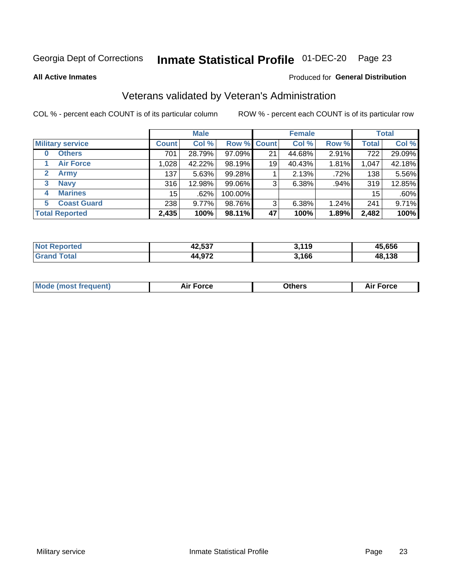### Inmate Statistical Profile 01-DEC-20 Page 23

**All Active Inmates** 

#### Produced for General Distribution

### Veterans validated by Veteran's Administration

COL % - percent each COUNT is of its particular column

|                          |              | <b>Male</b> |         |                    | <b>Female</b> |       |              | <b>Total</b> |
|--------------------------|--------------|-------------|---------|--------------------|---------------|-------|--------------|--------------|
| <b>Military service</b>  | <b>Count</b> | Col %       |         | <b>Row % Count</b> | Col %         | Row % | <b>Total</b> | Col %        |
| <b>Others</b><br>0       | 701          | 28.79%      | 97.09%  | 21                 | 44.68%        | 2.91% | 722          | 29.09%       |
| <b>Air Force</b>         | 1,028        | 42.22%      | 98.19%  | 19                 | 40.43%        | 1.81% | 1,047        | 42.18%       |
| <b>Army</b><br>2         | 137          | 5.63%       | 99.28%  |                    | 2.13%         | .72%  | 138          | 5.56%        |
| <b>Navy</b><br>3         | 316          | 12.98%      | 99.06%  | 3                  | 6.38%         | .94%  | 319          | 12.85%       |
| <b>Marines</b><br>4      | 15           | .62%        | 100.00% |                    |               |       | 15           | .60%         |
| <b>Coast Guard</b><br>5. | 238          | 9.77%       | 98.76%  | 3                  | 6.38%         | 1.24% | 241          | 9.71%        |
| <b>Total Reported</b>    | 2,435        | 100%        | 98.11%  | 47                 | 100%          | 1.89% | 2,482        | 100%         |

| <b>Not</b><br>ported<br>. | ハウ につつ<br>42,537       | 3,119<br>. . | 15.656 |
|---------------------------|------------------------|--------------|--------|
| ⊺otai                     | <b>A 072</b><br>44.97Z | 3,166        | 48,138 |

|  |  | <b>Mode (most frequent)</b> | <b>Force</b><br>Aır | วthers | orce |
|--|--|-----------------------------|---------------------|--------|------|
|--|--|-----------------------------|---------------------|--------|------|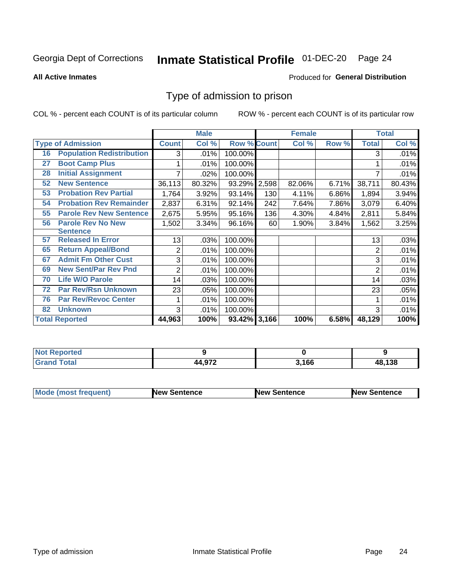# Inmate Statistical Profile 01-DEC-20 Page 24

**All Active Inmates** 

#### Produced for General Distribution

#### Type of admission to prison

COL % - percent each COUNT is of its particular column

|    |                                  |              | <b>Male</b> |                    |       | <b>Female</b> |       |              | <b>Total</b> |
|----|----------------------------------|--------------|-------------|--------------------|-------|---------------|-------|--------------|--------------|
|    | <b>Type of Admission</b>         | <b>Count</b> | Col %       | <b>Row % Count</b> |       | Col %         | Row % | <b>Total</b> | Col %        |
| 16 | <b>Population Redistribution</b> | 3            | .01%        | 100.00%            |       |               |       | 3            | .01%         |
| 27 | <b>Boot Camp Plus</b>            |              | .01%        | 100.00%            |       |               |       |              | .01%         |
| 28 | <b>Initial Assignment</b>        |              | .02%        | 100.00%            |       |               |       |              | .01%         |
| 52 | <b>New Sentence</b>              | 36,113       | 80.32%      | 93.29%             | 2,598 | 82.06%        | 6.71% | 38,711       | 80.43%       |
| 53 | <b>Probation Rev Partial</b>     | 1,764        | 3.92%       | 93.14%             | 130   | 4.11%         | 6.86% | 1,894        | 3.94%        |
| 54 | <b>Probation Rev Remainder</b>   | 2,837        | 6.31%       | 92.14%             | 242   | 7.64%         | 7.86% | 3,079        | 6.40%        |
| 55 | <b>Parole Rev New Sentence</b>   | 2,675        | 5.95%       | 95.16%             | 136   | 4.30%         | 4.84% | 2,811        | 5.84%        |
| 56 | <b>Parole Rev No New</b>         | 1,502        | 3.34%       | 96.16%             | 60    | 1.90%         | 3.84% | 1,562        | 3.25%        |
|    | <b>Sentence</b>                  |              |             |                    |       |               |       |              |              |
| 57 | <b>Released In Error</b>         | 13           | .03%        | 100.00%            |       |               |       | 13           | .03%         |
| 65 | <b>Return Appeal/Bond</b>        | 2            | .01%        | 100.00%            |       |               |       | 2            | .01%         |
| 67 | <b>Admit Fm Other Cust</b>       | 3            | .01%        | 100.00%            |       |               |       | 3            | .01%         |
| 69 | <b>New Sent/Par Rev Pnd</b>      | 2            | .01%        | 100.00%            |       |               |       | 2            | .01%         |
| 70 | <b>Life W/O Parole</b>           | 14           | .03%        | 100.00%            |       |               |       | 14           | .03%         |
| 72 | <b>Par Rev/Rsn Unknown</b>       | 23           | .05%        | 100.00%            |       |               |       | 23           | .05%         |
| 76 | <b>Par Rev/Revoc Center</b>      |              | .01%        | 100.00%            |       |               |       |              | .01%         |
| 82 | <b>Unknown</b>                   | 3            | .01%        | 100.00%            |       |               |       | 3            | .01%         |
|    | <b>Total Reported</b>            | 44,963       | 100%        | 93.42% 3,166       |       | 100%          | 6.58% | 48,129       | 100%         |

| <b>Not Reported</b>  |                   |       |        |
|----------------------|-------------------|-------|--------|
| Total<br><b>Gran</b> | 44 Q72<br>44.JI 4 | 3,166 | 48,138 |

| <b>Mode (most frequent)</b> | <b>New Sentence</b> | <b>New Sentence</b> | <b>New Sentence</b> |
|-----------------------------|---------------------|---------------------|---------------------|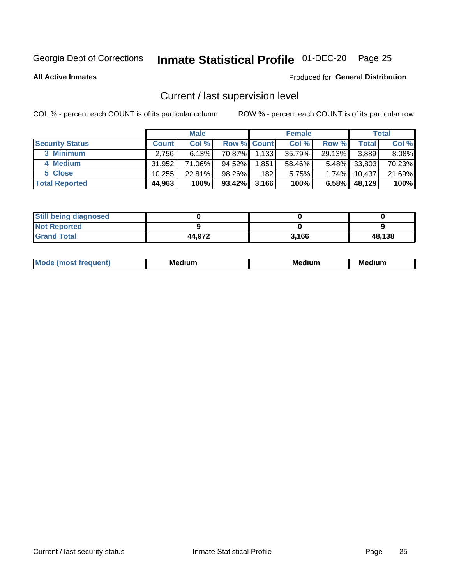### Inmate Statistical Profile 01-DEC-20 Page 25

**All Active Inmates** 

#### Produced for General Distribution

### Current / last supervision level

COL % - percent each COUNT is of its particular column

|                        |              | <b>Male</b> |                    |       | <b>Female</b> |          |        | <b>Total</b> |
|------------------------|--------------|-------------|--------------------|-------|---------------|----------|--------|--------------|
| <b>Security Status</b> | <b>Count</b> | Col %       | <b>Row % Count</b> |       | Col %         | Row %    | Total  | Col %        |
| 3 Minimum              | 2,756        | 6.13%       | 70.87%             | 1,133 | 35.79%        | 29.13%   | 3,889  | 8.08%        |
| 4 Medium               | 31.952       | 71.06%      | 94.52%             | 1,851 | 58.46%        | $5.48\%$ | 33,803 | 70.23%       |
| 5 Close                | 10.255       | 22.81%      | 98.26%             | 182   | 5.75%         | $1.74\%$ | 10,437 | 21.69%       |
| <b>Total Reported</b>  | 44,963       | 100%        | $93.42\%$          | 3,166 | 100%          | $6.58\%$ | 48,129 | 100%         |

| <b>Still being diagnosed</b> |        |       |        |
|------------------------------|--------|-------|--------|
| <b>Not Reported</b>          |        |       |        |
| <b>Grand Total</b>           | 44,972 | 3,166 | 48,138 |

| М | Мє<br>dium<br>_____ | Me<br>dium<br>____ | Med<br>dıum<br>$  -$ |
|---|---------------------|--------------------|----------------------|
|   |                     |                    |                      |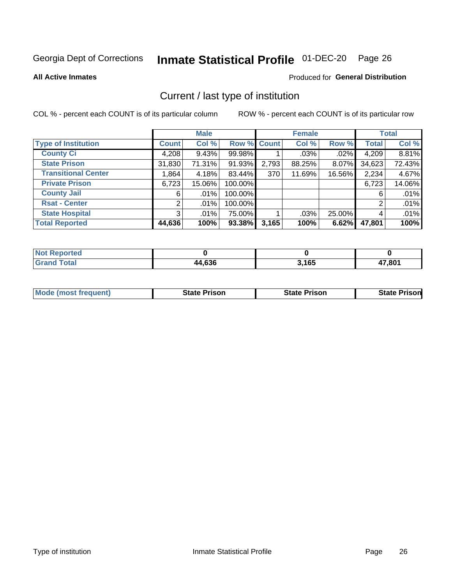# Inmate Statistical Profile 01-DEC-20 Page 26

**All Active Inmates** 

#### Produced for General Distribution

### Current / last type of institution

COL % - percent each COUNT is of its particular column

|                            |                | <b>Male</b> |             |       | <b>Female</b> |        |              | <b>Total</b> |
|----------------------------|----------------|-------------|-------------|-------|---------------|--------|--------------|--------------|
| <b>Type of Institution</b> | <b>Count</b>   | Col %       | Row % Count |       | Col %         | Row %  | <b>Total</b> | Col %        |
| <b>County Ci</b>           | 4,208          | 9.43%       | 99.98%      |       | $.03\%$       | .02%   | 4,209        | 8.81%        |
| <b>State Prison</b>        | 31,830         | 71.31%      | 91.93%      | 2,793 | 88.25%        | 8.07%  | 34,623       | 72.43%       |
| <b>Transitional Center</b> | 1,864          | 4.18%       | 83.44%      | 370   | 11.69%        | 16.56% | 2,234        | 4.67%        |
| <b>Private Prison</b>      | 6,723          | 15.06%      | 100.00%     |       |               |        | 6,723        | 14.06%       |
| <b>County Jail</b>         | 6              | $.01\%$     | 100.00%     |       |               |        | 6            | .01%         |
| <b>Rsat - Center</b>       | 2              | $.01\%$     | 100.00%     |       |               |        | 2            | .01%         |
| <b>State Hospital</b>      | 3 <sup>1</sup> | $.01\%$     | 75.00%      |       | .03%          | 25.00% | 4            | .01%         |
| <b>Total Reported</b>      | 44,636         | 100%        | 93.38%      | 3,165 | 100%          | 6.62%  | 47,801       | 100%         |

| oorted<br><b>NOT</b> |        |       |        |
|----------------------|--------|-------|--------|
| 'otal                | 44,636 | 3,165 | 17,801 |

| <b>Mode (most frequent)</b> | <b>State Prison</b> | <b>State Prison</b> | <b>State Prison</b> |
|-----------------------------|---------------------|---------------------|---------------------|
|                             |                     |                     |                     |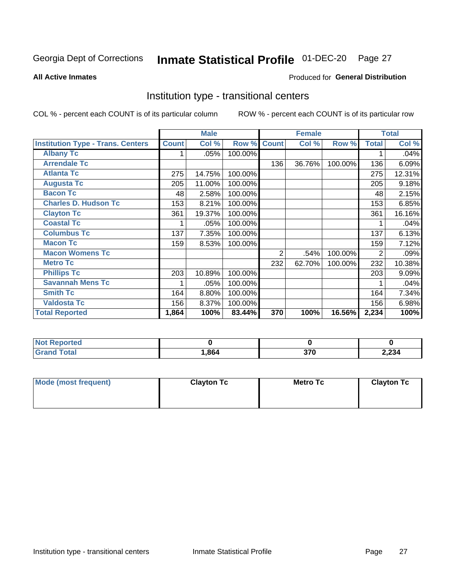# Inmate Statistical Profile 01-DEC-20 Page 27

#### **All Active Inmates**

#### **Produced for General Distribution**

#### Institution type - transitional centers

COL % - percent each COUNT is of its particular column

|                                          |              | <b>Male</b> |         |              | <b>Female</b> |         |              | <b>Total</b> |
|------------------------------------------|--------------|-------------|---------|--------------|---------------|---------|--------------|--------------|
| <b>Institution Type - Trans. Centers</b> | <b>Count</b> | Col %       | Row %   | <b>Count</b> | Col %         | Row %   | <b>Total</b> | Col %        |
| <b>Albany Tc</b>                         |              | .05%        | 100.00% |              |               |         |              | .04%         |
| <b>Arrendale Tc</b>                      |              |             |         | 136          | 36.76%        | 100.00% | 136          | 6.09%        |
| <b>Atlanta Tc</b>                        | 275          | 14.75%      | 100.00% |              |               |         | 275          | 12.31%       |
| <b>Augusta Tc</b>                        | 205          | 11.00%      | 100.00% |              |               |         | 205          | 9.18%        |
| <b>Bacon Tc</b>                          | 48           | 2.58%       | 100.00% |              |               |         | 48           | 2.15%        |
| <b>Charles D. Hudson Tc</b>              | 153          | 8.21%       | 100.00% |              |               |         | 153          | 6.85%        |
| <b>Clayton Tc</b>                        | 361          | 19.37%      | 100.00% |              |               |         | 361          | 16.16%       |
| <b>Coastal Tc</b>                        |              | .05%        | 100.00% |              |               |         |              | .04%         |
| <b>Columbus Tc</b>                       | 137          | 7.35%       | 100.00% |              |               |         | 137          | 6.13%        |
| <b>Macon Tc</b>                          | 159          | 8.53%       | 100.00% |              |               |         | 159          | 7.12%        |
| <b>Macon Womens Tc</b>                   |              |             |         | 2            | .54%          | 100.00% | 2            | .09%         |
| <b>Metro Tc</b>                          |              |             |         | 232          | 62.70%        | 100.00% | 232          | 10.38%       |
| <b>Phillips Tc</b>                       | 203          | 10.89%      | 100.00% |              |               |         | 203          | 9.09%        |
| <b>Savannah Mens Tc</b>                  |              | .05%        | 100.00% |              |               |         |              | .04%         |
| <b>Smith Tc</b>                          | 164          | 8.80%       | 100.00% |              |               |         | 164          | 7.34%        |
| <b>Valdosta Tc</b>                       | 156          | 8.37%       | 100.00% |              |               |         | 156          | 6.98%        |
| <b>Total Reported</b>                    | 1,864        | 100%        | 83.44%  | 370          | 100%          | 16.56%  | 2,234        | 100%         |

| <b>Not</b><br>Reported |      |             |       |
|------------------------|------|-------------|-------|
| <b>Total</b>           | ,864 | 270<br>JI U | 2,234 |

| Mode (most frequent) | <b>Clayton Tc</b> | Metro Tc | <b>Clayton Tc</b> |
|----------------------|-------------------|----------|-------------------|
|                      |                   |          |                   |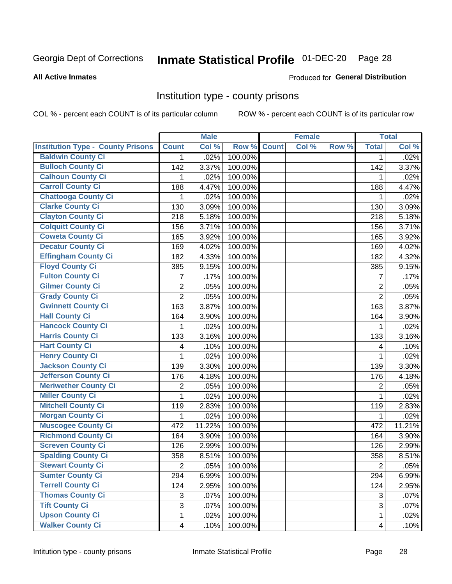# Inmate Statistical Profile 01-DEC-20 Page 28

#### **All Active Inmates**

#### Produced for General Distribution

#### Institution type - county prisons

COL % - percent each COUNT is of its particular column

|                                          |                         | <b>Male</b> |         |              | <b>Female</b> |       |                         | <b>Total</b> |
|------------------------------------------|-------------------------|-------------|---------|--------------|---------------|-------|-------------------------|--------------|
| <b>Institution Type - County Prisons</b> | <b>Count</b>            | Col %       | Row %   | <b>Count</b> | Col %         | Row % | <b>Total</b>            | Col %        |
| <b>Baldwin County Ci</b>                 | $\mathbf 1$             | .02%        | 100.00% |              |               |       | $\mathbf{1}$            | .02%         |
| <b>Bulloch County Ci</b>                 | 142                     | 3.37%       | 100.00% |              |               |       | 142                     | 3.37%        |
| <b>Calhoun County Ci</b>                 | 1                       | .02%        | 100.00% |              |               |       | 1                       | .02%         |
| <b>Carroll County Ci</b>                 | 188                     | 4.47%       | 100.00% |              |               |       | 188                     | 4.47%        |
| <b>Chattooga County Ci</b>               | 1                       | .02%        | 100.00% |              |               |       | 1                       | .02%         |
| <b>Clarke County Ci</b>                  | 130                     | 3.09%       | 100.00% |              |               |       | 130                     | 3.09%        |
| <b>Clayton County Ci</b>                 | 218                     | 5.18%       | 100.00% |              |               |       | 218                     | 5.18%        |
| <b>Colquitt County Ci</b>                | 156                     | 3.71%       | 100.00% |              |               |       | 156                     | 3.71%        |
| <b>Coweta County Ci</b>                  | 165                     | 3.92%       | 100.00% |              |               |       | 165                     | 3.92%        |
| <b>Decatur County Ci</b>                 | 169                     | 4.02%       | 100.00% |              |               |       | 169                     | 4.02%        |
| <b>Effingham County Ci</b>               | 182                     | 4.33%       | 100.00% |              |               |       | 182                     | 4.32%        |
| <b>Floyd County Ci</b>                   | 385                     | 9.15%       | 100.00% |              |               |       | 385                     | 9.15%        |
| <b>Fulton County Ci</b>                  | 7                       | .17%        | 100.00% |              |               |       | $\overline{7}$          | .17%         |
| <b>Gilmer County Ci</b>                  | 2                       | .05%        | 100.00% |              |               |       | $\overline{2}$          | .05%         |
| <b>Grady County Ci</b>                   | $\overline{2}$          | .05%        | 100.00% |              |               |       | $\overline{2}$          | .05%         |
| <b>Gwinnett County Ci</b>                | 163                     | 3.87%       | 100.00% |              |               |       | 163                     | 3.87%        |
| <b>Hall County Ci</b>                    | 164                     | 3.90%       | 100.00% |              |               |       | 164                     | 3.90%        |
| <b>Hancock County Ci</b>                 | 1                       | .02%        | 100.00% |              |               |       | 1                       | .02%         |
| <b>Harris County Ci</b>                  | 133                     | 3.16%       | 100.00% |              |               |       | 133                     | 3.16%        |
| <b>Hart County Ci</b>                    | 4                       | .10%        | 100.00% |              |               |       | 4                       | .10%         |
| <b>Henry County Ci</b>                   | 1                       | .02%        | 100.00% |              |               |       | 1                       | .02%         |
| Jackson County Ci                        | 139                     | 3.30%       | 100.00% |              |               |       | 139                     | 3.30%        |
| <b>Jefferson County Ci</b>               | 176                     | 4.18%       | 100.00% |              |               |       | 176                     | 4.18%        |
| <b>Meriwether County Ci</b>              | 2                       | .05%        | 100.00% |              |               |       | $\overline{2}$          | .05%         |
| <b>Miller County Ci</b>                  | 1                       | .02%        | 100.00% |              |               |       | $\mathbf{1}$            | .02%         |
| <b>Mitchell County Ci</b>                | 119                     | 2.83%       | 100.00% |              |               |       | 119                     | 2.83%        |
| <b>Morgan County Ci</b>                  | 1                       | .02%        | 100.00% |              |               |       | 1                       | .02%         |
| <b>Muscogee County Ci</b>                | 472                     | 11.22%      | 100.00% |              |               |       | 472                     | 11.21%       |
| <b>Richmond County Ci</b>                | 164                     | 3.90%       | 100.00% |              |               |       | 164                     | 3.90%        |
| <b>Screven County Ci</b>                 | 126                     | 2.99%       | 100.00% |              |               |       | 126                     | 2.99%        |
| <b>Spalding County Ci</b>                | 358                     | 8.51%       | 100.00% |              |               |       | 358                     | 8.51%        |
| <b>Stewart County Ci</b>                 | $\overline{2}$          | .05%        | 100.00% |              |               |       | $\overline{2}$          | .05%         |
| <b>Sumter County Ci</b>                  | 294                     | 6.99%       | 100.00% |              |               |       | 294                     | 6.99%        |
| <b>Terrell County Ci</b>                 | 124                     | 2.95%       | 100.00% |              |               |       | 124                     | 2.95%        |
| <b>Thomas County Ci</b>                  | 3                       | .07%        | 100.00% |              |               |       | 3                       | .07%         |
| <b>Tift County Ci</b>                    | 3                       | .07%        | 100.00% |              |               |       | 3                       | .07%         |
| <b>Upson County Ci</b>                   | 1                       | .02%        | 100.00% |              |               |       | 1                       | .02%         |
| <b>Walker County Ci</b>                  | $\overline{\mathbf{4}}$ | .10%        | 100.00% |              |               |       | $\overline{\mathbf{4}}$ | .10%         |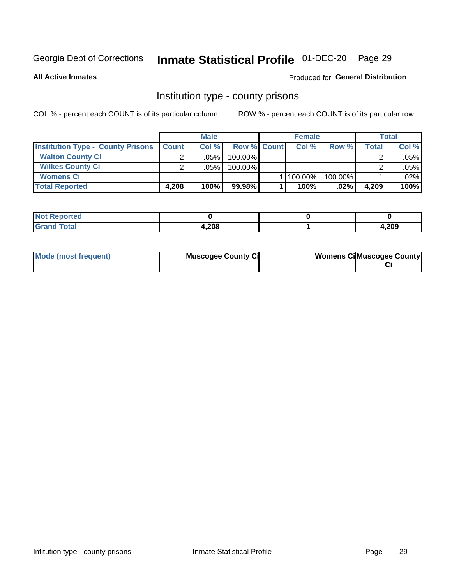### Inmate Statistical Profile 01-DEC-20 Page 29

**All Active Inmates** 

#### **Produced for General Distribution**

#### Institution type - county prisons

COL % - percent each COUNT is of its particular column

|                                          |              | <b>Male</b> |                    | <b>Female</b> |         |       | <b>Total</b> |
|------------------------------------------|--------------|-------------|--------------------|---------------|---------|-------|--------------|
| <b>Institution Type - County Prisons</b> | <b>Count</b> | Col%        | <b>Row % Count</b> | Col%          | Row %   | Total | Col %        |
| <b>Walton County Ci</b>                  | ⌒            | .05%        | 100.00%            |               |         |       | .05%         |
| <b>Wilkes County Ci</b>                  |              | $.05\%$     | 100.00%            |               |         |       | .05%         |
| <b>Womens Ci</b>                         |              |             |                    | 100.00%       | 100.00% |       | $.02\%$      |
| <b>Total Reported</b>                    | 4.208        | 100%        | 99.98%             | 100%          | .02%    | 4,209 | 100%         |

| rtea<br>$\sim$<br>$\sim$ |       |      |
|--------------------------|-------|------|
|                          | 4,208 | ,209 |

| Mode (most frequent) | <b>Muscogee County Ci</b> | <b>Womens Ci</b> Muscogee County |
|----------------------|---------------------------|----------------------------------|
|----------------------|---------------------------|----------------------------------|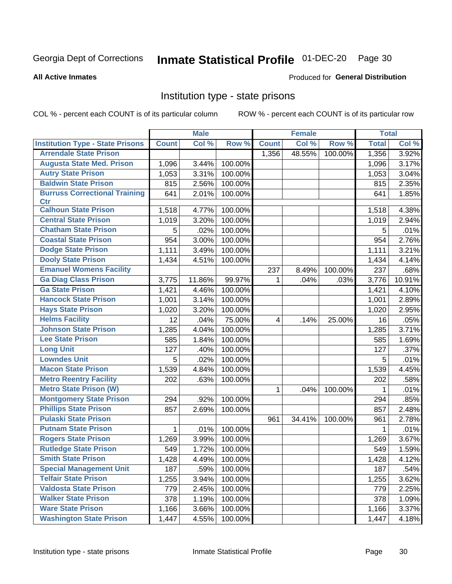# Inmate Statistical Profile 01-DEC-20 Page 30

#### **All Active Inmates**

#### Produced for General Distribution

#### Institution type - state prisons

COL % - percent each COUNT is of its particular column

|                                         |              | <b>Male</b> |         |              | <b>Female</b> |         | <b>Total</b> |        |
|-----------------------------------------|--------------|-------------|---------|--------------|---------------|---------|--------------|--------|
| <b>Institution Type - State Prisons</b> | <b>Count</b> | Col %       | Row %   | <b>Count</b> | Col %         | Row %   | <b>Total</b> | Col %  |
| <b>Arrendale State Prison</b>           |              |             |         | 1,356        | 48.55%        | 100.00% | 1,356        | 3.92%  |
| <b>Augusta State Med. Prison</b>        | 1,096        | 3.44%       | 100.00% |              |               |         | 1,096        | 3.17%  |
| <b>Autry State Prison</b>               | 1,053        | 3.31%       | 100.00% |              |               |         | 1,053        | 3.04%  |
| <b>Baldwin State Prison</b>             | 815          | 2.56%       | 100.00% |              |               |         | 815          | 2.35%  |
| <b>Burruss Correctional Training</b>    | 641          | 2.01%       | 100.00% |              |               |         | 641          | 1.85%  |
| <b>Ctr</b>                              |              |             |         |              |               |         |              |        |
| <b>Calhoun State Prison</b>             | 1,518        | 4.77%       | 100.00% |              |               |         | 1,518        | 4.38%  |
| <b>Central State Prison</b>             | 1,019        | 3.20%       | 100.00% |              |               |         | 1,019        | 2.94%  |
| <b>Chatham State Prison</b>             | 5            | .02%        | 100.00% |              |               |         | 5            | .01%   |
| <b>Coastal State Prison</b>             | 954          | 3.00%       | 100.00% |              |               |         | 954          | 2.76%  |
| <b>Dodge State Prison</b>               | 1,111        | 3.49%       | 100.00% |              |               |         | 1,111        | 3.21%  |
| <b>Dooly State Prison</b>               | 1,434        | 4.51%       | 100.00% |              |               |         | 1,434        | 4.14%  |
| <b>Emanuel Womens Facility</b>          |              |             |         | 237          | 8.49%         | 100.00% | 237          | .68%   |
| <b>Ga Diag Class Prison</b>             | 3,775        | 11.86%      | 99.97%  | 1            | .04%          | .03%    | 3,776        | 10.91% |
| <b>Ga State Prison</b>                  | 1,421        | 4.46%       | 100.00% |              |               |         | 1,421        | 4.10%  |
| <b>Hancock State Prison</b>             | 1,001        | 3.14%       | 100.00% |              |               |         | 1,001        | 2.89%  |
| <b>Hays State Prison</b>                | 1,020        | 3.20%       | 100.00% |              |               |         | 1,020        | 2.95%  |
| <b>Helms Facility</b>                   | 12           | .04%        | 75.00%  | 4            | .14%          | 25.00%  | 16           | .05%   |
| <b>Johnson State Prison</b>             | 1,285        | 4.04%       | 100.00% |              |               |         | 1,285        | 3.71%  |
| <b>Lee State Prison</b>                 | 585          | 1.84%       | 100.00% |              |               |         | 585          | 1.69%  |
| <b>Long Unit</b>                        | 127          | .40%        | 100.00% |              |               |         | 127          | .37%   |
| <b>Lowndes Unit</b>                     | 5            | .02%        | 100.00% |              |               |         | 5            | .01%   |
| <b>Macon State Prison</b>               | 1,539        | 4.84%       | 100.00% |              |               |         | 1,539        | 4.45%  |
| <b>Metro Reentry Facility</b>           | 202          | .63%        | 100.00% |              |               |         | 202          | .58%   |
| <b>Metro State Prison (W)</b>           |              |             |         | $\mathbf 1$  | .04%          | 100.00% | 1            | .01%   |
| <b>Montgomery State Prison</b>          | 294          | .92%        | 100.00% |              |               |         | 294          | .85%   |
| <b>Phillips State Prison</b>            | 857          | 2.69%       | 100.00% |              |               |         | 857          | 2.48%  |
| <b>Pulaski State Prison</b>             |              |             |         | 961          | 34.41%        | 100.00% | 961          | 2.78%  |
| <b>Putnam State Prison</b>              | $\mathbf{1}$ | .01%        | 100.00% |              |               |         | 1            | .01%   |
| <b>Rogers State Prison</b>              | 1,269        | 3.99%       | 100.00% |              |               |         | 1,269        | 3.67%  |
| <b>Rutledge State Prison</b>            | 549          | 1.72%       | 100.00% |              |               |         | 549          | 1.59%  |
| <b>Smith State Prison</b>               | 1,428        | 4.49%       | 100.00% |              |               |         | 1,428        | 4.12%  |
| <b>Special Management Unit</b>          | 187          | .59%        | 100.00% |              |               |         | 187          | .54%   |
| <b>Telfair State Prison</b>             | 1,255        | 3.94%       | 100.00% |              |               |         | 1,255        | 3.62%  |
| <b>Valdosta State Prison</b>            | 779          | 2.45%       | 100.00% |              |               |         | 779          | 2.25%  |
| <b>Walker State Prison</b>              | 378          | 1.19%       | 100.00% |              |               |         | 378          | 1.09%  |
| <b>Ware State Prison</b>                | 1,166        | 3.66%       | 100.00% |              |               |         | 1,166        | 3.37%  |
| <b>Washington State Prison</b>          | 1,447        | 4.55%       | 100.00% |              |               |         | 1,447        | 4.18%  |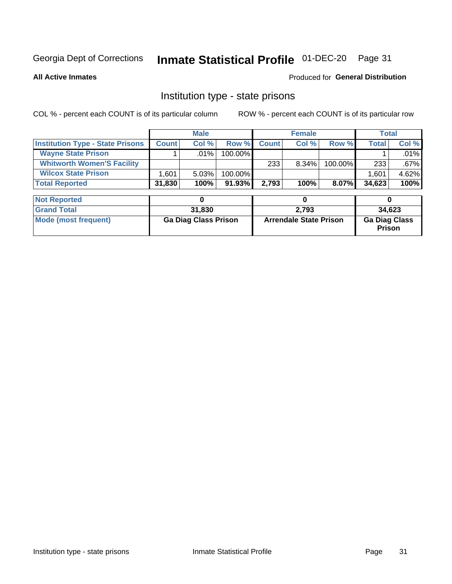#### Inmate Statistical Profile 01-DEC-20 Page 31

**All Active Inmates** 

#### Produced for General Distribution

#### Institution type - state prisons

COL % - percent each COUNT is of its particular column

|                                         |              | <b>Male</b> |            |              | <b>Female</b> |          |              | Total   |
|-----------------------------------------|--------------|-------------|------------|--------------|---------------|----------|--------------|---------|
| <b>Institution Type - State Prisons</b> | <b>Count</b> | Col %       | Row %I     | <b>Count</b> | Col %         | Row %    | <b>Total</b> | Col %   |
| <b>Wayne State Prison</b>               |              | $.01\%$     | $100.00\%$ |              |               |          |              | $.01\%$ |
| <b>Whitworth Women'S Facility</b>       |              |             |            | 233          | $8.34\%$      | 100.00%  | 233          | $.67\%$ |
| <b>Wilcox State Prison</b>              | .601         | $5.03\%$    | 100.00%    |              |               |          | 1,601        | 4.62%   |
| <b>Total Reported</b>                   | 31,830       | 100%        | $91.93\%$  | 2.793        | 100%          | $8.07\%$ | 34,623       | 100%    |

| <b>Not Reported</b>  |                             |                               |                                       |
|----------------------|-----------------------------|-------------------------------|---------------------------------------|
| <b>Grand Total</b>   | 31,830                      | 2.793                         | 34.623                                |
| Mode (most frequent) | <b>Ga Diag Class Prison</b> | <b>Arrendale State Prison</b> | <b>Ga Diag Class</b><br><b>Prison</b> |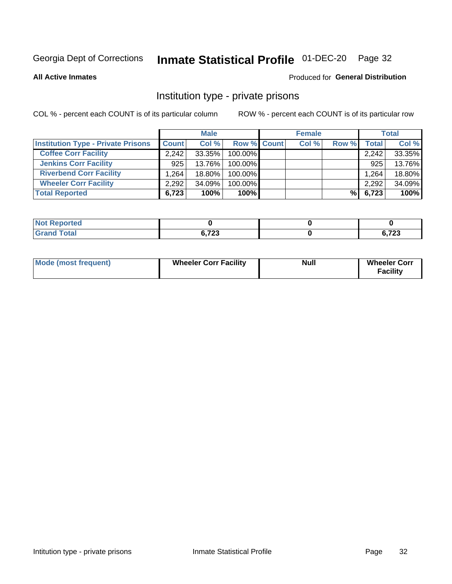### Inmate Statistical Profile 01-DEC-20 Page 32

**All Active Inmates** 

#### Produced for General Distribution

#### Institution type - private prisons

COL % - percent each COUNT is of its particular column

|                                           |              | <b>Male</b> |                    | <b>Female</b> |       |       | <b>Total</b> |
|-------------------------------------------|--------------|-------------|--------------------|---------------|-------|-------|--------------|
| <b>Institution Type - Private Prisons</b> | <b>Count</b> | Col %       | <b>Row % Count</b> | Col %         | Row % | Total | Col %        |
| <b>Coffee Corr Facility</b>               | 2.242        | 33.35%      | 100.00%            |               |       | 2,242 | 33.35%       |
| <b>Jenkins Corr Facility</b>              | 925          | 13.76%      | 100.00%            |               |       | 925   | 13.76%       |
| <b>Riverbend Corr Facility</b>            | 1.264        | 18.80%      | 100.00%            |               |       | 1,264 | 18.80%       |
| <b>Wheeler Corr Facility</b>              | 2,292        | 34.09%      | 100.00%            |               |       | 2,292 | 34.09%       |
| <b>Total Reported</b>                     | 6,723        | 100%        | $100\%$            |               | %Ⅰ    | 6,723 | 100%         |

| <b>Not</b><br><b>Reported</b> |                       |               |
|-------------------------------|-----------------------|---------------|
| <b>Total</b>                  | <b>C 700</b><br>0,72J | ההד ה<br>,,,, |

| <b>Mode (most frequent)</b> | <b>Wheeler Corr Facility</b> | <b>Null</b> | <b>Wheeler Corr</b><br><b>Facility</b> |
|-----------------------------|------------------------------|-------------|----------------------------------------|
|-----------------------------|------------------------------|-------------|----------------------------------------|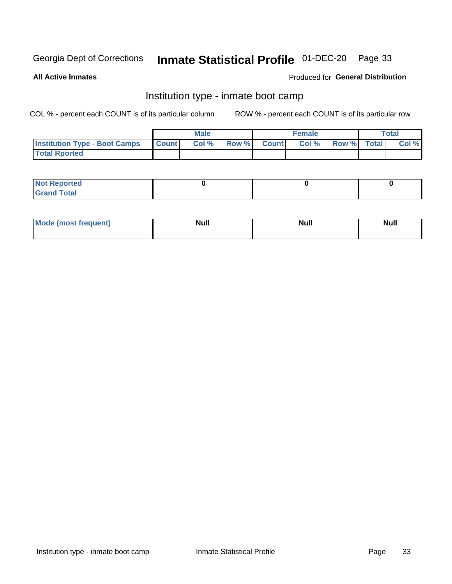### Inmate Statistical Profile 01-DEC-20 Page 33

**All Active Inmates** 

#### Produced for General Distribution

### Institution type - inmate boot camp

COL % - percent each COUNT is of its particular column

|                                      | <b>Male</b>  |       |               | <b>Female</b> |       |             | <b>Total</b> |       |
|--------------------------------------|--------------|-------|---------------|---------------|-------|-------------|--------------|-------|
| <b>Institution Type - Boot Camps</b> | <b>Count</b> | Col % | <b>Row %I</b> | <b>Count</b>  | Col % | Row % Total |              | Col % |
| <b>Total Rported</b>                 |              |       |               |               |       |             |              |       |

| <b>Not Reported</b>            |  |  |
|--------------------------------|--|--|
| <b>Total</b><br>C <sub>r</sub> |  |  |

| Mod<br>uamo | Nul.<br>$- - - - - -$ | <b>Null</b> | . .<br>uu.<br>------ |
|-------------|-----------------------|-------------|----------------------|
|             |                       |             |                      |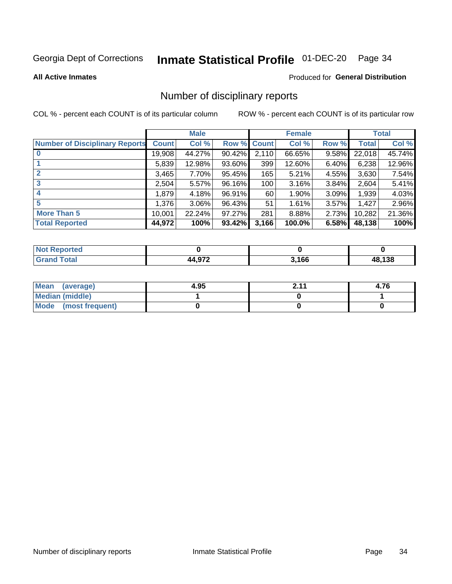### Inmate Statistical Profile 01-DEC-20 Page 34

#### **All Active Inmates**

#### Produced for General Distribution

#### Number of disciplinary reports

COL % - percent each COUNT is of its particular column

|                                       |              | <b>Male</b> |             |       | <b>Female</b> |       |        | <b>Total</b> |
|---------------------------------------|--------------|-------------|-------------|-------|---------------|-------|--------|--------------|
| <b>Number of Disciplinary Reports</b> | <b>Count</b> | Col %       | Row % Count |       | Col %         | Row % | Total  | Col %        |
| $\bf{0}$                              | 19,908       | 44.27%      | $90.42\%$   | 2,110 | 66.65%        | 9.58% | 22,018 | 45.74%       |
|                                       | 5,839        | 12.98%      | 93.60%      | 399   | 12.60%        | 6.40% | 6,238  | 12.96%       |
| $\mathbf{2}$                          | 3,465        | 7.70%       | 95.45%      | 165   | 5.21%         | 4.55% | 3,630  | 7.54%        |
| 3                                     | 2,504        | 5.57%       | 96.16%      | 100   | 3.16%         | 3.84% | 2,604  | 5.41%        |
|                                       | 1.879        | 4.18%       | 96.91%      | 60    | 1.90%         | 3.09% | 1,939  | 4.03%        |
| 5                                     | 1,376        | 3.06%       | 96.43%      | 51    | 1.61%         | 3.57% | 1,427  | 2.96%        |
| <b>More Than 5</b>                    | 10,001       | 22.24%      | 97.27%      | 281   | 8.88%         | 2.73% | 10,282 | 21.36%       |
| <b>Total Reported</b>                 | 44,972       | 100%        | 93.42%      | 3,166 | 100.0%        | 6.58% | 48,138 | 100%         |

| Reported<br><b>NOT</b> |     |       |       |
|------------------------|-----|-------|-------|
| Total                  | 070 | 3,166 | 8.138 |

| Mean (average)       | 4.95 | n 11<br>Ł. I | 4.76 |
|----------------------|------|--------------|------|
| Median (middle)      |      |              |      |
| Mode (most frequent) |      |              |      |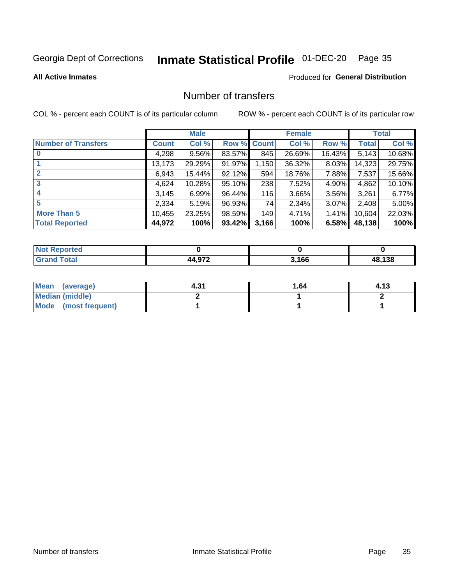# Inmate Statistical Profile 01-DEC-20 Page 35

**All Active Inmates** 

#### **Produced for General Distribution**

### Number of transfers

COL % - percent each COUNT is of its particular column

|                            | <b>Male</b> |          | <b>Female</b> |       |        | <b>Total</b> |        |        |
|----------------------------|-------------|----------|---------------|-------|--------|--------------|--------|--------|
| <b>Number of Transfers</b> | Count l     | Col %    | Row % Count   |       | Col %  | Row %        | Total  | Col %  |
|                            | 4,298       | $9.56\%$ | 83.57%        | 845   | 26.69% | 16.43%       | 5,143  | 10.68% |
|                            | 13,173      | 29.29%   | 91.97%        | 1,150 | 36.32% | 8.03%        | 14,323 | 29.75% |
| $\mathbf{2}$               | 6,943       | 15.44%   | 92.12%        | 594   | 18.76% | 7.88%        | 7,537  | 15.66% |
| 3                          | 4,624       | 10.28%   | 95.10%        | 238   | 7.52%  | $4.90\%$     | 4,862  | 10.10% |
|                            | 3,145       | 6.99%    | 96.44%        | 116   | 3.66%  | 3.56%        | 3,261  | 6.77%  |
| 5                          | 2,334       | 5.19%    | 96.93%        | 74    | 2.34%  | $3.07\%$     | 2,408  | 5.00%  |
| <b>More Than 5</b>         | 10,455      | 23.25%   | 98.59%        | 149   | 4.71%  | 1.41%        | 10,604 | 22.03% |
| <b>Total Reported</b>      | 44,972      | 100%     | 93.42%        | 3,166 | 100%   | 6.58%        | 48,138 | 100%   |

| Reported<br><b>NOT</b> |     |       |       |
|------------------------|-----|-------|-------|
| Total                  | 070 | 3,166 | 8.138 |

| Mean (average)       | 4.31 | 1.64 | 4.13 |
|----------------------|------|------|------|
| Median (middle)      |      |      |      |
| Mode (most frequent) |      |      |      |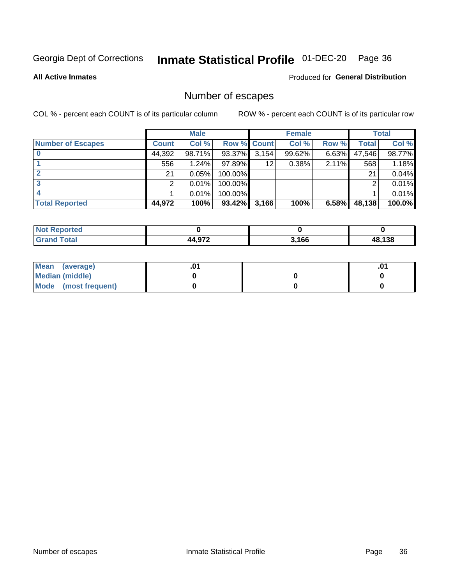### Inmate Statistical Profile 01-DEC-20 Page 36

**All Active Inmates** 

#### **Produced for General Distribution**

### Number of escapes

COL % - percent each COUNT is of its particular column

|                          |              | <b>Male</b> |             |       | <b>Female</b> |          |        | <b>Total</b> |
|--------------------------|--------------|-------------|-------------|-------|---------------|----------|--------|--------------|
| <b>Number of Escapes</b> | <b>Count</b> | Col %       | Row % Count |       | Col %         | Row %    | Total  | Col %        |
|                          | 44,392       | 98.71%      | 93.37%      | 3,154 | 99.62%        | $6.63\%$ | 47,546 | 98.77%       |
|                          | 556          | 1.24%       | $97.89\%$   | 12    | 0.38%         | 2.11%    | 568    | 1.18%        |
|                          | 21           | 0.05%       | 100.00%     |       |               |          | 21     | 0.04%        |
|                          |              | 0.01%       | $100.00\%$  |       |               |          |        | 0.01%        |
|                          |              | 0.01%       | 100.00%     |       |               |          |        | 0.01%        |
| <b>Total Reported</b>    | 44,972       | 100%        | $93.42\%$   | 3,166 | 100%          | 6.58%    | 48,138 | 100.0%       |

| <b>Reported</b> |                      |       |      |
|-----------------|----------------------|-------|------|
| Total           | רכם ג<br>40 L<br>$-$ | 3.166 | .138 |

| Mean (average)         |  | .0 <sup>4</sup> |
|------------------------|--|-----------------|
| <b>Median (middle)</b> |  |                 |
| Mode (most frequent)   |  |                 |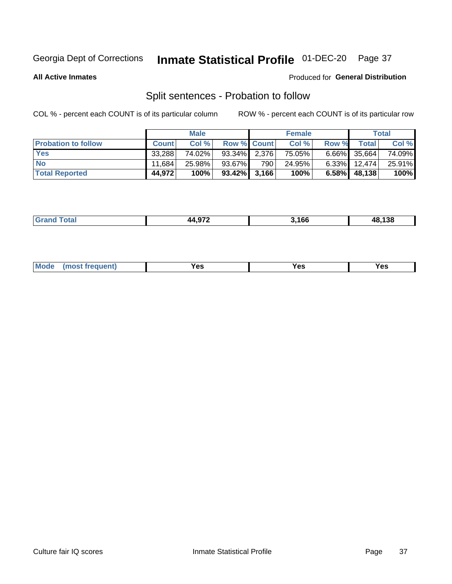#### Inmate Statistical Profile 01-DEC-20 Page 37

**All Active Inmates** 

#### Produced for General Distribution

### Split sentences - Probation to follow

COL % - percent each COUNT is of its particular column

|                            |              | <b>Male</b> |                 |     | <b>Female</b> |          |                 | <b>Total</b> |
|----------------------------|--------------|-------------|-----------------|-----|---------------|----------|-----------------|--------------|
| <b>Probation to follow</b> | <b>Count</b> | Col%        | Row % Count     |     | Col %         | Row %    | <b>Total</b>    | Col %        |
| <b>Yes</b>                 | 33.288       | 74.02%      | 93.34% 2.376    |     | 75.05%        |          | $6.66\%$ 35,664 | 74.09%       |
| <b>No</b>                  | 11.684       | 25.98%      | 93.67%          | 790 | 24.95%        | $6.33\%$ | 12,474          | 25.91%       |
| <b>Total Reported</b>      | 44.972       | 100%        | $93.42\%$ 3,166 |     | 100%          | $6.58\%$ | 48,138          | 100%         |

| $\sim$ | .166 | $\overline{\phantom{a}}$<br>- - |
|--------|------|---------------------------------|
|        |      |                                 |

| $Moo$<br>requent<br>′es<br>Yes<br><b>YAC</b><br>. |
|---------------------------------------------------|
|---------------------------------------------------|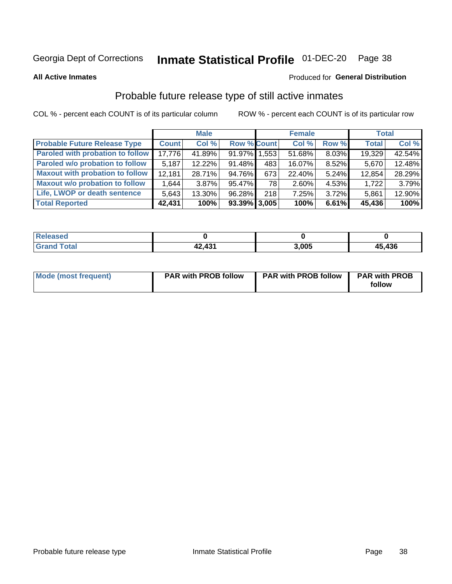# Inmate Statistical Profile 01-DEC-20 Page 38

**All Active Inmates** 

#### Produced for General Distribution

### Probable future release type of still active inmates

COL % - percent each COUNT is of its particular column

|                                         |              | <b>Male</b> |                    |     | <b>Female</b> |          | <b>Total</b> |        |
|-----------------------------------------|--------------|-------------|--------------------|-----|---------------|----------|--------------|--------|
| <b>Probable Future Release Type</b>     | <b>Count</b> | Col %       | <b>Row % Count</b> |     | Col %         | Row %    | <b>Total</b> | Col %  |
| <b>Paroled with probation to follow</b> | 17,776       | 41.89%      | 91.97% 1.553       |     | 51.68%        | $8.03\%$ | 19,329       | 42.54% |
| Paroled w/o probation to follow         | 5,187        | $12.22\%$   | 91.48%             | 483 | 16.07%        | 8.52%    | 5,670        | 12.48% |
| <b>Maxout with probation to follow</b>  | 12,181       | 28.71%      | 94.76%             | 673 | 22.40%        | 5.24%    | 12,854       | 28.29% |
| <b>Maxout w/o probation to follow</b>   | 1,644        | $3.87\%$    | 95.47%             | 78  | 2.60%         | 4.53%    | 1,722        | 3.79%  |
| Life, LWOP or death sentence            | 5,643        | 13.30%      | 96.28%             | 218 | 7.25%         | $3.72\%$ | 5,861        | 12.90% |
| <b>Total Reported</b>                   | 42,431       | 100%        | $93.39\%$ 3,005    |     | 100%          | 6.61%    | 45,436       | 100%   |

| .eleased     |                         |       |            |
|--------------|-------------------------|-------|------------|
| <b>cotal</b> | $\overline{1}31$<br>- - | 3.005 | ,436<br>45 |

| <b>Mode (most frequent)</b> | <b>PAR with PROB follow</b> | <b>PAR with PROB follow</b> | <b>PAR with PROB</b> |
|-----------------------------|-----------------------------|-----------------------------|----------------------|
|                             |                             |                             | follow               |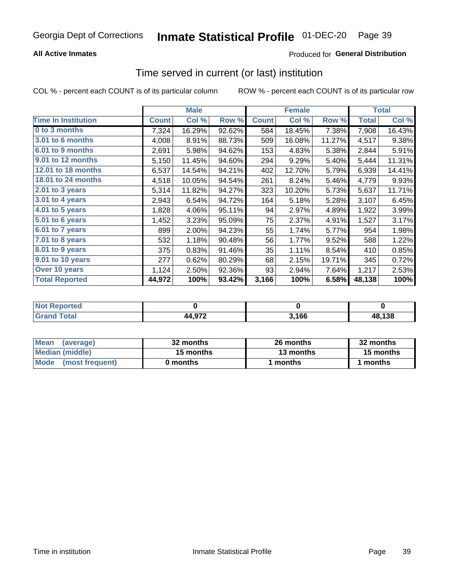### **All Active Inmates**

### **Produced for General Distribution**

# Time served in current (or last) institution

COL % - percent each COUNT is of its particular column

|                            |              | <b>Male</b> |        |              | <b>Female</b> |        |              | <b>Total</b> |
|----------------------------|--------------|-------------|--------|--------------|---------------|--------|--------------|--------------|
| <b>Time In Institution</b> | <b>Count</b> | Col %       | Row %  | <b>Count</b> | Col %         | Row %  | <b>Total</b> | Col $%$      |
| 0 to 3 months              | 7,324        | 16.29%      | 92.62% | 584          | 18.45%        | 7.38%  | 7,908        | 16.43%       |
| 3.01 to 6 months           | 4,008        | 8.91%       | 88.73% | 509          | 16.08%        | 11.27% | 4,517        | 9.38%        |
| 6.01 to 9 months           | 2,691        | 5.98%       | 94.62% | 153          | 4.83%         | 5.38%  | 2,844        | 5.91%        |
| 9.01 to 12 months          | 5,150        | 11.45%      | 94.60% | 294          | 9.29%         | 5.40%  | 5,444        | 11.31%       |
| <b>12.01 to 18 months</b>  | 6,537        | 14.54%      | 94.21% | 402          | 12.70%        | 5.79%  | 6,939        | 14.41%       |
| <b>18.01 to 24 months</b>  | 4,518        | 10.05%      | 94.54% | 261          | 8.24%         | 5.46%  | 4,779        | 9.93%        |
| 2.01 to 3 years            | 5,314        | 11.82%      | 94.27% | 323          | 10.20%        | 5.73%  | 5,637        | 11.71%       |
| $3.01$ to 4 years          | 2,943        | 6.54%       | 94.72% | 164          | 5.18%         | 5.28%  | 3,107        | 6.45%        |
| 4.01 to 5 years            | 1,828        | 4.06%       | 95.11% | 94           | 2.97%         | 4.89%  | 1,922        | 3.99%        |
| 5.01 to 6 years            | 1,452        | 3.23%       | 95.09% | 75           | 2.37%         | 4.91%  | 1,527        | 3.17%        |
| 6.01 to 7 years            | 899          | 2.00%       | 94.23% | 55           | 1.74%         | 5.77%  | 954          | 1.98%        |
| $7.01$ to 8 years          | 532          | 1.18%       | 90.48% | 56           | 1.77%         | 9.52%  | 588          | 1.22%        |
| $8.01$ to 9 years          | 375          | 0.83%       | 91.46% | 35           | 1.11%         | 8.54%  | 410          | 0.85%        |
| 9.01 to 10 years           | 277          | 0.62%       | 80.29% | 68           | 2.15%         | 19.71% | 345          | 0.72%        |
| Over 10 years              | 1,124        | 2.50%       | 92.36% | 93           | 2.94%         | 7.64%  | 1,217        | 2.53%        |
| <b>Total Reported</b>      | 44,972       | 100%        | 93.42% | 3,166        | 100%          | 6.58%  | 48,138       | 100%         |

| <b>Not</b><br>Reported |        |      |        |
|------------------------|--------|------|--------|
| <b>otal</b>            | 44,972 | ,166 | 48,138 |

| <b>Mean</b><br>(average) | 32 months | 26 months | 32 months |
|--------------------------|-----------|-----------|-----------|
| Median (middle)          | 15 months | 13 months | 15 months |
| Mode<br>(most frequent)  | 0 months  | months    | months    |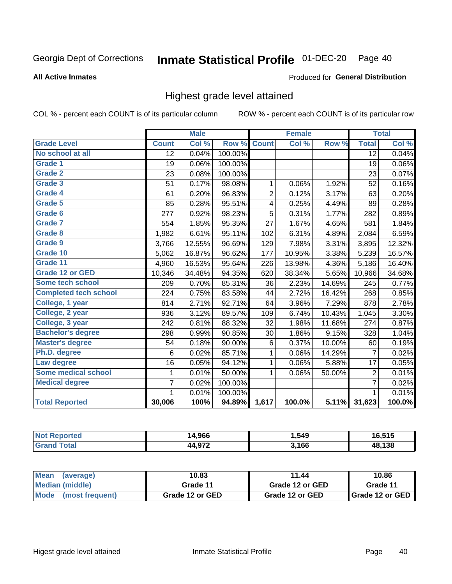#### Inmate Statistical Profile 01-DEC-20 Page 40

#### **All Active Inmates**

#### Produced for General Distribution

### Highest grade level attained

COL % - percent each COUNT is of its particular column

|                              |                 | <b>Male</b> |         |                | <b>Female</b> |                     |                 | <b>Total</b> |
|------------------------------|-----------------|-------------|---------|----------------|---------------|---------------------|-----------------|--------------|
| <b>Grade Level</b>           | <b>Count</b>    | Col %       | Row %   | <b>Count</b>   | Col %         | Row %               | <b>Total</b>    | Col %        |
| No school at all             | $\overline{12}$ | 0.04%       | 100.00% |                |               |                     | $\overline{12}$ | 0.04%        |
| <b>Grade 1</b>               | 19              | 0.06%       | 100.00% |                |               |                     | 19              | 0.06%        |
| <b>Grade 2</b>               | 23              | 0.08%       | 100.00% |                |               |                     | 23              | 0.07%        |
| Grade 3                      | 51              | 0.17%       | 98.08%  | $\mathbf{1}$   | 0.06%         | 1.92%               | 52              | 0.16%        |
| <b>Grade 4</b>               | 61              | 0.20%       | 96.83%  | $\overline{2}$ | 0.12%         | 3.17%               | 63              | 0.20%        |
| Grade 5                      | 85              | 0.28%       | 95.51%  | 4              | 0.25%         | 4.49%               | 89              | 0.28%        |
| Grade 6                      | 277             | 0.92%       | 98.23%  | $\overline{5}$ | 0.31%         | 1.77%               | 282             | 0.89%        |
| <b>Grade 7</b>               | 554             | 1.85%       | 95.35%  | 27             | 1.67%         | 4.65%               | 581             | 1.84%        |
| Grade 8                      | 1,982           | 6.61%       | 95.11%  | 102            | 6.31%         | 4.89%               | 2,084           | 6.59%        |
| Grade 9                      | 3,766           | 12.55%      | 96.69%  | 129            | 7.98%         | 3.31%               | 3,895           | 12.32%       |
| Grade 10                     | 5,062           | 16.87%      | 96.62%  | 177            | 10.95%        | 3.38%               | 5,239           | 16.57%       |
| Grade 11                     | 4,960           | 16.53%      | 95.64%  | 226            | 13.98%        | 4.36%               | 5,186           | 16.40%       |
| <b>Grade 12 or GED</b>       | 10,346          | 34.48%      | 94.35%  | 620            | 38.34%        | 5.65%               | 10,966          | 34.68%       |
| <b>Some tech school</b>      | 209             | 0.70%       | 85.31%  | 36             | 2.23%         | 14.69%              | 245             | 0.77%        |
| <b>Completed tech school</b> | 224             | 0.75%       | 83.58%  | 44             | 2.72%         | 16.42%              | 268             | 0.85%        |
| College, 1 year              | 814             | 2.71%       | 92.71%  | 64             | 3.96%         | 7.29%               | 878             | 2.78%        |
| College, 2 year              | 936             | 3.12%       | 89.57%  | 109            | 6.74%         | 10.43%              | 1,045           | 3.30%        |
| College, 3 year              | 242             | 0.81%       | 88.32%  | 32             | 1.98%         | 11.68%              | 274             | 0.87%        |
| <b>Bachelor's degree</b>     | 298             | 0.99%       | 90.85%  | 30             | 1.86%         | 9.15%               | 328             | 1.04%        |
| <b>Master's degree</b>       | 54              | 0.18%       | 90.00%  | 6              | 0.37%         | 10.00%              | 60              | 0.19%        |
| Ph.D. degree                 | 6               | 0.02%       | 85.71%  | 1              | 0.06%         | 14.29%              | $\overline{7}$  | 0.02%        |
| Law degree                   | 16              | 0.05%       | 94.12%  | $\mathbf{1}$   | 0.06%         | 5.88%               | 17              | 0.05%        |
| <b>Some medical school</b>   | 1               | 0.01%       | 50.00%  | 1              | 0.06%         | 50.00%              | $\overline{2}$  | 0.01%        |
| <b>Medical degree</b>        | 7               | 0.02%       | 100.00% |                |               |                     | $\overline{7}$  | 0.02%        |
|                              | $\mathbf 1$     | 0.01%       | 100.00% |                |               |                     | 1               | 0.01%        |
| <b>Total Reported</b>        | 30,006          | 100%        | 94.89%  | 1,617          | 100.0%        | $\overline{5.11\%}$ | 31,623          | 100.0%       |

| 4.966<br>ıл | 549. ا | <b>FAF</b> |
|-------------|--------|------------|
| 1.070       | 3,166  | 10 190     |

| <b>Mean</b><br>(average) | 10.83           | 11.44           | 10.86           |  |
|--------------------------|-----------------|-----------------|-----------------|--|
| Median (middle)          | Grade 11        | Grade 12 or GED | Grade 11        |  |
| Mode<br>(most frequent)  | Grade 12 or GED | Grade 12 or GED | Grade 12 or GED |  |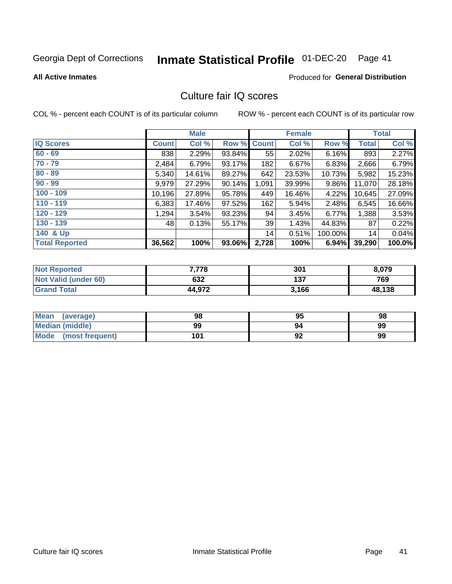# Inmate Statistical Profile 01-DEC-20 Page 41

#### **All Active Inmates**

#### **Produced for General Distribution**

### Culture fair IQ scores

COL % - percent each COUNT is of its particular column

|                       |              | <b>Male</b> |        |              | <b>Female</b> |         |              | <b>Total</b> |
|-----------------------|--------------|-------------|--------|--------------|---------------|---------|--------------|--------------|
| <b>IQ Scores</b>      | <b>Count</b> | Col %       | Row %  | <b>Count</b> | Col %         | Row %   | <b>Total</b> | Col %        |
| $60 - 69$             | 838          | 2.29%       | 93.84% | 55           | 2.02%         | 6.16%   | 893          | 2.27%        |
| $70 - 79$             | 2,484        | 6.79%       | 93.17% | 182          | 6.67%         | 6.83%   | 2,666        | 6.79%        |
| $80 - 89$             | 5,340        | 14.61%      | 89.27% | 642          | 23.53%        | 10.73%  | 5,982        | 15.23%       |
| $90 - 99$             | 9,979        | 27.29%      | 90.14% | 1,091        | 39.99%        | 9.86%   | 11,070       | 28.18%       |
| $100 - 109$           | 10,196       | 27.89%      | 95.78% | 449          | 16.46%        | 4.22%   | 10,645       | 27.09%       |
| $110 - 119$           | 6,383        | 17.46%      | 97.52% | 162          | 5.94%         | 2.48%   | 6,545        | 16.66%       |
| $120 - 129$           | 1,294        | 3.54%       | 93.23% | 94           | 3.45%         | 6.77%   | 1,388        | 3.53%        |
| $130 - 139$           | 48           | 0.13%       | 55.17% | 39           | 1.43%         | 44.83%  | 87           | 0.22%        |
| 140 & Up              |              |             |        | 14           | 0.51%         | 100.00% | 14           | 0.04%        |
| <b>Total Reported</b> | 36,562       | 100%        | 93.06% | 2,728        | 100%          | 6.94%   | 39,290       | 100.0%       |

| <b>Not Reported</b>         | 7,778  | 301   | 8,079  |
|-----------------------------|--------|-------|--------|
| <b>Not Valid (under 60)</b> | 632    | 137   | 769    |
| <b>Grand Total</b>          | 44,972 | 3,166 | 48,138 |

| <b>Mean</b><br>(average) | 98  | 95 | 98 |
|--------------------------|-----|----|----|
| Median (middle)          | 99  | 94 | 99 |
| Mode<br>(most frequent)  | 101 | 92 | 99 |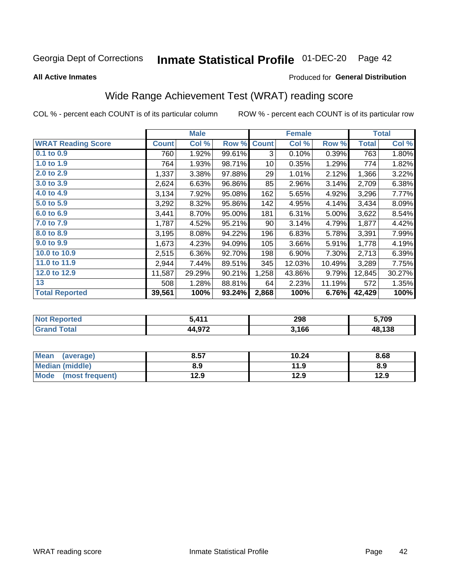#### Inmate Statistical Profile 01-DEC-20 Page 42

**All Active Inmates** 

#### Produced for General Distribution

## Wide Range Achievement Test (WRAT) reading score

COL % - percent each COUNT is of its particular column

|                           |              | <b>Male</b> |        |              | <b>Female</b> |        |              | <b>Total</b> |
|---------------------------|--------------|-------------|--------|--------------|---------------|--------|--------------|--------------|
| <b>WRAT Reading Score</b> | <b>Count</b> | Col %       | Row %  | <b>Count</b> | Col %         | Row %  | <b>Total</b> | Col %        |
| $0.1$ to $0.9$            | 760          | 1.92%       | 99.61% | 3            | 0.10%         | 0.39%  | 763          | 1.80%        |
| 1.0 to 1.9                | 764          | 1.93%       | 98.71% | 10           | 0.35%         | 1.29%  | 774          | 1.82%        |
| 2.0 to 2.9                | 1,337        | 3.38%       | 97.88% | 29           | 1.01%         | 2.12%  | 1,366        | 3.22%        |
| 3.0 to 3.9                | 2,624        | 6.63%       | 96.86% | 85           | 2.96%         | 3.14%  | 2,709        | 6.38%        |
| 4.0 to 4.9                | 3,134        | 7.92%       | 95.08% | 162          | 5.65%         | 4.92%  | 3,296        | 7.77%        |
| 5.0 to 5.9                | 3,292        | 8.32%       | 95.86% | 142          | 4.95%         | 4.14%  | 3,434        | 8.09%        |
| 6.0 to 6.9                | 3,441        | 8.70%       | 95.00% | 181          | 6.31%         | 5.00%  | 3,622        | 8.54%        |
| 7.0 to 7.9                | 1,787        | 4.52%       | 95.21% | 90           | 3.14%         | 4.79%  | 1,877        | 4.42%        |
| 8.0 to 8.9                | 3,195        | 8.08%       | 94.22% | 196          | 6.83%         | 5.78%  | 3,391        | 7.99%        |
| 9.0 to 9.9                | 1,673        | 4.23%       | 94.09% | 105          | 3.66%         | 5.91%  | 1,778        | 4.19%        |
| 10.0 to 10.9              | 2,515        | 6.36%       | 92.70% | 198          | 6.90%         | 7.30%  | 2,713        | 6.39%        |
| 11.0 to 11.9              | 2,944        | 7.44%       | 89.51% | 345          | 12.03%        | 10.49% | 3,289        | 7.75%        |
| 12.0 to 12.9              | 11,587       | 29.29%      | 90.21% | 1,258        | 43.86%        | 9.79%  | 12,845       | 30.27%       |
| 13                        | 508          | 1.28%       | 88.81% | 64           | 2.23%         | 11.19% | 572          | 1.35%        |
| <b>Total Reported</b>     | 39,561       | 100%        | 93.24% | 2,868        | 100%          | 6.76%  | 42,429       | 100%         |

| <u>orteo</u><br>' NOT | .111            | 298   | 5,709  |
|-----------------------|-----------------|-------|--------|
| $F$ ntal              | 1 072<br>44.97Z | 3,166 | 48,138 |

| Mean<br>(average)      | 8.57 | 10.24 | 8.68 |
|------------------------|------|-------|------|
| <b>Median (middle)</b> | 8.9  | 11.9  | 8.9  |
| Mode (most frequent)   | 12.9 | 12.9  | 12.9 |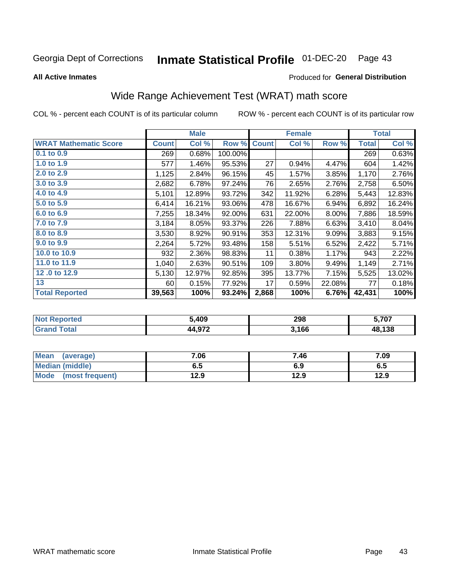#### Inmate Statistical Profile 01-DEC-20 Page 43

**All Active Inmates** 

#### Produced for General Distribution

## Wide Range Achievement Test (WRAT) math score

COL % - percent each COUNT is of its particular column

|                              |              | <b>Male</b> |         |                 | <b>Female</b> |          |              | <b>Total</b> |
|------------------------------|--------------|-------------|---------|-----------------|---------------|----------|--------------|--------------|
| <b>WRAT Mathematic Score</b> | <b>Count</b> | Col %       | Row %   | <b>Count</b>    | Col %         | Row %    | <b>Total</b> | Col %        |
| $0.1$ to $0.9$               | 269          | 0.68%       | 100.00% |                 |               |          | 269          | 0.63%        |
| 1.0 to 1.9                   | 577          | 1.46%       | 95.53%  | 27              | 0.94%         | 4.47%    | 604          | 1.42%        |
| 2.0 to 2.9                   | 1,125        | 2.84%       | 96.15%  | 45              | 1.57%         | 3.85%    | 1,170        | 2.76%        |
| 3.0 to 3.9                   | 2,682        | 6.78%       | 97.24%  | 76              | 2.65%         | 2.76%    | 2,758        | 6.50%        |
| 4.0 to 4.9                   | 5,101        | 12.89%      | 93.72%  | 342             | 11.92%        | 6.28%    | 5,443        | 12.83%       |
| 5.0 to 5.9                   | 6,414        | 16.21%      | 93.06%  | 478             | 16.67%        | 6.94%    | 6,892        | 16.24%       |
| 6.0 to 6.9                   | 7,255        | 18.34%      | 92.00%  | 631             | 22.00%        | $8.00\%$ | 7,886        | 18.59%       |
| 7.0 to 7.9                   | 3,184        | 8.05%       | 93.37%  | 226             | 7.88%         | 6.63%    | 3,410        | 8.04%        |
| 8.0 to 8.9                   | 3,530        | 8.92%       | 90.91%  | 353             | 12.31%        | 9.09%    | 3,883        | 9.15%        |
| 9.0 to 9.9                   | 2,264        | 5.72%       | 93.48%  | 158             | 5.51%         | 6.52%    | 2,422        | 5.71%        |
| 10.0 to 10.9                 | 932          | 2.36%       | 98.83%  | 11              | 0.38%         | 1.17%    | 943          | 2.22%        |
| 11.0 to 11.9                 | 1,040        | 2.63%       | 90.51%  | 109             | 3.80%         | 9.49%    | 1,149        | 2.71%        |
| 12.0 to 12.9                 | 5,130        | 12.97%      | 92.85%  | 395             | 13.77%        | 7.15%    | 5,525        | 13.02%       |
| 13                           | 60           | 0.15%       | 77.92%  | 17 <sub>1</sub> | 0.59%         | 22.08%   | 77           | 0.18%        |
| <b>Total Reported</b>        | 39,563       | 100%        | 93.24%  | 2,868           | 100%          | 6.76%    | 42,431       | 100%         |

| rted<br>NO | 5,409                  | 298   | 5,707  |
|------------|------------------------|-------|--------|
| $\sim$ fol | רכם ו<br>ад<br>44.JI 4 | 3,166 | 48,138 |

| <b>Mean</b><br>(average)       | 7.06 | 7.46 | 7.09 |
|--------------------------------|------|------|------|
| Median (middle)                | 6.5  | 6.9  | ს.ე  |
| <b>Mode</b><br>(most frequent) | 12.9 | 12.9 | 12.9 |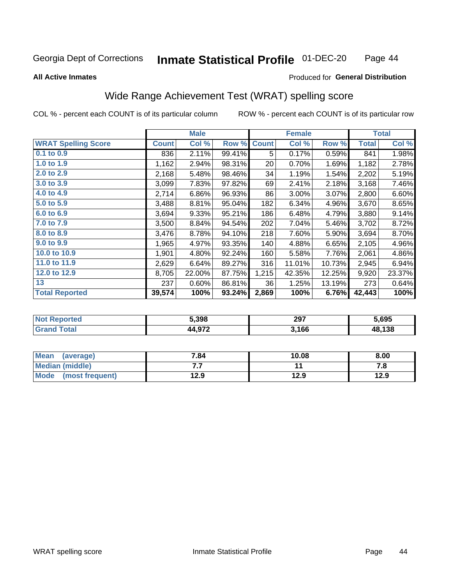#### Inmate Statistical Profile 01-DEC-20 Page 44

#### **All Active Inmates**

### Produced for General Distribution

### Wide Range Achievement Test (WRAT) spelling score

COL % - percent each COUNT is of its particular column

|                            |              | <b>Male</b> |        |              | <b>Female</b> |        |              | <b>Total</b> |
|----------------------------|--------------|-------------|--------|--------------|---------------|--------|--------------|--------------|
| <b>WRAT Spelling Score</b> | <b>Count</b> | Col %       | Row %  | <b>Count</b> | Col %         | Row %  | <b>Total</b> | Col %        |
| $0.1$ to $0.9$             | 836          | 2.11%       | 99.41% | 5            | 0.17%         | 0.59%  | 841          | 1.98%        |
| 1.0 to 1.9                 | 1,162        | 2.94%       | 98.31% | 20           | 0.70%         | 1.69%  | 1,182        | 2.78%        |
| 2.0 to 2.9                 | 2,168        | 5.48%       | 98.46% | 34           | 1.19%         | 1.54%  | 2,202        | 5.19%        |
| 3.0 to 3.9                 | 3,099        | 7.83%       | 97.82% | 69           | 2.41%         | 2.18%  | 3,168        | 7.46%        |
| 4.0 to 4.9                 | 2,714        | 6.86%       | 96.93% | 86           | 3.00%         | 3.07%  | 2,800        | 6.60%        |
| 5.0 to 5.9                 | 3,488        | 8.81%       | 95.04% | 182          | 6.34%         | 4.96%  | 3,670        | 8.65%        |
| 6.0 to 6.9                 | 3,694        | 9.33%       | 95.21% | 186          | 6.48%         | 4.79%  | 3,880        | 9.14%        |
| 7.0 to 7.9                 | 3,500        | 8.84%       | 94.54% | 202          | 7.04%         | 5.46%  | 3,702        | 8.72%        |
| 8.0 to 8.9                 | 3,476        | 8.78%       | 94.10% | 218          | 7.60%         | 5.90%  | 3,694        | 8.70%        |
| 9.0 to 9.9                 | 1,965        | 4.97%       | 93.35% | 140          | 4.88%         | 6.65%  | 2,105        | 4.96%        |
| 10.0 to 10.9               | 1,901        | 4.80%       | 92.24% | 160          | 5.58%         | 7.76%  | 2,061        | 4.86%        |
| 11.0 to 11.9               | 2,629        | 6.64%       | 89.27% | 316          | 11.01%        | 10.73% | 2,945        | 6.94%        |
| 12.0 to 12.9               | 8,705        | 22.00%      | 87.75% | 1,215        | 42.35%        | 12.25% | 9,920        | 23.37%       |
| 13                         | 237          | 0.60%       | 86.81% | 36           | 1.25%         | 13.19% | 273          | 0.64%        |
| <b>Total Reported</b>      | 39,574       | 100%        | 93.24% | 2,869        | 100%          | 6.76%  | 42,443       | 100%         |

| тес.<br>NO | 5,398                 | 297<br>___ | 5,695  |
|------------|-----------------------|------------|--------|
| $\sim$ 10  | $\lambda$ 0.72<br>л л | 3,166      | 48,138 |

| <b>Mean</b><br>(average)       | 7.84 | 10.08 | 8.00 |
|--------------------------------|------|-------|------|
| Median (middle)                | . .  |       | 7. O |
| <b>Mode</b><br>(most frequent) | 12.9 | 12.9  | 12.9 |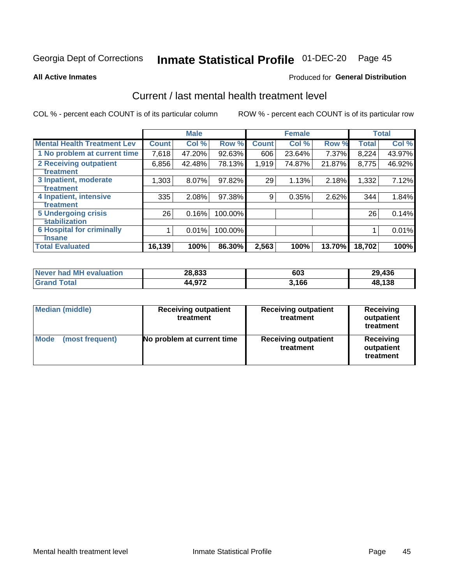# Inmate Statistical Profile 01-DEC-20 Page 45

**All Active Inmates** 

### **Produced for General Distribution**

## Current / last mental health treatment level

COL % - percent each COUNT is of its particular column

|                                    |              | <b>Male</b> |           |              | <b>Female</b> |        |              | <b>Total</b> |
|------------------------------------|--------------|-------------|-----------|--------------|---------------|--------|--------------|--------------|
| <b>Mental Health Treatment Lev</b> | <b>Count</b> | Col %       | Row %     | <b>Count</b> | Col %         | Row %  | <b>Total</b> | Col %        |
| 1 No problem at current time       | 7,618        | 47.20%      | $92.63\%$ | 606          | 23.64%        | 7.37%  | 8,224        | 43.97%       |
| <b>2 Receiving outpatient</b>      | 6,856        | 42.48%      | 78.13%    | 1,919        | 74.87%        | 21.87% | 8,775        | 46.92%       |
| <b>Treatment</b>                   |              |             |           |              |               |        |              |              |
| 3 Inpatient, moderate              | 1,303        | 8.07%       | 97.82%    | 29           | 1.13%         | 2.18%  | 1,332        | 7.12%        |
| <b>Treatment</b>                   |              |             |           |              |               |        |              |              |
| 4 Inpatient, intensive             | 335          | 2.08%       | 97.38%    | 9            | 0.35%         | 2.62%  | 344          | 1.84%        |
| Treatment                          |              |             |           |              |               |        |              |              |
| 5 Undergoing crisis                | 26           | 0.16%       | 100.00%   |              |               |        | 26           | 0.14%        |
| <b>stabilization</b>               |              |             |           |              |               |        |              |              |
| <b>6 Hospital for criminally</b>   |              | 0.01%       | 100.00%   |              |               |        |              | 0.01%        |
| <b>Tinsane</b>                     |              |             |           |              |               |        |              |              |
| <b>Total Evaluated</b>             | 16,139       | 100%        | 86.30%    | 2,563        | 100%          | 13.70% | 18,702       | 100%         |

| Never had MH evaluation | 28,833 | 603   | 29,436 |
|-------------------------|--------|-------|--------|
| <b>Grand Total</b>      | 44,972 | 3.166 | 48,138 |

| <b>Median (middle)</b>         | <b>Receiving outpatient</b><br>treatment | <b>Receiving outpatient</b><br>treatment | <b>Receiving</b><br>outpatient<br>treatment |  |
|--------------------------------|------------------------------------------|------------------------------------------|---------------------------------------------|--|
| <b>Mode</b><br>(most frequent) | No problem at current time               | <b>Receiving outpatient</b><br>treatment | Receiving<br>outpatient<br>treatment        |  |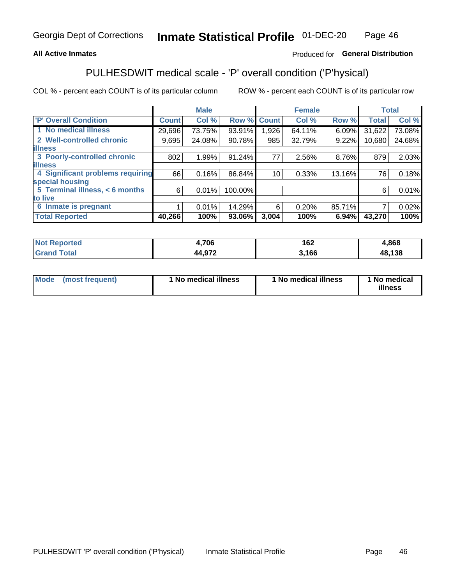### **All Active Inmates**

### Produced for General Distribution

## PULHESDWIT medical scale - 'P' overall condition ('P'hysical)

COL % - percent each COUNT is of its particular column

|                                  |              | <b>Male</b> |         |              | <b>Female</b> |        |              | <b>Total</b> |
|----------------------------------|--------------|-------------|---------|--------------|---------------|--------|--------------|--------------|
| <b>P' Overall Condition</b>      | <b>Count</b> | Col %       | Row %   | <b>Count</b> | Col %         | Row %  | <b>Total</b> | Col %        |
| 1 No medical illness             | 29,696       | 73.75%      | 93.91%  | 1,926        | 64.11%        | 6.09%  | 31,622       | 73.08%       |
| 2 Well-controlled chronic        | 9,695        | 24.08%      | 90.78%  | 985          | 32.79%        | 9.22%  | 10,680       | 24.68%       |
| <b>illness</b>                   |              |             |         |              |               |        |              |              |
| 3 Poorly-controlled chronic      | 802          | 1.99%       | 91.24%  | 77           | 2.56%         | 8.76%  | 879          | 2.03%        |
| <b>illness</b>                   |              |             |         |              |               |        |              |              |
| 4 Significant problems requiring | 66           | 0.16%       | 86.84%  | 10           | 0.33%         | 13.16% | 76           | 0.18%        |
| special housing                  |              |             |         |              |               |        |              |              |
| 5 Terminal illness, < 6 months   | 6            | 0.01%       | 100.00% |              |               |        | 6            | 0.01%        |
| to live                          |              |             |         |              |               |        |              |              |
| 6 Inmate is pregnant             |              | 0.01%       | 14.29%  | 6            | 0.20%         | 85.71% | 7            | 0.02%        |
| <b>Total Reported</b>            | 40,266       | 100%        | 93.06%  | 3,004        | 100%          | 6.94%  | 43,270       | 100%         |

| N<br>rer    | ,706  | ה הו<br>16Z | ,868       |
|-------------|-------|-------------|------------|
| $5 - 6 - 1$ | 1.070 | .166        | .138<br>ЛS |

| Mode | (most frequent) | 1 No medical illness | 1 No medical illness | 1 No medical<br>illness |
|------|-----------------|----------------------|----------------------|-------------------------|
|------|-----------------|----------------------|----------------------|-------------------------|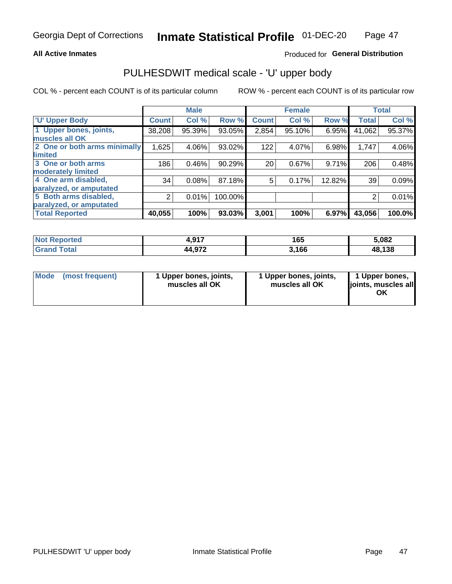#### **All Active Inmates**

### Produced for General Distribution

# PULHESDWIT medical scale - 'U' upper body

COL % - percent each COUNT is of its particular column

|                              |              | <b>Male</b> |         |              | <b>Female</b> |        |              | <b>Total</b> |
|------------------------------|--------------|-------------|---------|--------------|---------------|--------|--------------|--------------|
| <b>U' Upper Body</b>         | <b>Count</b> | Col %       | Row %   | <b>Count</b> | Col %         | Row %  | <b>Total</b> | Col %        |
| 1 Upper bones, joints,       | 38,208       | 95.39%      | 93.05%  | 2,854        | $95.10\%$     | 6.95%  | 41,062       | 95.37%       |
| muscles all OK               |              |             |         |              |               |        |              |              |
| 2 One or both arms minimally | 1,625        | 4.06%       | 93.02%  | 122          | 4.07%         | 6.98%  | 1,747        | 4.06%        |
| limited                      |              |             |         |              |               |        |              |              |
| 3 One or both arms           | 186          | 0.46%       | 90.29%  | 20           | 0.67%         | 9.71%  | 206          | 0.48%        |
| <b>moderately limited</b>    |              |             |         |              |               |        |              |              |
| 4 One arm disabled,          | 34           | 0.08%       | 87.18%  | 5            | 0.17%         | 12.82% | 39           | 0.09%        |
| paralyzed, or amputated      |              |             |         |              |               |        |              |              |
| 5 Both arms disabled,        | 2            | 0.01%       | 100.00% |              |               |        | 2            | 0.01%        |
| paralyzed, or amputated      |              |             |         |              |               |        |              |              |
| <b>Total Reported</b>        | 40,055       | 100%        | 93.03%  | 3,001        | 100%          | 6.97%  | 43,056       | 100.0%       |

| <b>Not Reported</b>   | 017<br>7.J I I | 165   | 5,082  |
|-----------------------|----------------|-------|--------|
| <b>Total</b><br>Grand | 44,972         | 3,166 | 48,138 |

|  | Mode (most frequent) | 1 Upper bones, joints,<br>muscles all OK | 1 Upper bones, joints,<br>muscles all OK | 1 Upper bones,<br>joints, muscles all<br>ΟK |
|--|----------------------|------------------------------------------|------------------------------------------|---------------------------------------------|
|--|----------------------|------------------------------------------|------------------------------------------|---------------------------------------------|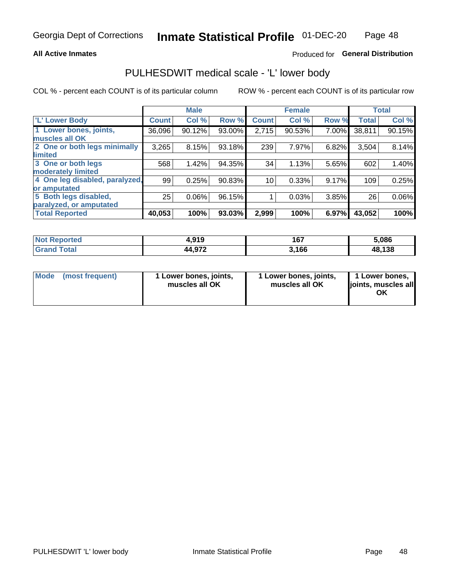#### **All Active Inmates**

### Produced for General Distribution

### PULHESDWIT medical scale - 'L' lower body

COL % - percent each COUNT is of its particular column

|                                |              | <b>Male</b> |        |              | <b>Female</b> |       |              | <b>Total</b> |
|--------------------------------|--------------|-------------|--------|--------------|---------------|-------|--------------|--------------|
| 'L' Lower Body                 | <b>Count</b> | Col %       | Row %  | <b>Count</b> | Col %         | Row % | <b>Total</b> | Col %        |
| 1 Lower bones, joints,         | 36,096       | 90.12%      | 93.00% | 2,715        | 90.53%        | 7.00% | 38,811       | 90.15%       |
| muscles all OK                 |              |             |        |              |               |       |              |              |
| 2 One or both legs minimally   | 3,265        | 8.15%       | 93.18% | 239          | 7.97%         | 6.82% | 3,504        | 8.14%        |
| limited                        |              |             |        |              |               |       |              |              |
| 3 One or both legs             | 568          | 1.42%       | 94.35% | 34           | 1.13%         | 5.65% | 602          | 1.40%        |
| moderately limited             |              |             |        |              |               |       |              |              |
| 4 One leg disabled, paralyzed, | 99           | 0.25%       | 90.83% | 10           | 0.33%         | 9.17% | 109          | 0.25%        |
| or amputated                   |              |             |        |              |               |       |              |              |
| 5 Both legs disabled,          | 25           | 0.06%       | 96.15% |              | 0.03%         | 3.85% | 26           | 0.06%        |
| paralyzed, or amputated        |              |             |        |              |               |       |              |              |
| <b>Total Reported</b>          | 40,053       | 100%        | 93.03% | 2,999        | 100%          | 6.97% | 43,052       | 100%         |

| Reported<br><b>Not</b> | 4,919           | 167   | 5.086  |
|------------------------|-----------------|-------|--------|
| <b>Total</b>           | l Q72<br>44.97∠ | 3,166 | 48,138 |

| Mode (most frequent) | 1 Lower bones, joints,<br>muscles all OK | 1 Lower bones, joints,<br>muscles all OK | 1 Lower bones,<br>joints, muscles all<br>ΟK |
|----------------------|------------------------------------------|------------------------------------------|---------------------------------------------|
|----------------------|------------------------------------------|------------------------------------------|---------------------------------------------|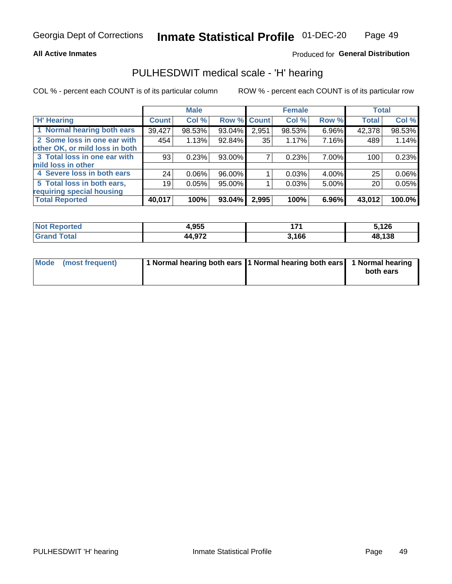#### **All Active Inmates**

### Produced for General Distribution

### PULHESDWIT medical scale - 'H' hearing

COL % - percent each COUNT is of its particular column

|                                |              | <b>Male</b> |             |       | <b>Female</b> |       | <b>Total</b> |        |
|--------------------------------|--------------|-------------|-------------|-------|---------------|-------|--------------|--------|
| <b>'H' Hearing</b>             | <b>Count</b> | Col %       | Row % Count |       | Col %         | Row % | <b>Total</b> | Col %  |
| 1 Normal hearing both ears     | 39,427       | 98.53%      | 93.04%      | 2,951 | 98.53%        | 6.96% | 42,378       | 98.53% |
| 2 Some loss in one ear with    | 454          | 1.13%       | 92.84%      | 35    | 1.17%         | 7.16% | 489          | 1.14%  |
| other OK, or mild loss in both |              |             |             |       |               |       |              |        |
| 3 Total loss in one ear with   | 93           | 0.23%       | 93.00%      |       | 0.23%         | 7.00% | 100          | 0.23%  |
| mild loss in other             |              |             |             |       |               |       |              |        |
| 4 Severe loss in both ears     | 24           | $0.06\%$    | 96.00%      |       | 0.03%         | 4.00% | 25           | 0.06%  |
| 5 Total loss in both ears,     | 19           | 0.05%       | 95.00%      |       | 0.03%         | 5.00% | 20           | 0.05%  |
| requiring special housing      |              |             |             |       |               |       |              |        |
| <b>Total Reported</b>          | 40,017       | 100%        | $93.04\%$   | 2,995 | 100%          | 6.96% | 43,012       | 100.0% |

| <b>Not Reported</b> | <b>OEE</b><br>1.933 | 4 7 4 | ,126   |
|---------------------|---------------------|-------|--------|
| Total               | 44,972              | 3,166 | 48,138 |

| Mode (most frequent) | 1 Normal hearing both ears 11 Normal hearing both ears 1 Normal hearing | both ears |
|----------------------|-------------------------------------------------------------------------|-----------|
|                      |                                                                         |           |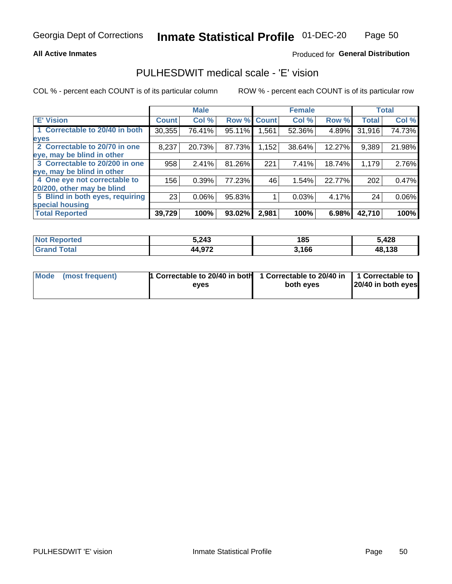#### **All Active Inmates**

### Produced for General Distribution

### PULHESDWIT medical scale - 'E' vision

COL % - percent each COUNT is of its particular column

|                                 |                    | <b>Male</b> |        |              | <b>Female</b> |        |              | <b>Total</b> |
|---------------------------------|--------------------|-------------|--------|--------------|---------------|--------|--------------|--------------|
| 'E' Vision                      | Count <sup>'</sup> | Col %       | Row %  | <b>Count</b> | Col %         | Row %  | <b>Total</b> | Col %        |
| 1 Correctable to 20/40 in both  | 30,355             | 76.41%      | 95.11% | .561         | 52.36%        | 4.89%  | 31,916       | 74.73%       |
| eyes                            |                    |             |        |              |               |        |              |              |
| 2 Correctable to 20/70 in one   | 8,237              | 20.73%      | 87.73% | .152         | 38.64%        | 12.27% | 9,389        | 21.98%       |
| leye, may be blind in other     |                    |             |        |              |               |        |              |              |
| 3 Correctable to 20/200 in one  | 958                | 2.41%       | 81.26% | 221          | 7.41%         | 18.74% | 1,179        | 2.76%        |
| leye, may be blind in other     |                    |             |        |              |               |        |              |              |
| 4 One eye not correctable to    | 156                | 0.39%       | 77.23% | 46           | 1.54%         | 22.77% | 202          | 0.47%        |
| 20/200, other may be blind      |                    |             |        |              |               |        |              |              |
| 5 Blind in both eyes, requiring | 23                 | 0.06%       | 95.83% |              | 0.03%         | 4.17%  | 24           | 0.06%        |
| special housing                 |                    |             |        |              |               |        |              |              |
| <b>Total Reported</b>           | 39,729             | 100%        | 93.02% | 2,981        | 100%          | 6.98%  | 42,710       | 100%         |

| <b>Not Reported</b> | 5,243  | 185   | 5,428  |
|---------------------|--------|-------|--------|
| <b>Total</b>        | 44,97∠ | 3,166 | 48,138 |

| Mode (most frequent) | 1 Correctable to 20/40 in both<br>eves | 1 Correctable to 20/40 in   1 Correctable to  <br>both eves | 20/40 in both eyes |
|----------------------|----------------------------------------|-------------------------------------------------------------|--------------------|
|                      |                                        |                                                             |                    |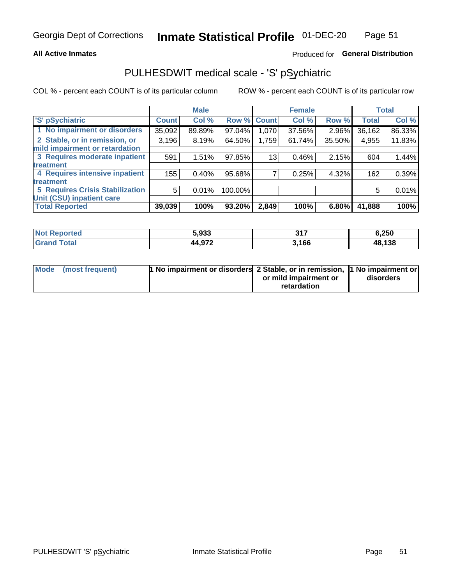#### **All Active Inmates**

### Produced for General Distribution

## PULHESDWIT medical scale - 'S' pSychiatric

COL % - percent each COUNT is of its particular column

|                                        |              | <b>Male</b> |         |              | <b>Female</b> |        |              | <b>Total</b> |
|----------------------------------------|--------------|-------------|---------|--------------|---------------|--------|--------------|--------------|
| 'S' pSychiatric                        | <b>Count</b> | Col %       | Row %   | <b>Count</b> | Col %         | Row %  | <b>Total</b> | Col %        |
| 1 No impairment or disorders           | 35,092       | 89.89%      | 97.04%  | .070 ا       | 37.56%        | 2.96%  | 36,162       | 86.33%       |
| 2 Stable, or in remission, or          | 3,196        | 8.19%       | 64.50%  | 1,759        | 61.74%        | 35.50% | 4,955        | 11.83%       |
| mild impairment or retardation         |              |             |         |              |               |        |              |              |
| 3 Requires moderate inpatient          | 591          | 1.51%       | 97.85%  | 13           | 0.46%         | 2.15%  | 604          | 1.44%        |
| <b>treatment</b>                       |              |             |         |              |               |        |              |              |
| 4 Requires intensive inpatient         | 155          | 0.40%       | 95.68%  |              | 0.25%         | 4.32%  | 162          | 0.39%        |
| <b>treatment</b>                       |              |             |         |              |               |        |              |              |
| <b>5 Requires Crisis Stabilization</b> | 5            | 0.01%       | 100.00% |              |               |        | 5            | 0.01%        |
| Unit (CSU) inpatient care              |              |             |         |              |               |        |              |              |
| <b>Total Reported</b>                  | 39,039       | 100%        | 93.20%  | 2,849        | 100%          | 6.80%  | 41,888       | 100%         |

| <b>Not Reported</b>   | 5,933  | 247<br>JI. | 6,250  |
|-----------------------|--------|------------|--------|
| Total<br><b>Grand</b> | 44,972 | 3,166      | 48,138 |

| Mode (most frequent) | <b>1 No impairment or disorders 2 Stable, or in remission, 1 No impairment or</b> |                       |           |
|----------------------|-----------------------------------------------------------------------------------|-----------------------|-----------|
|                      |                                                                                   | or mild impairment or | disorders |
|                      |                                                                                   | retardation           |           |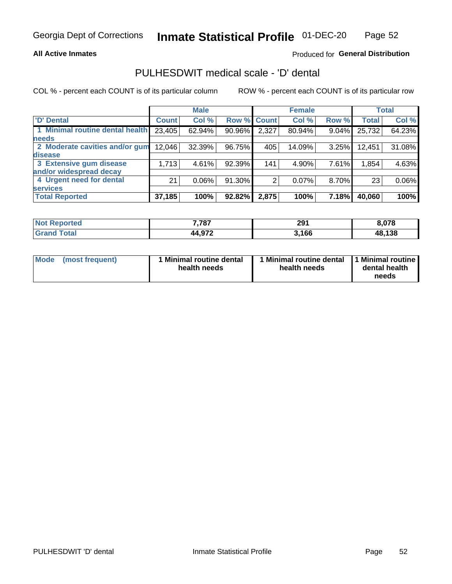#### **All Active Inmates**

### Produced for General Distribution

## PULHESDWIT medical scale - 'D' dental

COL % - percent each COUNT is of its particular column

|                                 |              | <b>Male</b> |        |              | <b>Female</b> |          |              | <b>Total</b> |
|---------------------------------|--------------|-------------|--------|--------------|---------------|----------|--------------|--------------|
| <b>D'</b> Dental                | <b>Count</b> | Col %       | Row %  | <b>Count</b> | Col %         | Row %    | <b>Total</b> | Col %        |
| 1 Minimal routine dental health | 23,405       | 62.94%      | 90.96% | 2,327        | 80.94%        | $9.04\%$ | 25,732       | 64.23%       |
| <b>needs</b>                    |              |             |        |              |               |          |              |              |
| 2 Moderate cavities and/or gum  | 12,046       | 32.39%      | 96.75% | 405          | 14.09%        | 3.25%    | 12,451       | 31.08%       |
| disease                         |              |             |        |              |               |          |              |              |
| 3 Extensive gum disease         | 1,713        | 4.61%       | 92.39% | 141          | 4.90%         | 7.61%    | 1,854        | 4.63%        |
| and/or widespread decay         |              |             |        |              |               |          |              |              |
| 4 Urgent need for dental        | 21           | $0.06\%$    | 91.30% | 2            | 0.07%         | 8.70%    | 23           | 0.06%        |
| <b>services</b>                 |              |             |        |              |               |          |              |              |
| <b>Total Reported</b>           | 37,185       | 100%        | 92.82% | 2,875        | 100%          | 7.18%    | 40,060       | 100%         |

| <b>Not Reported</b> | 7,787        | 291   | 0.070  |
|---------------------|--------------|-------|--------|
| Гоtal               | 14,972<br>ΔΔ | 3,166 | 48,138 |

| <b>Mode</b> | (most frequent) | <b>Minimal routine dental</b><br>health needs | 1 Minimal routine dental   1 Minimal routine  <br>health needs | dental health<br>needs |
|-------------|-----------------|-----------------------------------------------|----------------------------------------------------------------|------------------------|
|-------------|-----------------|-----------------------------------------------|----------------------------------------------------------------|------------------------|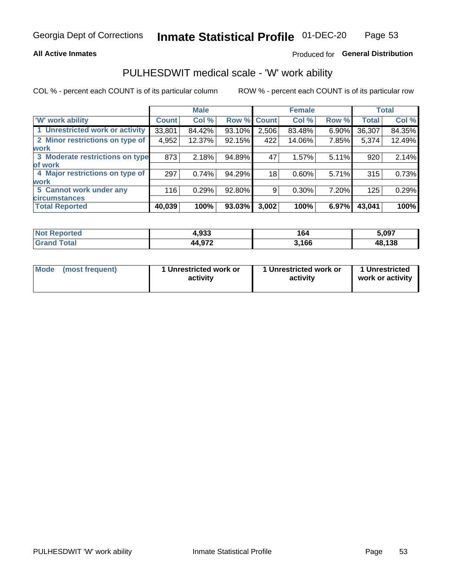#### **All Active Inmates**

### Produced for General Distribution

### PULHESDWIT medical scale - 'W' work ability

COL % - percent each COUNT is of its particular column

|                                 |              | <b>Male</b> |             |       | <b>Female</b> |       |              | <b>Total</b> |
|---------------------------------|--------------|-------------|-------------|-------|---------------|-------|--------------|--------------|
| <b>W'</b> work ability          | <b>Count</b> | Col %       | Row % Count |       | Col %         | Row % | <b>Total</b> | Col %        |
| 1 Unrestricted work or activity | 33,801       | 84.42%      | 93.10%      | 2,506 | 83.48%        | 6.90% | 36,307       | 84.35%       |
| 2 Minor restrictions on type of | 4,952        | 12.37%      | 92.15%      | 422   | 14.06%        | 7.85% | 5,374        | 12.49%       |
| <b>work</b>                     |              |             |             |       |               |       |              |              |
| 3 Moderate restrictions on type | 873          | 2.18%       | 94.89%      | 47    | 1.57%         | 5.11% | 920          | 2.14%        |
| of work                         |              |             |             |       |               |       |              |              |
| 4 Major restrictions on type of | 297          | 0.74%       | 94.29%      | 18    | 0.60%         | 5.71% | 315          | 0.73%        |
| <b>work</b>                     |              |             |             |       |               |       |              |              |
| 5 Cannot work under any         | 116          | 0.29%       | 92.80%      | 9     | 0.30%         | 7.20% | 125          | 0.29%        |
| <b>circumstances</b>            |              |             |             |       |               |       |              |              |
| <b>Total Reported</b>           | 40,039       | 100%        | 93.03%      | 3,002 | 100%          | 6.97% | 43,041       | 100%         |

| <b>Not Reported</b>   | 4,933  | 164   | 5,097  |
|-----------------------|--------|-------|--------|
| Total<br><b>Grand</b> | 44,972 | 3,166 | 48,138 |

| <b>Mode</b>     | 1 Unrestricted work or | 1 Unrestricted work or | 1 Unrestricted   |
|-----------------|------------------------|------------------------|------------------|
| (most frequent) | activity               | activity               | work or activity |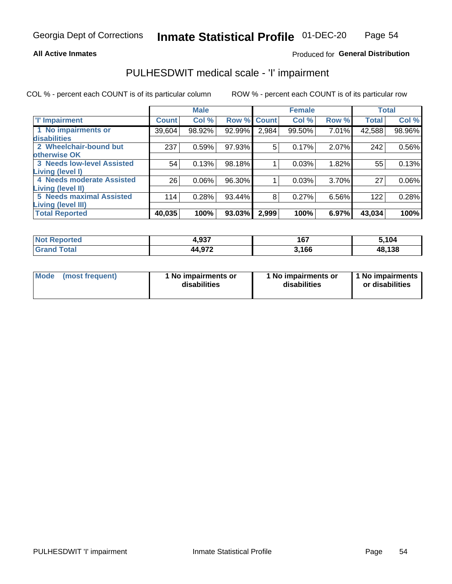#### **All Active Inmates**

### Produced for General Distribution

## PULHESDWIT medical scale - 'I' impairment

COL % - percent each COUNT is of its particular column

|                                                              |              | <b>Male</b> |             |       | <b>Female</b> |       |              | <b>Total</b> |
|--------------------------------------------------------------|--------------|-------------|-------------|-------|---------------|-------|--------------|--------------|
| <b>T' Impairment</b>                                         | <b>Count</b> | Col %       | Row % Count |       | Col %         | Row % | <b>Total</b> | Col %        |
| 1 No impairments or<br>disabilities                          | 39,604       | 98.92%      | 92.99%      | 2,984 | 99.50%        | 7.01% | 42,588       | 98.96%       |
| 2 Wheelchair-bound but                                       | 237          | 0.59%       | 97.93%      | 5     | 0.17%         | 2.07% | 242          | 0.56%        |
| otherwise OK<br><b>3 Needs low-level Assisted</b>            | 54           | 0.13%       | 98.18%      |       | 0.03%         | 1.82% | 55           | 0.13%        |
| Living (level I)<br>4 Needs moderate Assisted                | 26           | 0.06%       | 96.30%      |       | 0.03%         | 3.70% | 27           | $0.06\%$     |
| <b>Living (level II)</b>                                     |              |             |             |       |               |       |              |              |
| <b>5 Needs maximal Assisted</b><br><b>Living (level III)</b> | 114          | 0.28%       | 93.44%      | 8     | 0.27%         | 6.56% | 122          | 0.28%        |
| <b>Total Reported</b>                                        | 40,035       | 100%        | 93.03%      | 2,999 | 100%          | 6.97% | 43,034       | 100%         |

| ported | 4,937  | 167  | 5,104 |
|--------|--------|------|-------|
| Total  | 11 Q72 | ,166 | ,138  |
|        | л л    | . .  | 48    |

| Mode | (most frequent) | 1 No impairments or<br>disabilities | 1 No impairments or<br>disabilities | 1 No impairments<br>or disabilities |
|------|-----------------|-------------------------------------|-------------------------------------|-------------------------------------|
|------|-----------------|-------------------------------------|-------------------------------------|-------------------------------------|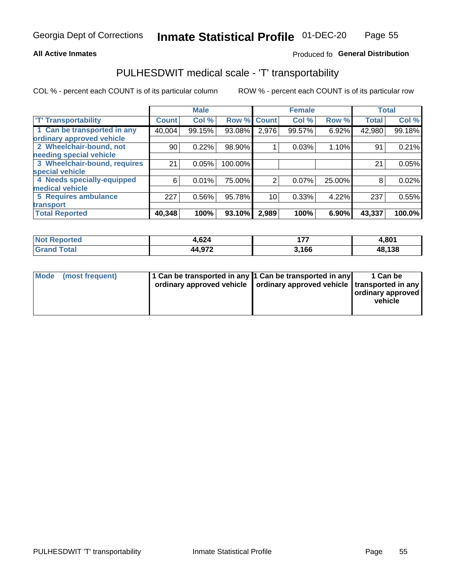#### **All Active Inmates**

### Produced fo General Distribution

## PULHESDWIT medical scale - 'T' transportability

COL % - percent each COUNT is of its particular column

|                              |                    | <b>Male</b> |         |              | <b>Female</b> |        | <b>Total</b> |        |
|------------------------------|--------------------|-------------|---------|--------------|---------------|--------|--------------|--------|
| <b>T' Transportability</b>   | Count <sup>1</sup> | Col %       | Row %   | <b>Count</b> | Col %         | Row %  | <b>Total</b> | Col %  |
| 1 Can be transported in any  | 40,004             | 99.15%      | 93.08%  | 2,976        | 99.57%        | 6.92%  | 42,980       | 99.18% |
| ordinary approved vehicle    |                    |             |         |              |               |        |              |        |
| 2 Wheelchair-bound, not      | 90                 | 0.22%       | 98.90%  |              | 0.03%         | 1.10%  | 91           | 0.21%  |
| needing special vehicle      |                    |             |         |              |               |        |              |        |
| 3 Wheelchair-bound, requires | 21                 | 0.05%       | 100.00% |              |               |        | 21           | 0.05%  |
| special vehicle              |                    |             |         |              |               |        |              |        |
| 4 Needs specially-equipped   | 6                  | 0.01%       | 75.00%  | 2            | 0.07%         | 25.00% | 8            | 0.02%  |
| medical vehicle              |                    |             |         |              |               |        |              |        |
| <b>5 Requires ambulance</b>  | 227                | 0.56%       | 95.78%  | 10           | 0.33%         | 4.22%  | 237          | 0.55%  |
| transport                    |                    |             |         |              |               |        |              |        |
| <b>Total Reported</b>        | 40,348             | 100%        | 93.10%  | 2,989        | 100%          | 6.90%  | 43,337       | 100.0% |

| $N$<br>Reported              | 1,624  | --    | 4,801  |
|------------------------------|--------|-------|--------|
| <b>Total</b><br><b>Grand</b> | 44,972 | 3,166 | 48,138 |

|  | Mode (most frequent) | 1 Can be transported in any 1 Can be transported in any<br>ordinary approved vehicle   ordinary approved vehicle   transported in any |  | 1 Can be<br>  ordinary approved  <br>vehicle |
|--|----------------------|---------------------------------------------------------------------------------------------------------------------------------------|--|----------------------------------------------|
|--|----------------------|---------------------------------------------------------------------------------------------------------------------------------------|--|----------------------------------------------|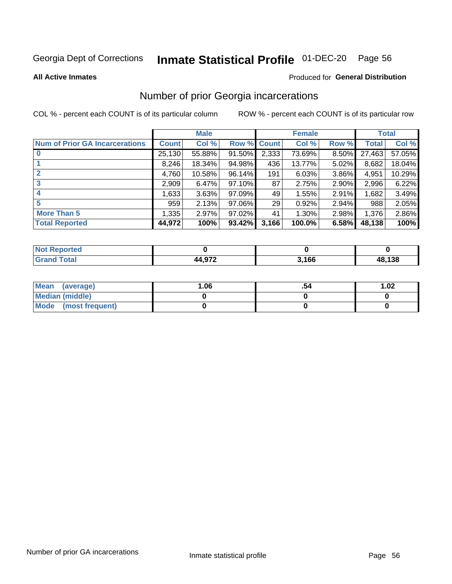# Inmate Statistical Profile 01-DEC-20 Page 56

**All Active Inmates** 

#### Produced for General Distribution

### Number of prior Georgia incarcerations

COL % - percent each COUNT is of its particular column

|                                       |              | <b>Male</b> |             |                 | <b>Female</b> |          |        | <b>Total</b> |
|---------------------------------------|--------------|-------------|-------------|-----------------|---------------|----------|--------|--------------|
| <b>Num of Prior GA Incarcerations</b> | <b>Count</b> | Col %       | Row % Count |                 | Col %         | Row %    | Total  | Col %        |
|                                       | 25,130       | 55.88%      | 91.50%      | 2,333           | 73.69%        | 8.50%    | 27,463 | 57.05%       |
|                                       | 8,246        | 18.34%      | 94.98%      | 436             | 13.77%        | 5.02%    | 8,682  | 18.04%       |
| $\overline{2}$                        | 4,760        | 10.58%      | $96.14\%$   | 191             | 6.03%         | 3.86%    | 4,951  | 10.29%       |
| 3                                     | 2,909        | 6.47%       | $97.10\%$   | 87              | 2.75%         | $2.90\%$ | 2,996  | 6.22%        |
| $\boldsymbol{4}$                      | 1,633        | 3.63%       | 97.09%      | 49              | 1.55%         | 2.91%    | 1,682  | 3.49%        |
| 5                                     | 959          | 2.13%       | 97.06%      | 29 <sub>1</sub> | 0.92%         | 2.94%    | 988    | 2.05%        |
| <b>More Than 5</b>                    | 1,335        | 2.97%       | $97.02\%$   | 41              | 1.30%         | 2.98%    | 1,376  | 2.86%        |
| <b>Total Reported</b>                 | 44,972       | 100%        | $93.42\%$   | 3,166           | 100.0%        | 6.58%    | 48,138 | 100%         |

| <b>Not</b><br>Reported |                          |       |        |
|------------------------|--------------------------|-------|--------|
| <b>Total</b><br>'Grano | $44.97^\circ$<br>14.JI L | 3,166 | 48,138 |

| Mean (average)         | .06 | 1.02 |
|------------------------|-----|------|
| <b>Median (middle)</b> |     |      |
| Mode (most frequent)   |     |      |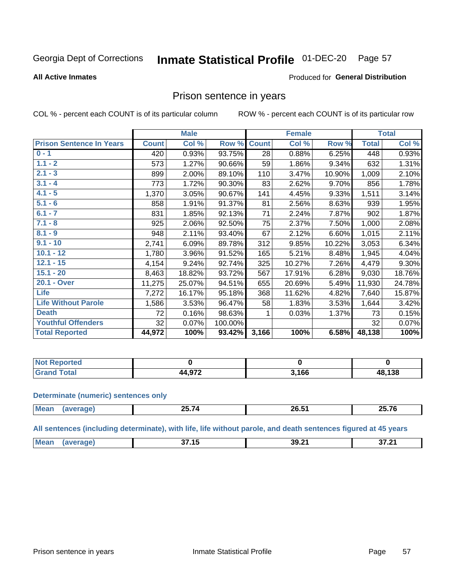#### Inmate Statistical Profile 01-DEC-20 Page 57

#### **All Active Inmates**

#### Produced for General Distribution

### Prison sentence in years

COL % - percent each COUNT is of its particular column

ROW % - percent each COUNT is of its particular row

|                                 |              | <b>Male</b> |         |              | <b>Female</b> |        |              | <b>Total</b> |
|---------------------------------|--------------|-------------|---------|--------------|---------------|--------|--------------|--------------|
| <b>Prison Sentence In Years</b> | <b>Count</b> | Col %       | Row %   | <b>Count</b> | Col %         | Row %  | <b>Total</b> | Col %        |
| $0 - 1$                         | 420          | 0.93%       | 93.75%  | 28           | 0.88%         | 6.25%  | 448          | 0.93%        |
| $1.1 - 2$                       | 573          | 1.27%       | 90.66%  | 59           | 1.86%         | 9.34%  | 632          | 1.31%        |
| $2.1 - 3$                       | 899          | 2.00%       | 89.10%  | 110          | 3.47%         | 10.90% | 1,009        | 2.10%        |
| $3.1 - 4$                       | 773          | 1.72%       | 90.30%  | 83           | 2.62%         | 9.70%  | 856          | 1.78%        |
| $4.1 - 5$                       | 1,370        | 3.05%       | 90.67%  | 141          | 4.45%         | 9.33%  | 1,511        | 3.14%        |
| $5.1 - 6$                       | 858          | 1.91%       | 91.37%  | 81           | 2.56%         | 8.63%  | 939          | 1.95%        |
| $6.1 - 7$                       | 831          | 1.85%       | 92.13%  | 71           | 2.24%         | 7.87%  | 902          | 1.87%        |
| $7.1 - 8$                       | 925          | 2.06%       | 92.50%  | 75           | 2.37%         | 7.50%  | 1,000        | 2.08%        |
| $8.1 - 9$                       | 948          | 2.11%       | 93.40%  | 67           | 2.12%         | 6.60%  | 1,015        | 2.11%        |
| $9.1 - 10$                      | 2,741        | 6.09%       | 89.78%  | 312          | 9.85%         | 10.22% | 3,053        | 6.34%        |
| $10.1 - 12$                     | 1,780        | 3.96%       | 91.52%  | 165          | 5.21%         | 8.48%  | 1,945        | 4.04%        |
| $12.1 - 15$                     | 4,154        | 9.24%       | 92.74%  | 325          | 10.27%        | 7.26%  | 4,479        | 9.30%        |
| $15.1 - 20$                     | 8,463        | 18.82%      | 93.72%  | 567          | 17.91%        | 6.28%  | 9,030        | 18.76%       |
| 20.1 - Over                     | 11,275       | 25.07%      | 94.51%  | 655          | 20.69%        | 5.49%  | 11,930       | 24.78%       |
| <b>Life</b>                     | 7,272        | 16.17%      | 95.18%  | 368          | 11.62%        | 4.82%  | 7,640        | 15.87%       |
| <b>Life Without Parole</b>      | 1,586        | 3.53%       | 96.47%  | 58           | 1.83%         | 3.53%  | 1,644        | 3.42%        |
| <b>Death</b>                    | 72           | 0.16%       | 98.63%  |              | 0.03%         | 1.37%  | 73           | 0.15%        |
| <b>Youthful Offenders</b>       | 32           | 0.07%       | 100.00% |              |               |        | 32           | 0.07%        |
| <b>Total Reported</b>           | 44,972       | 100%        | 93.42%  | 3,166        | 100%          | 6.58%  | 48,138       | 100%         |

| <b>Not Reported</b> |                  |       |        |
|---------------------|------------------|-------|--------|
| Total               | 1.072<br>4 וט די | 3,166 | 48,138 |

#### **Determinate (numeric) sentences only**

| <b>Mean</b><br>$\cdots$ | ----<br><u> 20.1 T</u> | $\sim$ $\sim$ $\sim$<br><b>20.31</b> | <br>クド<br>2J.I<br>_______ |
|-------------------------|------------------------|--------------------------------------|---------------------------|
|                         |                        |                                      |                           |

All sentences (including determinate), with life, life without parole, and death sentences figured at 45 years

| Me:<br>39.21<br>. .<br>~-<br>27 21<br>. .<br>. .<br>. .<br>$ -$ |  |  |  |
|-----------------------------------------------------------------|--|--|--|
|                                                                 |  |  |  |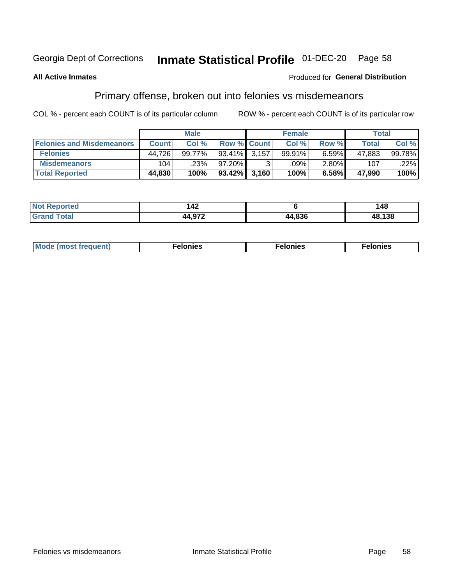# Inmate Statistical Profile 01-DEC-20 Page 58

#### **All Active Inmates**

#### Produced for General Distribution

### Primary offense, broken out into felonies vs misdemeanors

COL % - percent each COUNT is of its particular column

|                                  |              | <b>Male</b> |                    | <b>Female</b> |          | Total        |        |
|----------------------------------|--------------|-------------|--------------------|---------------|----------|--------------|--------|
| <b>Felonies and Misdemeanors</b> | <b>Count</b> | Col %       | <b>Row % Count</b> | Col %         | Row %    | <b>Total</b> | Col %  |
| <b>Felonies</b>                  | 44.726       | 99.77%      | 93.41% 3.157       | 99.91%        | 6.59%    | 47,883       | 99.78% |
| <b>Misdemeanors</b>              | 104          | .23%        | 97.20%             | .09%          | $2.80\%$ | 107          | .22%   |
| <b>Total Reported</b>            | 44,830       | 100%        | $93.42\%$ 3,160    | 100%          | 6.58%    | 47,990       | 100%   |

| <b>Not</b><br>Reported | .<br>142       |        | 48     |
|------------------------|----------------|--------|--------|
| ™otal<br><b>Grand</b>  | $AA$ Q7 $\sim$ | 44.836 | 48,138 |

| M      | .    | nes | onies |
|--------|------|-----|-------|
| nuenti | ____ | .   | .     |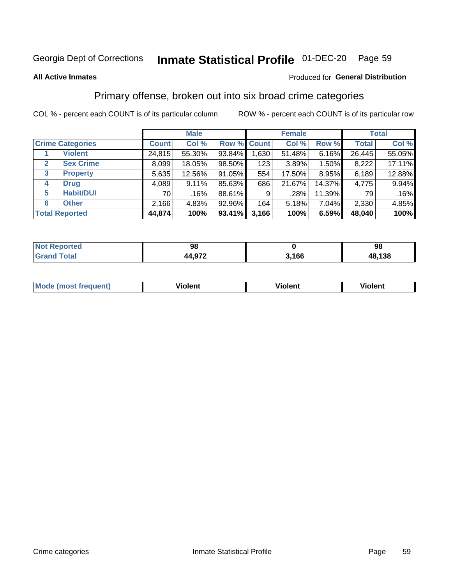#### Inmate Statistical Profile 01-DEC-20 Page 59

#### **All Active Inmates**

#### Produced for General Distribution

### Primary offense, broken out into six broad crime categories

COL % - percent each COUNT is of its particular column

|                                  | <b>Male</b>  |        |        |                    | <b>Female</b> | <b>Total</b> |              |        |
|----------------------------------|--------------|--------|--------|--------------------|---------------|--------------|--------------|--------|
| <b>Crime Categories</b>          | <b>Count</b> | Col %  |        | <b>Row % Count</b> | Col %         | Row %        | <b>Total</b> | Col %  |
| <b>Violent</b>                   | 24,815       | 55.30% | 93.84% | 1,630              | 51.48%        | 6.16%        | 26,445       | 55.05% |
| <b>Sex Crime</b><br>$\mathbf{2}$ | 8,099        | 18.05% | 98.50% | 123                | 3.89%         | 1.50%        | 8,222        | 17.11% |
| $\mathbf{3}$<br><b>Property</b>  | 5,635        | 12.56% | 91.05% | 554                | 17.50%        | 8.95%        | 6,189        | 12.88% |
| <b>Drug</b><br>4                 | 4,089        | 9.11%  | 85.63% | 686                | 21.67%        | 14.37%       | 4,775        | 9.94%  |
| <b>Habit/DUI</b><br>5            | 70           | .16%   | 88.61% | 9                  | $.28\%$       | 11.39%       | 79           | .16%   |
| <b>Other</b><br>6                | 2,166        | 4.83%  | 92.96% | 164                | 5.18%         | 7.04%        | 2,330        | 4.85%  |
| <b>Total Reported</b>            | 44,874       | 100%   | 93.41% | 3,166              | 100%          | 6.59%        | 48,040       | 100%   |

| Reported<br>NOT. | 98     |                 | 98     |
|------------------|--------|-----------------|--------|
| <b>Total</b>     | 44,972 | 1 A G G<br>טט ו | 48,138 |

| Mo<br>uent)<br>nos | .<br>/iolent | <br>Violent | - --<br><b>Tiolent</b> |
|--------------------|--------------|-------------|------------------------|
|                    |              |             |                        |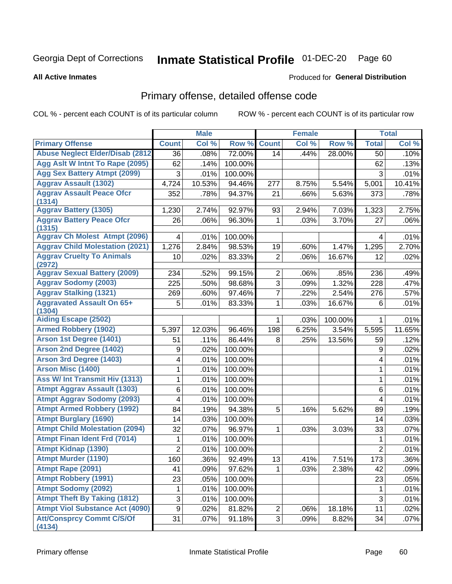# Inmate Statistical Profile 01-DEC-20 Page 60

Produced for General Distribution

#### **All Active Inmates**

# Primary offense, detailed offense code

COL % - percent each COUNT is of its particular column

|                                            |                | <b>Male</b> |         |                | <b>Female</b> |                     |                | <b>Total</b> |
|--------------------------------------------|----------------|-------------|---------|----------------|---------------|---------------------|----------------|--------------|
| <b>Primary Offense</b>                     | <b>Count</b>   | Col %       | Row %   | <b>Count</b>   | Col %         | Row %               | <b>Total</b>   | Col %        |
| <b>Abuse Neglect Elder/Disab (2812)</b>    | 36             | .08%        | 72.00%  | 14             | .44%          | 28.00%              | 50             | .10%         |
| Agg Aslt W Intnt To Rape (2095)            | 62             | .14%        | 100.00% |                |               |                     | 62             | .13%         |
| <b>Agg Sex Battery Atmpt (2099)</b>        | 3              | .01%        | 100.00% |                |               |                     | 3              | .01%         |
| <b>Aggrav Assault (1302)</b>               | 4,724          | 10.53%      | 94.46%  | 277            | 8.75%         | 5.54%               | 5,001          | 10.41%       |
| <b>Aggrav Assault Peace Ofcr</b><br>(1314) | 352            | .78%        | 94.37%  | 21             | .66%          | 5.63%               | 373            | .78%         |
| <b>Aggrav Battery (1305)</b>               | 1,230          | 2.74%       | 92.97%  | 93             | 2.94%         | 7.03%               | 1,323          | 2.75%        |
| <b>Aggrav Battery Peace Ofcr</b><br>(1315) | 26             | .06%        | 96.30%  | 1              | .03%          | 3.70%               | 27             | .06%         |
| <b>Aggrav Ch Molest Atmpt (2096)</b>       | 4              | .01%        | 100.00% |                |               |                     | 4              | .01%         |
| <b>Aggrav Child Molestation (2021)</b>     | 1,276          | 2.84%       | 98.53%  | 19             | .60%          | 1.47%               | 1,295          | 2.70%        |
| <b>Aggrav Cruelty To Animals</b><br>(2972) | 10             | .02%        | 83.33%  | $\overline{2}$ | .06%          | 16.67%              | 12             | .02%         |
| <b>Aggrav Sexual Battery (2009)</b>        | 234            | .52%        | 99.15%  | $\overline{2}$ | .06%          | .85%                | 236            | .49%         |
| <b>Aggrav Sodomy (2003)</b>                | 225            | .50%        | 98.68%  | $\overline{3}$ | .09%          | 1.32%               | 228            | .47%         |
| <b>Aggrav Stalking (1321)</b>              | 269            | .60%        | 97.46%  | $\overline{7}$ | .22%          | 2.54%               | 276            | .57%         |
| <b>Aggravated Assault On 65+</b><br>(1304) | 5              | .01%        | 83.33%  | $\mathbf{1}$   | .03%          | 16.67%              | 6              | .01%         |
| <b>Aiding Escape (2502)</b>                |                |             |         | 1              | .03%          | 100.00%             | 1              | .01%         |
| <b>Armed Robbery (1902)</b>                | 5,397          | 12.03%      | 96.46%  | 198            | 6.25%         | 3.54%               | 5,595          | 11.65%       |
| Arson 1st Degree (1401)                    | 51             | .11%        | 86.44%  | 8              | .25%          | 13.56%              | 59             | .12%         |
| <b>Arson 2nd Degree (1402)</b>             | 9              | .02%        | 100.00% |                |               |                     | 9              | .02%         |
| <b>Arson 3rd Degree (1403)</b>             | 4              | .01%        | 100.00% |                |               |                     | 4              | .01%         |
| <b>Arson Misc (1400)</b>                   | 1              | .01%        | 100.00% |                |               |                     | 1              | .01%         |
| Ass W/ Int Transmit Hiv (1313)             | 1              | .01%        | 100.00% |                |               |                     | $\mathbf{1}$   | .01%         |
| <b>Atmpt Aggrav Assault (1303)</b>         | 6              | .01%        | 100.00% |                |               |                     | 6              | .01%         |
| <b>Atmpt Aggrav Sodomy (2093)</b>          | 4              | .01%        | 100.00% |                |               |                     | 4              | .01%         |
| <b>Atmpt Armed Robbery (1992)</b>          | 84             | .19%        | 94.38%  | 5              | .16%          | 5.62%               | 89             | .19%         |
| <b>Atmpt Burglary (1690)</b>               | 14             | .03%        | 100.00% |                |               |                     | 14             | .03%         |
| <b>Atmpt Child Molestation (2094)</b>      | 32             | .07%        | 96.97%  | 1              | .03%          | 3.03%               | 33             | .07%         |
| <b>Atmpt Finan Ident Frd (7014)</b>        | 1              | .01%        | 100.00% |                |               |                     | 1              | .01%         |
| <b>Atmpt Kidnap (1390)</b>                 | $\overline{2}$ | .01%        | 100.00% |                |               |                     | $\overline{2}$ | .01%         |
| <b>Atmpt Murder (1190)</b>                 | 160            | .36%        | 92.49%  | 13             | .41%          | $7.\overline{51\%}$ | 173            | .36%         |
| Atmpt Rape (2091)                          | 41             | .09%        | 97.62%  |                | .03%          | 2.38%               | 42             | .09%         |
| <b>Atmpt Robbery (1991)</b>                | 23             | .05%        | 100.00% |                |               |                     | 23             | .05%         |
| <b>Atmpt Sodomy (2092)</b>                 | 1              | .01%        | 100.00% |                |               |                     | 1              | .01%         |
| <b>Atmpt Theft By Taking (1812)</b>        | 3              | .01%        | 100.00% |                |               |                     | $\mathfrak{S}$ | .01%         |
| <b>Atmpt Viol Substance Act (4090)</b>     | 9              | .02%        | 81.82%  | $\overline{c}$ | .06%          | 18.18%              | 11             | .02%         |
| <b>Att/Consprcy Commt C/S/Of</b><br>(4134) | 31             | .07%        | 91.18%  | 3 <sup>1</sup> | .09%          | 8.82%               | 34             | .07%         |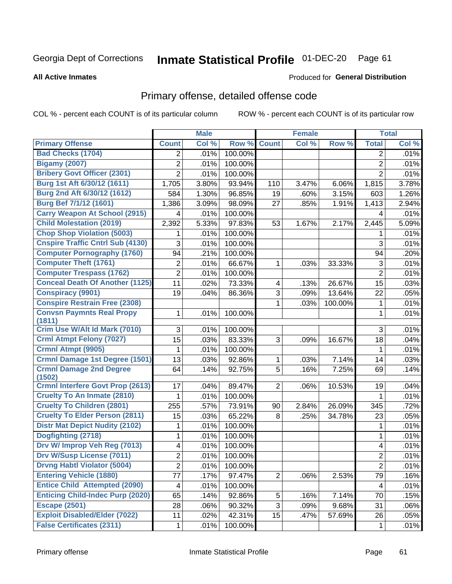# Inmate Statistical Profile 01-DEC-20 Page 61

Produced for General Distribution

#### **All Active Inmates**

## Primary offense, detailed offense code

COL % - percent each COUNT is of its particular column

|                                          |                         | <b>Male</b> |         |                | <b>Female</b> |         |                           | <b>Total</b> |
|------------------------------------------|-------------------------|-------------|---------|----------------|---------------|---------|---------------------------|--------------|
| <b>Primary Offense</b>                   | <b>Count</b>            | Col %       | Row %   | <b>Count</b>   | Col %         | Row %   | <b>Total</b>              | Col %        |
| <b>Bad Checks (1704)</b>                 | 2                       | .01%        | 100.00% |                |               |         | 2                         | .01%         |
| <b>Bigamy (2007)</b>                     | $\overline{2}$          | .01%        | 100.00% |                |               |         | $\overline{2}$            | .01%         |
| <b>Bribery Govt Officer (2301)</b>       | $\overline{2}$          | .01%        | 100.00% |                |               |         | $\overline{2}$            | .01%         |
| Burg 1st Aft 6/30/12 (1611)              | 1,705                   | 3.80%       | 93.94%  | 110            | 3.47%         | 6.06%   | 1,815                     | 3.78%        |
| Burg 2nd Aft 6/30/12 (1612)              | 584                     | 1.30%       | 96.85%  | 19             | .60%          | 3.15%   | 603                       | 1.26%        |
| Burg Bef 7/1/12 (1601)                   | 1,386                   | 3.09%       | 98.09%  | 27             | .85%          | 1.91%   | 1,413                     | 2.94%        |
| <b>Carry Weapon At School (2915)</b>     | 4                       | .01%        | 100.00% |                |               |         | 4                         | .01%         |
| <b>Child Molestation (2019)</b>          | 2,392                   | 5.33%       | 97.83%  | 53             | 1.67%         | 2.17%   | 2,445                     | 5.09%        |
| <b>Chop Shop Violation (5003)</b>        | 1                       | .01%        | 100.00% |                |               |         | 1                         | .01%         |
| <b>Cnspire Traffic Cntrl Sub (4130)</b>  | 3                       | .01%        | 100.00% |                |               |         | 3                         | .01%         |
| <b>Computer Pornography (1760)</b>       | 94                      | .21%        | 100.00% |                |               |         | 94                        | .20%         |
| <b>Computer Theft (1761)</b>             | $\overline{c}$          | .01%        | 66.67%  | 1              | .03%          | 33.33%  | $\ensuremath{\mathsf{3}}$ | .01%         |
| <b>Computer Trespass (1762)</b>          | $\overline{2}$          | .01%        | 100.00% |                |               |         | $\overline{2}$            | .01%         |
| <b>Conceal Death Of Another (1125)</b>   | 11                      | .02%        | 73.33%  | 4              | .13%          | 26.67%  | 15                        | .03%         |
| <b>Conspiracy (9901)</b>                 | 19                      | .04%        | 86.36%  | 3              | .09%          | 13.64%  | 22                        | .05%         |
| <b>Conspire Restrain Free (2308)</b>     |                         |             |         | 1              | .03%          | 100.00% | $\mathbf{1}$              | .01%         |
| <b>Convsn Paymnts Real Propy</b>         | 1                       | .01%        | 100.00% |                |               |         | $\mathbf{1}$              | .01%         |
| (1811)                                   |                         |             |         |                |               |         |                           |              |
| Crim Use W/Alt Id Mark (7010)            | 3                       | .01%        | 100.00% |                |               |         | 3                         | .01%         |
| <b>Crml Atmpt Felony (7027)</b>          | 15                      | .03%        | 83.33%  | 3              | .09%          | 16.67%  | 18                        | .04%         |
| Crmnl Atmpt (9905)                       | 1                       | .01%        | 100.00% |                |               |         | 1                         | .01%         |
| <b>Crmnl Damage 1st Degree (1501)</b>    | 13                      | .03%        | 92.86%  | 1              | .03%          | 7.14%   | 14                        | .03%         |
| <b>Crmnl Damage 2nd Degree</b><br>(1502) | 64                      | .14%        | 92.75%  | 5              | .16%          | 7.25%   | 69                        | .14%         |
| <b>Crmnl Interfere Govt Prop (2613)</b>  | 17                      | .04%        | 89.47%  | $\overline{2}$ | .06%          | 10.53%  | 19                        | .04%         |
| <b>Cruelty To An Inmate (2810)</b>       | 1                       | .01%        | 100.00% |                |               |         | 1                         | .01%         |
| <b>Cruelty To Children (2801)</b>        | 255                     | .57%        | 73.91%  | 90             | 2.84%         | 26.09%  | 345                       | .72%         |
| <b>Cruelty To Elder Person (2811)</b>    | 15                      | .03%        | 65.22%  | 8              | .25%          | 34.78%  | 23                        | .05%         |
| <b>Distr Mat Depict Nudity (2102)</b>    | 1                       | .01%        | 100.00% |                |               |         | 1                         | .01%         |
| Dogfighting (2718)                       | 1                       | .01%        | 100.00% |                |               |         | 1                         | .01%         |
| Drv W/ Improp Veh Reg (7013)             | 4                       | .01%        | 100.00% |                |               |         | 4                         | .01%         |
| <b>Drv W/Susp License (7011)</b>         | $\overline{2}$          | .01%        | 100.00% |                |               |         | $\overline{2}$            | .01%         |
| <b>Drvng Habtl Violator (5004)</b>       | 2                       | .01%        | 100.00% |                |               |         | $\overline{2}$            | .01%         |
| <b>Entering Vehicle (1880)</b>           | 77                      | .17%        | 97.47%  | $\overline{2}$ | .06%          | 2.53%   | 79                        | .16%         |
| <b>Entice Child Attempted (2090)</b>     | $\overline{\mathbf{4}}$ | .01%        | 100.00% |                |               |         | $\overline{4}$            | .01%         |
| <b>Enticing Child-Indec Purp (2020)</b>  | 65                      | .14%        | 92.86%  | 5              | .16%          | 7.14%   | 70                        | .15%         |
| <b>Escape (2501)</b>                     | 28                      | .06%        | 90.32%  | 3              | .09%          | 9.68%   | 31                        | .06%         |
| <b>Exploit Disabled/Elder (7022)</b>     | 11                      | .02%        | 42.31%  | 15             | .47%          | 57.69%  | 26                        | .05%         |
| <b>False Certificates (2311)</b>         | $\mathbf 1$             | .01%        | 100.00% |                |               |         | $\mathbf{1}$              | .01%         |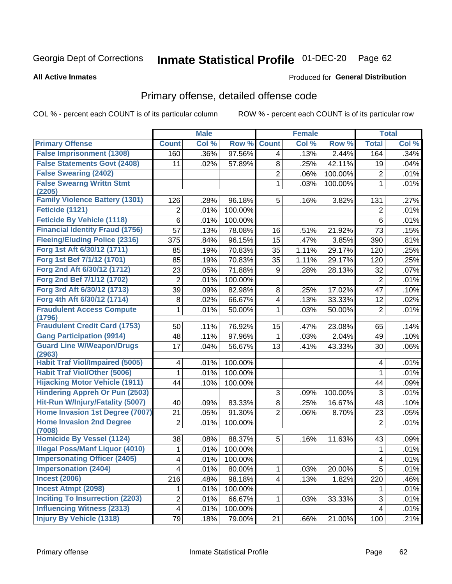# Inmate Statistical Profile 01-DEC-20 Page 62

#### **All Active Inmates**

### **Produced for General Distribution**

### Primary offense, detailed offense code

COL % - percent each COUNT is of its particular column

|                                            |                         | <b>Male</b> |         |                         | <b>Female</b> |         |                         | <b>Total</b> |
|--------------------------------------------|-------------------------|-------------|---------|-------------------------|---------------|---------|-------------------------|--------------|
| <b>Primary Offense</b>                     | <b>Count</b>            | Col %       | Row %   | <b>Count</b>            | Col %         | Row %   | <b>Total</b>            | Col %        |
| <b>False Imprisonment (1308)</b>           | 160                     | .36%        | 97.56%  | $\overline{4}$          | .13%          | 2.44%   | 164                     | .34%         |
| <b>False Statements Govt (2408)</b>        | 11                      | .02%        | 57.89%  | 8                       | .25%          | 42.11%  | 19                      | .04%         |
| <b>False Swearing (2402)</b>               |                         |             |         | 2                       | .06%          | 100.00% | $\overline{2}$          | .01%         |
| <b>False Swearng Writtn Stmt</b>           |                         |             |         | 1                       | .03%          | 100.00% | 1                       | .01%         |
| (2205)                                     |                         |             |         |                         |               |         |                         |              |
| <b>Family Violence Battery (1301)</b>      | 126                     | .28%        | 96.18%  | 5                       | .16%          | 3.82%   | 131                     | .27%         |
| Feticide (1121)                            | $\overline{2}$          | .01%        | 100.00% |                         |               |         | $\overline{2}$          | .01%         |
| <b>Feticide By Vehicle (1118)</b>          | 6                       | .01%        | 100.00% |                         |               |         | 6                       | .01%         |
| <b>Financial Identity Fraud (1756)</b>     | 57                      | .13%        | 78.08%  | 16                      | .51%          | 21.92%  | 73                      | .15%         |
| <b>Fleeing/Eluding Police (2316)</b>       | 375                     | .84%        | 96.15%  | 15                      | .47%          | 3.85%   | 390                     | .81%         |
| Forg 1st Aft 6/30/12 (1711)                | 85                      | .19%        | 70.83%  | 35                      | 1.11%         | 29.17%  | 120                     | .25%         |
| Forg 1st Bef 7/1/12 (1701)                 | 85                      | .19%        | 70.83%  | 35                      | 1.11%         | 29.17%  | 120                     | .25%         |
| Forg 2nd Aft 6/30/12 (1712)                | 23                      | .05%        | 71.88%  | 9                       | .28%          | 28.13%  | 32                      | .07%         |
| Forg 2nd Bef 7/1/12 (1702)                 | 2                       | .01%        | 100.00% |                         |               |         | $\overline{2}$          | .01%         |
| Forg 3rd Aft 6/30/12 (1713)                | 39                      | .09%        | 82.98%  | 8                       | .25%          | 17.02%  | 47                      | .10%         |
| Forg 4th Aft 6/30/12 (1714)                | 8                       | .02%        | 66.67%  | $\overline{\mathbf{4}}$ | .13%          | 33.33%  | 12                      | .02%         |
| <b>Fraudulent Access Compute</b><br>(1796) | 1                       | .01%        | 50.00%  | 1                       | .03%          | 50.00%  | 2                       | .01%         |
| <b>Fraudulent Credit Card (1753)</b>       | 50                      | .11%        | 76.92%  | 15                      | .47%          | 23.08%  | 65                      | .14%         |
| <b>Gang Participation (9914)</b>           | 48                      | .11%        | 97.96%  | 1                       | .03%          | 2.04%   | 49                      | .10%         |
| <b>Guard Line W/Weapon/Drugs</b>           | 17                      | .04%        | 56.67%  | 13                      | .41%          | 43.33%  | 30                      | .06%         |
| (2963)                                     |                         |             |         |                         |               |         |                         |              |
| <b>Habit Traf Viol/Impaired (5005)</b>     | 4                       | .01%        | 100.00% |                         |               |         | 4                       | .01%         |
| <b>Habit Traf Viol/Other (5006)</b>        | 1.                      | .01%        | 100.00% |                         |               |         | 1                       | .01%         |
| <b>Hijacking Motor Vehicle (1911)</b>      | 44                      | .10%        | 100.00% |                         |               |         | 44                      | .09%         |
| <b>Hindering Appreh Or Pun (2503)</b>      |                         |             |         | 3                       | .09%          | 100.00% | 3                       | .01%         |
| Hit-Run W/Injury/Fatality (5007)           | 40                      | .09%        | 83.33%  | 8                       | .25%          | 16.67%  | 48                      | .10%         |
| Home Invasion 1st Degree (7007)            | 21                      | .05%        | 91.30%  | $\overline{2}$          | .06%          | 8.70%   | 23                      | .05%         |
| <b>Home Invasion 2nd Degree</b><br>(7008)  | $\overline{2}$          | .01%        | 100.00% |                         |               |         | $\overline{2}$          | .01%         |
| Homicide By Vessel (1124)                  | 38                      | .08%        | 88.37%  | 5                       | .16%          | 11.63%  | 43                      | .09%         |
| <b>Illegal Poss/Manf Liquor (4010)</b>     | 1                       | .01%        | 100.00% |                         |               |         | 1                       | .01%         |
| <b>Impersonating Officer (2405)</b>        | $\overline{\mathbf{4}}$ | .01%        | 100.00% |                         |               |         | $\overline{\mathbf{4}}$ | .01%         |
| <b>Impersonation (2404)</b>                | 4                       | .01%        | 80.00%  | 1                       | .03%          | 20.00%  | 5                       | .01%         |
| <b>Incest (2006)</b>                       | 216                     | .48%        | 98.18%  | 4                       | .13%          | 1.82%   | 220                     | .46%         |
| <b>Incest Atmpt (2098)</b>                 | 1                       | .01%        | 100.00% |                         |               |         | 1                       | .01%         |
| <b>Inciting To Insurrection (2203)</b>     | 2                       | .01%        | 66.67%  | 1                       | .03%          | 33.33%  | 3                       | .01%         |
| <b>Influencing Witness (2313)</b>          | $\overline{\mathbf{4}}$ | .01%        | 100.00% |                         |               |         | 4                       | .01%         |
| <b>Injury By Vehicle (1318)</b>            | 79                      | .18%        | 79.00%  | 21                      | .66%          | 21.00%  | 100                     | .21%         |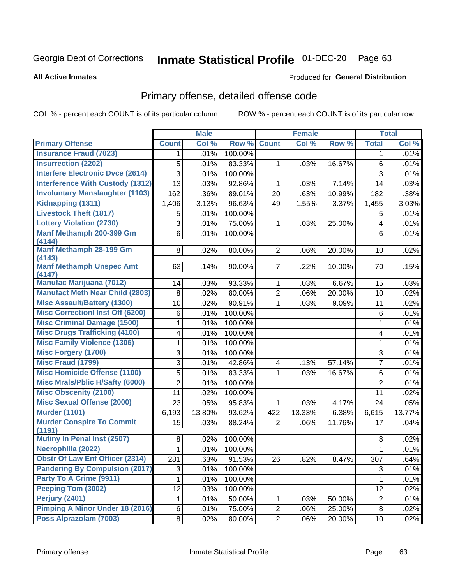# Inmate Statistical Profile 01-DEC-20 Page 63

#### **All Active Inmates**

#### Produced for General Distribution

## Primary offense, detailed offense code

COL % - percent each COUNT is of its particular column

|                                            |                | <b>Male</b> |         |                         | <b>Female</b> |        |                | <b>Total</b> |
|--------------------------------------------|----------------|-------------|---------|-------------------------|---------------|--------|----------------|--------------|
| <b>Primary Offense</b>                     | <b>Count</b>   | Col %       | Row %   | <b>Count</b>            | Col %         | Row %  | <b>Total</b>   | Col %        |
| <b>Insurance Fraud (7023)</b>              | 1              | .01%        | 100.00% |                         |               |        | $\mathbf 1$    | .01%         |
| <b>Insurrection (2202)</b>                 | 5              | .01%        | 83.33%  | 1                       | .03%          | 16.67% | 6              | .01%         |
| <b>Interfere Electronic Dvce (2614)</b>    | 3              | .01%        | 100.00% |                         |               |        | $\overline{3}$ | .01%         |
| <b>Interference With Custody (1312)</b>    | 13             | .03%        | 92.86%  | 1                       | .03%          | 7.14%  | 14             | .03%         |
| <b>Involuntary Manslaughter (1103)</b>     | 162            | .36%        | 89.01%  | 20                      | .63%          | 10.99% | 182            | .38%         |
| Kidnapping (1311)                          | 1,406          | 3.13%       | 96.63%  | 49                      | 1.55%         | 3.37%  | 1,455          | 3.03%        |
| <b>Livestock Theft (1817)</b>              | 5              | .01%        | 100.00% |                         |               |        | 5              | .01%         |
| <b>Lottery Violation (2730)</b>            | 3              | .01%        | 75.00%  | 1                       | .03%          | 25.00% | 4              | .01%         |
| Manf Methamph 200-399 Gm<br>(4144)         | 6              | .01%        | 100.00% |                         |               |        | 6              | .01%         |
| Manf Methamph 28-199 Gm<br>(4143)          | 8              | .02%        | 80.00%  | 2 <sup>1</sup>          | .06%          | 20.00% | 10             | .02%         |
| <b>Manf Methamph Unspec Amt</b><br>(4147)  | 63             | .14%        | 90.00%  | $\overline{7}$          | .22%          | 10.00% | 70             | .15%         |
| <b>Manufac Marijuana (7012)</b>            | 14             | .03%        | 93.33%  | 1                       | .03%          | 6.67%  | 15             | .03%         |
| <b>Manufact Meth Near Child (2803)</b>     | 8              | .02%        | 80.00%  | 2                       | .06%          | 20.00% | 10             | .02%         |
| <b>Misc Assault/Battery (1300)</b>         | 10             | .02%        | 90.91%  | $\mathbf 1$             | .03%          | 9.09%  | 11             | .02%         |
| <b>Misc Correctionl Inst Off (6200)</b>    | 6              | .01%        | 100.00% |                         |               |        | 6              | .01%         |
| <b>Misc Criminal Damage (1500)</b>         | 1              | .01%        | 100.00% |                         |               |        | 1              | .01%         |
| <b>Misc Drugs Trafficking (4100)</b>       | 4              | .01%        | 100.00% |                         |               |        | 4              | .01%         |
| <b>Misc Family Violence (1306)</b>         | 1              | .01%        | 100.00% |                         |               |        | 1              | .01%         |
| <b>Misc Forgery (1700)</b>                 | 3              | .01%        | 100.00% |                         |               |        | 3              | .01%         |
| <b>Misc Fraud (1799)</b>                   | 3              | .01%        | 42.86%  | $\overline{\mathbf{4}}$ | .13%          | 57.14% | $\overline{7}$ | .01%         |
| <b>Misc Homicide Offense (1100)</b>        | 5              | .01%        | 83.33%  | 1                       | .03%          | 16.67% | 6              | .01%         |
| <b>Misc Mrals/Pblic H/Safty (6000)</b>     | $\overline{2}$ | .01%        | 100.00% |                         |               |        | $\overline{2}$ | .01%         |
| <b>Misc Obscenity (2100)</b>               | 11             | .02%        | 100.00% |                         |               |        | 11             | .02%         |
| <b>Misc Sexual Offense (2000)</b>          | 23             | .05%        | 95.83%  | $\mathbf 1$             | .03%          | 4.17%  | 24             | .05%         |
| <b>Murder (1101)</b>                       | 6,193          | 13.80%      | 93.62%  | 422                     | 13.33%        | 6.38%  | 6,615          | 13.77%       |
| <b>Murder Conspire To Commit</b><br>(1191) | 15             | .03%        | 88.24%  | $\overline{2}$          | .06%          | 11.76% | 17             | .04%         |
| Mutiny In Penal Inst (2507)                | 8              | .02%        | 100.00% |                         |               |        | 8              | .02%         |
| Necrophilia (2022)                         | 1              | .01%        | 100.00% |                         |               |        | 1              | .01%         |
| <b>Obstr Of Law Enf Officer (2314)</b>     | 281            | .63%        | 91.53%  | 26                      | .82%          | 8.47%  | 307            | .64%         |
| <b>Pandering By Compulsion (2017)</b>      | 3              | .01%        | 100.00% |                         |               |        | 3              | .01%         |
| Party To A Crime (9911)                    | 1              | .01%        | 100.00% |                         |               |        | 1              | .01%         |
| Peeping Tom (3002)                         | 12             | .03%        | 100.00% |                         |               |        | 12             | .02%         |
| <b>Perjury (2401)</b>                      | 1              | .01%        | 50.00%  | $\mathbf{1}$            | .03%          | 50.00% | $\overline{2}$ | .01%         |
| Pimping A Minor Under 18 (2016)            | 6              | .01%        | 75.00%  | $\overline{2}$          | .06%          | 25.00% | 8              | .02%         |
| Poss Alprazolam (7003)                     | 8              | .02%        | 80.00%  | $\overline{2}$          | .06%          | 20.00% | 10             | .02%         |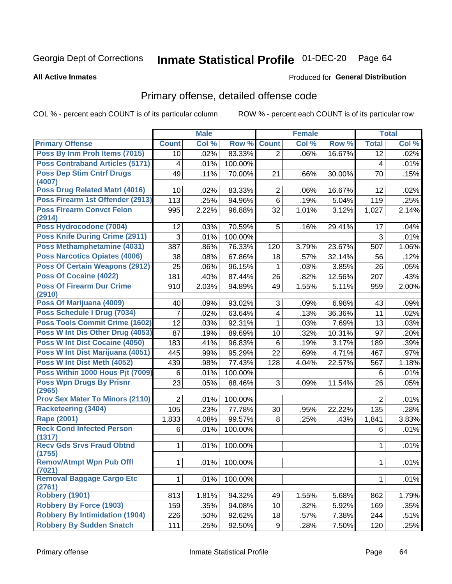# Inmate Statistical Profile 01-DEC-20 Page 64

#### **All Active Inmates**

#### Produced for General Distribution

## Primary offense, detailed offense code

COL % - percent each COUNT is of its particular column

|                                            |                         | <b>Male</b> |         |                         | <b>Female</b> |        |                | <b>Total</b> |
|--------------------------------------------|-------------------------|-------------|---------|-------------------------|---------------|--------|----------------|--------------|
| <b>Primary Offense</b>                     | <b>Count</b>            | Col %       | Row %   | <b>Count</b>            | Col %         | Row %  | <b>Total</b>   | Col %        |
| Poss By Inm Proh Items (7015)              | 10                      | .02%        | 83.33%  | $\overline{2}$          | .06%          | 16.67% | 12             | .02%         |
| <b>Poss Contraband Articles (5171)</b>     | $\overline{\mathbf{4}}$ | .01%        | 100.00% |                         |               |        | 4              | .01%         |
| <b>Poss Dep Stim Cntrf Drugs</b>           | 49                      | .11%        | 70.00%  | 21                      | .66%          | 30.00% | 70             | .15%         |
| (4007)                                     |                         |             |         |                         |               |        |                |              |
| Poss Drug Related Matrl (4016)             | 10                      | .02%        | 83.33%  | $\overline{2}$          | .06%          | 16.67% | 12             | .02%         |
| Poss Firearm 1st Offender (2913)           | 113                     | .25%        | 94.96%  | 6                       | .19%          | 5.04%  | 119            | .25%         |
| <b>Poss Firearm Convct Felon</b><br>(2914) | 995                     | 2.22%       | 96.88%  | 32                      | 1.01%         | 3.12%  | 1,027          | 2.14%        |
| Poss Hydrocodone (7004)                    | 12                      | .03%        | 70.59%  | 5                       | .16%          | 29.41% | 17             | .04%         |
| <b>Poss Knife During Crime (2911)</b>      | 3                       | .01%        | 100.00% |                         |               |        | 3              | .01%         |
| Poss Methamphetamine (4031)                | 387                     | .86%        | 76.33%  | 120                     | 3.79%         | 23.67% | 507            | 1.06%        |
| <b>Poss Narcotics Opiates (4006)</b>       | 38                      | .08%        | 67.86%  | 18                      | .57%          | 32.14% | 56             | .12%         |
| <b>Poss Of Certain Weapons (2912)</b>      | 25                      | .06%        | 96.15%  | 1                       | .03%          | 3.85%  | 26             | .05%         |
| <b>Poss Of Cocaine (4022)</b>              | 181                     | .40%        | 87.44%  | 26                      | .82%          | 12.56% | 207            | .43%         |
| <b>Poss Of Firearm Dur Crime</b>           | 910                     | 2.03%       | 94.89%  | 49                      | 1.55%         | 5.11%  | 959            | 2.00%        |
| (2910)                                     |                         |             |         |                         |               |        |                |              |
| Poss Of Marijuana (4009)                   | 40                      | .09%        | 93.02%  | 3                       | .09%          | 6.98%  | 43             | .09%         |
| Poss Schedule I Drug (7034)                | $\overline{7}$          | .02%        | 63.64%  | $\overline{\mathbf{4}}$ | .13%          | 36.36% | 11             | .02%         |
| <b>Poss Tools Commit Crime (1602)</b>      | 12                      | .03%        | 92.31%  | 1                       | .03%          | 7.69%  | 13             | .03%         |
| Poss W Int Dis Other Drug (4053)           | 87                      | .19%        | 89.69%  | 10                      | .32%          | 10.31% | 97             | .20%         |
| Poss W Int Dist Cocaine (4050)             | 183                     | .41%        | 96.83%  | 6                       | .19%          | 3.17%  | 189            | .39%         |
| Poss W Int Dist Marijuana (4051)           | 445                     | .99%        | 95.29%  | 22                      | .69%          | 4.71%  | 467            | .97%         |
| Poss W Int Dist Meth (4052)                | 439                     | .98%        | 77.43%  | 128                     | 4.04%         | 22.57% | 567            | 1.18%        |
| Poss Within 1000 Hous Pjt (7009)           | 6                       | .01%        | 100.00% |                         |               |        | 6              | .01%         |
| <b>Poss Wpn Drugs By Prisnr</b>            | 23                      | .05%        | 88.46%  | 3                       | .09%          | 11.54% | 26             | .05%         |
| (2965)                                     |                         |             |         |                         |               |        |                |              |
| <b>Prov Sex Mater To Minors (2110)</b>     | $\overline{2}$          | .01%        | 100.00% |                         |               |        | $\overline{2}$ | .01%         |
| <b>Racketeering (3404)</b>                 | 105                     | .23%        | 77.78%  | 30                      | .95%          | 22.22% | 135            | .28%         |
| Rape (2001)                                | 1,833                   | 4.08%       | 99.57%  | 8                       | .25%          | .43%   | 1,841          | 3.83%        |
| <b>Reck Cond Infected Person</b><br>(1317) | 6                       | .01%        | 100.00% |                         |               |        | 6              | .01%         |
| <b>Recv Gds Srvs Fraud Obtnd</b>           | $\mathbf{1}$            | .01%        | 100.00% |                         |               |        | 1              | .01%         |
| (1755)                                     |                         |             |         |                         |               |        |                |              |
| <b>Remov/Atmpt Wpn Pub Offl</b>            | 1                       | .01%        | 100.00% |                         |               |        | 1              | .01%         |
| (7021)                                     |                         |             |         |                         |               |        |                |              |
| <b>Removal Baggage Cargo Etc</b><br>(2761) | $\mathbf 1$             | .01%        | 100.00% |                         |               |        | $\mathbf 1$    | .01%         |
| <b>Robbery (1901)</b>                      | 813                     | 1.81%       | 94.32%  | 49                      | 1.55%         | 5.68%  | 862            | 1.79%        |
| <b>Robbery By Force (1903)</b>             | 159                     | .35%        | 94.08%  | 10                      | .32%          | 5.92%  | 169            | .35%         |
| <b>Robbery By Intimidation (1904)</b>      | 226                     | .50%        | 92.62%  | 18                      | .57%          | 7.38%  | 244            | .51%         |
| <b>Robbery By Sudden Snatch</b>            | 111                     | .25%        | 92.50%  | 9 <sup>1</sup>          | .28%          | 7.50%  | 120            | .25%         |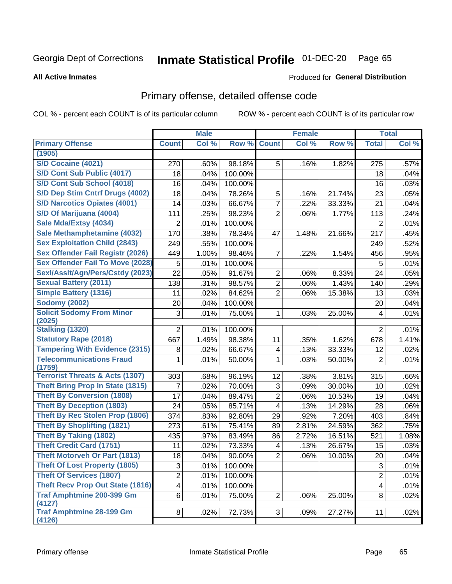# Inmate Statistical Profile 01-DEC-20 Page 65

#### **All Active Inmates**

### **Produced for General Distribution**

### Primary offense, detailed offense code

COL % - percent each COUNT is of its particular column

|                                                      |                | <b>Male</b> |         |                         | <b>Female</b> |        |                         | <b>Total</b> |
|------------------------------------------------------|----------------|-------------|---------|-------------------------|---------------|--------|-------------------------|--------------|
| <b>Primary Offense</b>                               | <b>Count</b>   | Col %       | Row %   | <b>Count</b>            | Col %         | Row %  | <b>Total</b>            | Col %        |
| (1905)                                               |                |             |         |                         |               |        |                         |              |
| S/D Cocaine (4021)                                   | 270            | .60%        | 98.18%  | 5                       | .16%          | 1.82%  | 275                     | .57%         |
| S/D Cont Sub Public (4017)                           | 18             | .04%        | 100.00% |                         |               |        | 18                      | .04%         |
| S/D Cont Sub School (4018)                           | 16             | .04%        | 100.00% |                         |               |        | 16                      | .03%         |
| S/D Dep Stim Cntrf Drugs (4002)                      | 18             | .04%        | 78.26%  | 5                       | .16%          | 21.74% | 23                      | .05%         |
| <b>S/D Narcotics Opiates (4001)</b>                  | 14             | .03%        | 66.67%  | $\overline{7}$          | .22%          | 33.33% | 21                      | .04%         |
| S/D Of Marijuana (4004)                              | 111            | .25%        | 98.23%  | $\overline{2}$          | .06%          | 1.77%  | 113                     | .24%         |
| Sale Mda/Extsy (4034)                                | 2              | .01%        | 100.00% |                         |               |        | 2                       | .01%         |
| Sale Methamphetamine (4032)                          | 170            | .38%        | 78.34%  | 47                      | 1.48%         | 21.66% | 217                     | .45%         |
| <b>Sex Exploitation Child (2843)</b>                 | 249            | .55%        | 100.00% |                         |               |        | 249                     | .52%         |
| <b>Sex Offender Fail Registr (2026)</b>              | 449            | 1.00%       | 98.46%  | $\overline{7}$          | .22%          | 1.54%  | 456                     | .95%         |
| <b>Sex Offender Fail To Move (2028)</b>              | 5              | .01%        | 100.00% |                         |               |        | 5                       | .01%         |
| Sexl/Asslt/Agn/Pers/Cstdy (2023)                     | 22             | .05%        | 91.67%  | $\overline{2}$          | .06%          | 8.33%  | 24                      | .05%         |
| <b>Sexual Battery (2011)</b>                         | 138            | .31%        | 98.57%  | $\overline{2}$          | .06%          | 1.43%  | 140                     | .29%         |
| <b>Simple Battery (1316)</b>                         | 11             | .02%        | 84.62%  | $\overline{2}$          | .06%          | 15.38% | 13                      | .03%         |
| <b>Sodomy (2002)</b>                                 | 20             | .04%        | 100.00% |                         |               |        | 20                      | .04%         |
| <b>Solicit Sodomy From Minor</b>                     | 3              | .01%        | 75.00%  | 1                       | .03%          | 25.00% | 4                       | .01%         |
| (2025)                                               |                |             |         |                         |               |        |                         |              |
| <b>Stalking (1320)</b>                               | $\overline{2}$ | .01%        | 100.00% |                         |               |        | $\overline{2}$          | .01%         |
| <b>Statutory Rape (2018)</b>                         | 667            | 1.49%       | 98.38%  | 11                      | .35%          | 1.62%  | 678                     | 1.41%        |
| <b>Tampering With Evidence (2315)</b>                | 8              | .02%        | 66.67%  | $\overline{\mathbf{4}}$ | .13%          | 33.33% | 12                      | .02%         |
| <b>Telecommunications Fraud</b>                      | 1              | .01%        | 50.00%  | 1                       | .03%          | 50.00% | $\overline{2}$          | .01%         |
| (1759)<br><b>Terrorist Threats &amp; Acts (1307)</b> | 303            | .68%        | 96.19%  | 12                      | .38%          | 3.81%  | 315                     | .66%         |
| <b>Theft Bring Prop In State (1815)</b>              | 7              | .02%        | 70.00%  | 3                       | .09%          | 30.00% | 10                      | .02%         |
| <b>Theft By Conversion (1808)</b>                    | 17             |             |         | $\overline{2}$          |               |        |                         |              |
| <b>Theft By Deception (1803)</b>                     |                | .04%        | 89.47%  | $\overline{\mathbf{4}}$ | .06%          | 10.53% | 19                      | .04%         |
| <b>Theft By Rec Stolen Prop (1806)</b>               | 24             | .05%        | 85.71%  |                         | .13%          | 14.29% | 28                      | .06%         |
| <b>Theft By Shoplifting (1821)</b>                   | 374            | .83%        | 92.80%  | 29                      | .92%          | 7.20%  | 403                     | .84%         |
| <b>Theft By Taking (1802)</b>                        | 273            | .61%        | 75.41%  | 89                      | 2.81%         | 24.59% | 362                     | .75%         |
| <b>Theft Credit Card (1751)</b>                      | 435            | .97%        | 83.49%  | 86                      | 2.72%         | 16.51% | 521                     | 1.08%        |
|                                                      | 11             | .02%        | 73.33%  | $\overline{\mathbf{4}}$ | .13%          | 26.67% | 15                      | .03%         |
| <b>Theft Motorveh Or Part (1813)</b>                 | 18             | .04%        | 90.00%  | $\overline{2}$          | .06%          | 10.00% | 20                      | .04%         |
| <b>Theft Of Lost Property (1805)</b>                 | 3              | .01%        | 100.00% |                         |               |        | 3                       | .01%         |
| <b>Theft Of Services (1807)</b>                      | $\overline{2}$ | .01%        | 100.00% |                         |               |        | $\overline{2}$          | .01%         |
| <b>Theft Recv Prop Out State (1816)</b>              | 4              | .01%        | 100.00% |                         |               |        | $\overline{\mathbf{4}}$ | .01%         |
| <b>Traf Amphtmine 200-399 Gm</b><br>(4127)           | 6              | .01%        | 75.00%  | $\overline{2}$          | .06%          | 25.00% | 8                       | .02%         |
| <b>Traf Amphtmine 28-199 Gm</b>                      | $\bf{8}$       | .02%        | 72.73%  | 3                       | .09%          | 27.27% | 11                      | .02%         |
| (4126)                                               |                |             |         |                         |               |        |                         |              |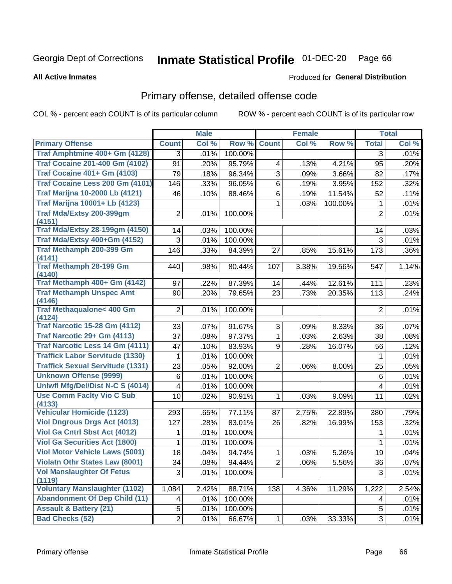# Inmate Statistical Profile 01-DEC-20 Page 66

**All Active Inmates** 

### **Produced for General Distribution**

### Primary offense, detailed offense code

COL % - percent each COUNT is of its particular column

|                                                |                          | <b>Male</b> |         |                         | <b>Female</b> |         |                | <b>Total</b> |
|------------------------------------------------|--------------------------|-------------|---------|-------------------------|---------------|---------|----------------|--------------|
| <b>Primary Offense</b>                         | <b>Count</b>             | Col %       | Row %   | <b>Count</b>            | Col %         | Row %   | <b>Total</b>   | Col %        |
| Traf Amphtmine 400+ Gm (4128)                  | 3                        | .01%        | 100.00% |                         |               |         | 3              | .01%         |
| <b>Traf Cocaine 201-400 Gm (4102)</b>          | 91                       | .20%        | 95.79%  | $\overline{\mathbf{4}}$ | .13%          | 4.21%   | 95             | .20%         |
| <b>Traf Cocaine 401+ Gm (4103)</b>             | 79                       | .18%        | 96.34%  | 3                       | .09%          | 3.66%   | 82             | .17%         |
| Traf Cocaine Less 200 Gm (4101)                | 146                      | .33%        | 96.05%  | 6                       | .19%          | 3.95%   | 152            | .32%         |
| <b>Traf Marijna 10-2000 Lb (4121)</b>          | 46                       | .10%        | 88.46%  | 6                       | .19%          | 11.54%  | 52             | .11%         |
| <b>Traf Marijna 10001+ Lb (4123)</b>           |                          |             |         | 1                       | .03%          | 100.00% | 1              | .01%         |
| Traf Mda/Extsy 200-399gm<br>(4151)             | $\overline{2}$           | .01%        | 100.00% |                         |               |         | $\overline{2}$ | .01%         |
| <b>Traf Mda/Extsy 28-199gm (4150)</b>          | 14                       | .03%        | 100.00% |                         |               |         | 14             | .03%         |
| Traf Mda/Extsy 400+Gm (4152)                   | $\mathbf{3}$             | .01%        | 100.00% |                         |               |         | $\mathfrak{S}$ | .01%         |
| Traf Methamph 200-399 Gm<br>(4141)             | 146                      | .33%        | 84.39%  | 27                      | .85%          | 15.61%  | 173            | .36%         |
| <b>Traf Methamph 28-199 Gm</b><br>(4140)       | 440                      | .98%        | 80.44%  | 107                     | 3.38%         | 19.56%  | 547            | 1.14%        |
| Traf Methamph 400+ Gm (4142)                   | 97                       | .22%        | 87.39%  | 14                      | .44%          | 12.61%  | 111            | .23%         |
| <b>Traf Methamph Unspec Amt</b>                | 90                       | .20%        | 79.65%  | 23                      | .73%          | 20.35%  | 113            | .24%         |
| (4146)                                         |                          |             |         |                         |               |         |                |              |
| <b>Traf Methaqualone&lt; 400 Gm</b>            | $\overline{2}$           | .01%        | 100.00% |                         |               |         | 2              | .01%         |
| (4124)<br><b>Traf Narcotic 15-28 Gm (4112)</b> | 33                       | .07%        | 91.67%  | 3                       | .09%          | 8.33%   | 36             | .07%         |
| Traf Narcotic 29+ Gm (4113)                    | 37                       | .08%        | 97.37%  | $\mathbf{1}$            | .03%          | 2.63%   | 38             | .08%         |
| <b>Traf Narcotic Less 14 Gm (4111)</b>         | 47                       | .10%        | 83.93%  | 9                       | .28%          | 16.07%  | 56             | .12%         |
| <b>Traffick Labor Servitude (1330)</b>         | 1                        | .01%        | 100.00% |                         |               |         | $\mathbf 1$    | .01%         |
| <b>Traffick Sexual Servitude (1331)</b>        | 23                       | .05%        | 92.00%  | $\overline{2}$          | .06%          | 8.00%   | 25             | .05%         |
| <b>Unknown Offense (9999)</b>                  | $\,6$                    | .01%        | 100.00% |                         |               |         | $\,6$          | .01%         |
| Uniwfl Mfg/Del/Dist N-C S (4014)               | $\overline{\mathcal{A}}$ | .01%        | 100.00% |                         |               |         | 4              | .01%         |
| <b>Use Comm Facity Vio C Sub</b>               | 10                       | .02%        | 90.91%  | $\mathbf{1}$            | .03%          | 9.09%   | 11             | .02%         |
| (4133)                                         |                          |             |         |                         |               |         |                |              |
| <b>Vehicular Homicide (1123)</b>               | 293                      | .65%        | 77.11%  | 87                      | 2.75%         | 22.89%  | 380            | .79%         |
| <b>Viol Dngrous Drgs Act (4013)</b>            | 127                      | .28%        | 83.01%  | 26                      | .82%          | 16.99%  | 153            | .32%         |
| Viol Ga Cntrl Sbst Act (4012)                  | 1                        | .01%        | 100.00% |                         |               |         | 1              | .01%         |
| <b>Viol Ga Securities Act (1800)</b>           | 1                        | .01%        | 100.00% |                         |               |         | 1              | .01%         |
| <b>Viol Motor Vehicle Laws (5001)</b>          | 18                       | .04%        | 94.74%  | 1                       | .03%          | 5.26%   | 19             | .04%         |
| <b>Violatn Othr States Law (8001)</b>          | 34                       | .08%        | 94.44%  | $\overline{2}$          | .06%          | 5.56%   | 36             | .07%         |
| <b>Vol Manslaughter Of Fetus</b><br>(1119)     | 3                        | .01%        | 100.00% |                         |               |         | 3              | .01%         |
| <b>Voluntary Manslaughter (1102)</b>           | 1,084                    | 2.42%       | 88.71%  | 138                     | 4.36%         | 11.29%  | 1,222          | 2.54%        |
| <b>Abandonment Of Dep Child (11)</b>           | 4                        | .01%        | 100.00% |                         |               |         | 4              | .01%         |
| <b>Assault &amp; Battery (21)</b>              | 5                        | .01%        | 100.00% |                         |               |         | 5              | .01%         |
| <b>Bad Checks (52)</b>                         | $\overline{2}$           | .01%        | 66.67%  | $\mathbf{1}$            | .03%          | 33.33%  | 3              | .01%         |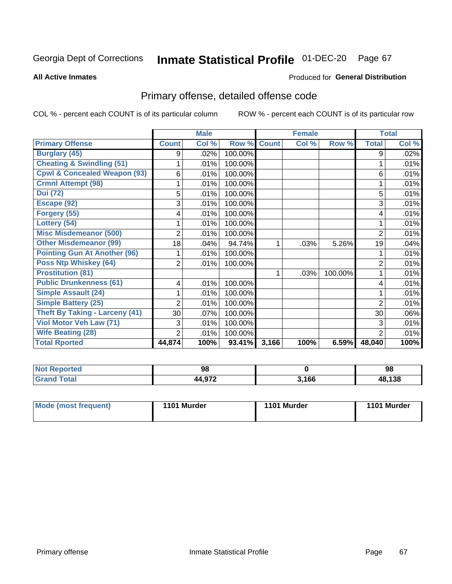# Inmate Statistical Profile 01-DEC-20 Page 67

**All Active Inmates** 

#### Produced for General Distribution

## Primary offense, detailed offense code

COL % - percent each COUNT is of its particular column

|                                         |                | <b>Male</b> |         |              | <b>Female</b> |         |                | <b>Total</b> |
|-----------------------------------------|----------------|-------------|---------|--------------|---------------|---------|----------------|--------------|
| <b>Primary Offense</b>                  | <b>Count</b>   | Col %       | Row %   | <b>Count</b> | Col %         | Row %   | <b>Total</b>   | Col %        |
| <b>Burglary (45)</b>                    | 9              | $.02\%$     | 100.00% |              |               |         | 9              | .02%         |
| <b>Cheating &amp; Swindling (51)</b>    |                | .01%        | 100.00% |              |               |         |                | .01%         |
| <b>Cpwl &amp; Concealed Weapon (93)</b> | 6              | .01%        | 100.00% |              |               |         | 6              | .01%         |
| <b>Crmnl Attempt (98)</b>               |                | .01%        | 100.00% |              |               |         |                | .01%         |
| <b>Dui</b> (72)                         | 5              | .01%        | 100.00% |              |               |         | 5              | .01%         |
| Escape (92)                             | 3              | .01%        | 100.00% |              |               |         | 3              | .01%         |
| Forgery (55)                            | 4              | .01%        | 100.00% |              |               |         | 4              | .01%         |
| Lottery (54)                            |                | .01%        | 100.00% |              |               |         |                | .01%         |
| <b>Misc Misdemeanor (500)</b>           | 2              | .01%        | 100.00% |              |               |         | 2              | .01%         |
| <b>Other Misdemeanor (99)</b>           | 18             | .04%        | 94.74%  | 1            | .03%          | 5.26%   | 19             | .04%         |
| <b>Pointing Gun At Another (96)</b>     |                | .01%        | 100.00% |              |               |         |                | .01%         |
| <b>Poss Ntp Whiskey (64)</b>            | 2              | .01%        | 100.00% |              |               |         | 2              | .01%         |
| <b>Prostitution (81)</b>                |                |             |         | 1            | .03%          | 100.00% |                | .01%         |
| <b>Public Drunkenness (61)</b>          | 4              | .01%        | 100.00% |              |               |         | 4              | .01%         |
| <b>Simple Assault (24)</b>              |                | .01%        | 100.00% |              |               |         |                | .01%         |
| <b>Simple Battery (25)</b>              | 2              | .01%        | 100.00% |              |               |         | $\overline{2}$ | .01%         |
| <b>Theft By Taking - Larceny (41)</b>   | 30             | .07%        | 100.00% |              |               |         | 30             | .06%         |
| Viol Motor Veh Law (71)                 | 3              | .01%        | 100.00% |              |               |         | 3              | .01%         |
| <b>Wife Beating (28)</b>                | $\overline{2}$ | .01%        | 100.00% |              |               |         | $\mathbf{2}$   | .01%         |
| <b>Total Rported</b>                    | 44,874         | 100%        | 93.41%  | 3,166        | 100%          | 6.59%   | 48,040         | 100%         |

| ' NOT<br>rreo. | 98    |       | 98     |
|----------------|-------|-------|--------|
|                | A 072 | 3,166 | 48,138 |

| Mode (most frequent) | 1101 Murder | 1101 Murder | 1101 Murder |
|----------------------|-------------|-------------|-------------|
|                      |             |             |             |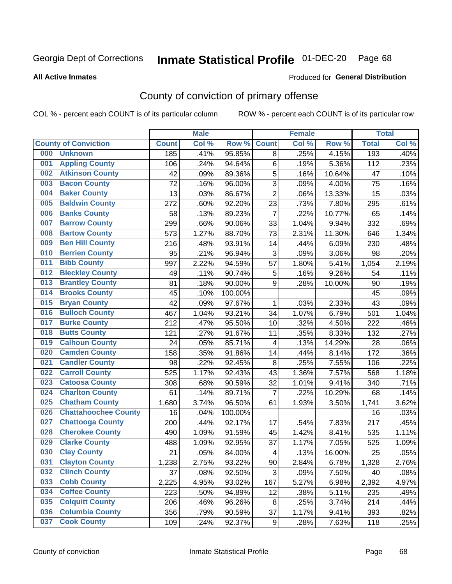# Inmate Statistical Profile 01-DEC-20 Page 68

#### **All Active Inmates**

#### Produced for General Distribution

## County of conviction of primary offense

COL % - percent each COUNT is of its particular column

|     |                             |              | <b>Male</b> |         |                         | <b>Female</b> |        |              | <b>Total</b> |
|-----|-----------------------------|--------------|-------------|---------|-------------------------|---------------|--------|--------------|--------------|
|     | <b>County of Conviction</b> | <b>Count</b> | Col %       | Row %   | <b>Count</b>            | Col %         | Row %  | <b>Total</b> | Col %        |
| 000 | <b>Unknown</b>              | 185          | .41%        | 95.85%  | 8                       | .25%          | 4.15%  | 193          | .40%         |
| 001 | <b>Appling County</b>       | 106          | .24%        | 94.64%  | 6                       | .19%          | 5.36%  | 112          | .23%         |
| 002 | <b>Atkinson County</b>      | 42           | .09%        | 89.36%  | 5                       | .16%          | 10.64% | 47           | .10%         |
| 003 | <b>Bacon County</b>         | 72           | .16%        | 96.00%  | 3                       | .09%          | 4.00%  | 75           | .16%         |
| 004 | <b>Baker County</b>         | 13           | .03%        | 86.67%  | $\overline{2}$          | .06%          | 13.33% | 15           | .03%         |
| 005 | <b>Baldwin County</b>       | 272          | .60%        | 92.20%  | 23                      | .73%          | 7.80%  | 295          | .61%         |
| 006 | <b>Banks County</b>         | 58           | .13%        | 89.23%  | $\overline{7}$          | .22%          | 10.77% | 65           | .14%         |
| 007 | <b>Barrow County</b>        | 299          | .66%        | 90.06%  | 33                      | 1.04%         | 9.94%  | 332          | .69%         |
| 008 | <b>Bartow County</b>        | 573          | 1.27%       | 88.70%  | 73                      | 2.31%         | 11.30% | 646          | 1.34%        |
| 009 | <b>Ben Hill County</b>      | 216          | .48%        | 93.91%  | 14                      | .44%          | 6.09%  | 230          | .48%         |
| 010 | <b>Berrien County</b>       | 95           | .21%        | 96.94%  | 3                       | .09%          | 3.06%  | 98           | .20%         |
| 011 | <b>Bibb County</b>          | 997          | 2.22%       | 94.59%  | 57                      | 1.80%         | 5.41%  | 1,054        | 2.19%        |
| 012 | <b>Bleckley County</b>      | 49           | .11%        | 90.74%  | $\mathbf 5$             | .16%          | 9.26%  | 54           | .11%         |
| 013 | <b>Brantley County</b>      | 81           | .18%        | 90.00%  | 9                       | .28%          | 10.00% | 90           | .19%         |
| 014 | <b>Brooks County</b>        | 45           | .10%        | 100.00% |                         |               |        | 45           | .09%         |
| 015 | <b>Bryan County</b>         | 42           | .09%        | 97.67%  | 1                       | .03%          | 2.33%  | 43           | .09%         |
| 016 | <b>Bulloch County</b>       | 467          | 1.04%       | 93.21%  | 34                      | 1.07%         | 6.79%  | 501          | 1.04%        |
| 017 | <b>Burke County</b>         | 212          | .47%        | 95.50%  | 10                      | .32%          | 4.50%  | 222          | .46%         |
| 018 | <b>Butts County</b>         | 121          | .27%        | 91.67%  | 11                      | .35%          | 8.33%  | 132          | .27%         |
| 019 | <b>Calhoun County</b>       | 24           | .05%        | 85.71%  | $\overline{\mathbf{4}}$ | .13%          | 14.29% | 28           | .06%         |
| 020 | <b>Camden County</b>        | 158          | .35%        | 91.86%  | 14                      | .44%          | 8.14%  | 172          | .36%         |
| 021 | <b>Candler County</b>       | 98           | .22%        | 92.45%  | $\,8\,$                 | .25%          | 7.55%  | 106          | .22%         |
| 022 | <b>Carroll County</b>       | 525          | 1.17%       | 92.43%  | 43                      | 1.36%         | 7.57%  | 568          | 1.18%        |
| 023 | <b>Catoosa County</b>       | 308          | .68%        | 90.59%  | 32                      | 1.01%         | 9.41%  | 340          | .71%         |
| 024 | <b>Charlton County</b>      | 61           | .14%        | 89.71%  | $\overline{7}$          | .22%          | 10.29% | 68           | .14%         |
| 025 | <b>Chatham County</b>       | 1,680        | 3.74%       | 96.50%  | 61                      | 1.93%         | 3.50%  | 1,741        | 3.62%        |
| 026 | <b>Chattahoochee County</b> | 16           | .04%        | 100.00% |                         |               |        | 16           | .03%         |
| 027 | <b>Chattooga County</b>     | 200          | .44%        | 92.17%  | 17                      | .54%          | 7.83%  | 217          | .45%         |
| 028 | <b>Cherokee County</b>      | 490          | 1.09%       | 91.59%  | 45                      | 1.42%         | 8.41%  | 535          | 1.11%        |
| 029 | <b>Clarke County</b>        | 488          | 1.09%       | 92.95%  | 37                      | 1.17%         | 7.05%  | 525          | 1.09%        |
| 030 | <b>Clay County</b>          | 21           | .05%        | 84.00%  | $\overline{\mathbf{4}}$ | .13%          | 16.00% | 25           | .05%         |
| 031 | <b>Clayton County</b>       | 1,238        | 2.75%       | 93.22%  | 90                      | 2.84%         | 6.78%  | 1,328        | 2.76%        |
| 032 | <b>Clinch County</b>        | 37           | .08%        | 92.50%  | 3                       | .09%          | 7.50%  | 40           | .08%         |
| 033 | <b>Cobb County</b>          | 2,225        | 4.95%       | 93.02%  | 167                     | 5.27%         | 6.98%  | 2,392        | 4.97%        |
| 034 | <b>Coffee County</b>        | 223          | .50%        | 94.89%  | 12                      | .38%          | 5.11%  | 235          | .49%         |
| 035 | <b>Colquitt County</b>      | 206          | .46%        | 96.26%  | 8                       | .25%          | 3.74%  | 214          | .44%         |
| 036 | <b>Columbia County</b>      | 356          | .79%        | 90.59%  | 37                      | 1.17%         | 9.41%  | 393          | .82%         |
| 037 | <b>Cook County</b>          | 109          | .24%        | 92.37%  | 9                       | .28%          | 7.63%  | 118          | .25%         |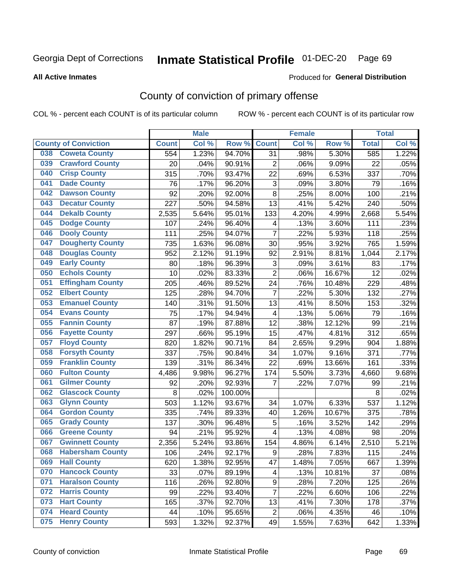# Inmate Statistical Profile 01-DEC-20 Page 69

Produced for General Distribution

#### **All Active Inmates**

## County of conviction of primary offense

COL % - percent each COUNT is of its particular column

|                                |              | <b>Male</b> |         |                           | <b>Female</b> |        |              | <b>Total</b> |
|--------------------------------|--------------|-------------|---------|---------------------------|---------------|--------|--------------|--------------|
| <b>County of Conviction</b>    | <b>Count</b> | Col %       | Row %   | <b>Count</b>              | Col %         | Row %  | <b>Total</b> | Col %        |
| <b>Coweta County</b><br>038    | 554          | 1.23%       | 94.70%  | 31                        | .98%          | 5.30%  | 585          | 1.22%        |
| <b>Crawford County</b><br>039  | 20           | .04%        | 90.91%  | $\overline{c}$            | .06%          | 9.09%  | 22           | .05%         |
| <b>Crisp County</b><br>040     | 315          | .70%        | 93.47%  | 22                        | .69%          | 6.53%  | 337          | .70%         |
| <b>Dade County</b><br>041      | 76           | .17%        | 96.20%  | $\ensuremath{\mathsf{3}}$ | .09%          | 3.80%  | 79           | .16%         |
| 042<br><b>Dawson County</b>    | 92           | .20%        | 92.00%  | 8                         | .25%          | 8.00%  | 100          | .21%         |
| <b>Decatur County</b><br>043   | 227          | .50%        | 94.58%  | 13                        | .41%          | 5.42%  | 240          | .50%         |
| <b>Dekalb County</b><br>044    | 2,535        | 5.64%       | 95.01%  | 133                       | 4.20%         | 4.99%  | 2,668        | 5.54%        |
| <b>Dodge County</b><br>045     | 107          | .24%        | 96.40%  | 4                         | .13%          | 3.60%  | 111          | .23%         |
| 046<br><b>Dooly County</b>     | 111          | .25%        | 94.07%  | $\overline{7}$            | .22%          | 5.93%  | 118          | .25%         |
| <b>Dougherty County</b><br>047 | 735          | 1.63%       | 96.08%  | 30                        | .95%          | 3.92%  | 765          | 1.59%        |
| 048<br><b>Douglas County</b>   | 952          | 2.12%       | 91.19%  | 92                        | 2.91%         | 8.81%  | 1,044        | 2.17%        |
| <b>Early County</b><br>049     | 80           | .18%        | 96.39%  | $\ensuremath{\mathsf{3}}$ | .09%          | 3.61%  | 83           | .17%         |
| <b>Echols County</b><br>050    | 10           | .02%        | 83.33%  | $\overline{2}$            | .06%          | 16.67% | 12           | .02%         |
| <b>Effingham County</b><br>051 | 205          | .46%        | 89.52%  | 24                        | .76%          | 10.48% | 229          | .48%         |
| <b>Elbert County</b><br>052    | 125          | .28%        | 94.70%  | $\overline{7}$            | .22%          | 5.30%  | 132          | .27%         |
| <b>Emanuel County</b><br>053   | 140          | .31%        | 91.50%  | 13                        | .41%          | 8.50%  | 153          | .32%         |
| 054<br><b>Evans County</b>     | 75           | .17%        | 94.94%  | 4                         | .13%          | 5.06%  | 79           | .16%         |
| 055<br><b>Fannin County</b>    | 87           | .19%        | 87.88%  | 12                        | .38%          | 12.12% | 99           | .21%         |
| <b>Fayette County</b><br>056   | 297          | .66%        | 95.19%  | 15                        | .47%          | 4.81%  | 312          | .65%         |
| <b>Floyd County</b><br>057     | 820          | 1.82%       | 90.71%  | 84                        | 2.65%         | 9.29%  | 904          | 1.88%        |
| <b>Forsyth County</b><br>058   | 337          | .75%        | 90.84%  | 34                        | 1.07%         | 9.16%  | 371          | .77%         |
| <b>Franklin County</b><br>059  | 139          | .31%        | 86.34%  | 22                        | .69%          | 13.66% | 161          | .33%         |
| <b>Fulton County</b><br>060    | 4,486        | 9.98%       | 96.27%  | 174                       | 5.50%         | 3.73%  | 4,660        | 9.68%        |
| <b>Gilmer County</b><br>061    | 92           | .20%        | 92.93%  | $\overline{7}$            | .22%          | 7.07%  | 99           | .21%         |
| <b>Glascock County</b><br>062  | 8            | .02%        | 100.00% |                           |               |        | 8            | .02%         |
| <b>Glynn County</b><br>063     | 503          | 1.12%       | 93.67%  | 34                        | 1.07%         | 6.33%  | 537          | 1.12%        |
| <b>Gordon County</b><br>064    | 335          | .74%        | 89.33%  | 40                        | 1.26%         | 10.67% | 375          | .78%         |
| 065<br><b>Grady County</b>     | 137          | .30%        | 96.48%  | 5                         | .16%          | 3.52%  | 142          | .29%         |
| <b>Greene County</b><br>066    | 94           | .21%        | 95.92%  | 4                         | .13%          | 4.08%  | 98           | .20%         |
| <b>Gwinnett County</b><br>067  | 2,356        | 5.24%       | 93.86%  | 154                       | 4.86%         | 6.14%  | 2,510        | 5.21%        |
| 068<br><b>Habersham County</b> | 106          | .24%        | 92.17%  | $\boldsymbol{9}$          | .28%          | 7.83%  | 115          | .24%         |
| 069<br><b>Hall County</b>      | 620          | 1.38%       | 92.95%  | 47                        | 1.48%         | 7.05%  | 667          | 1.39%        |
| <b>Hancock County</b><br>070   | 33           | .07%        | 89.19%  | 4                         | .13%          | 10.81% | 37           | .08%         |
| <b>Haralson County</b><br>071  | 116          | .26%        | 92.80%  | 9                         | .28%          | 7.20%  | 125          | .26%         |
| 072<br><b>Harris County</b>    | 99           | .22%        | 93.40%  | $\overline{7}$            | .22%          | 6.60%  | 106          | .22%         |
| <b>Hart County</b><br>073      | 165          | .37%        | 92.70%  | 13                        | .41%          | 7.30%  | 178          | .37%         |
| <b>Heard County</b><br>074     | 44           | .10%        | 95.65%  | $\overline{c}$            | .06%          | 4.35%  | 46           | .10%         |
| <b>Henry County</b><br>075     | 593          | 1.32%       | 92.37%  | 49                        | 1.55%         | 7.63%  | 642          | 1.33%        |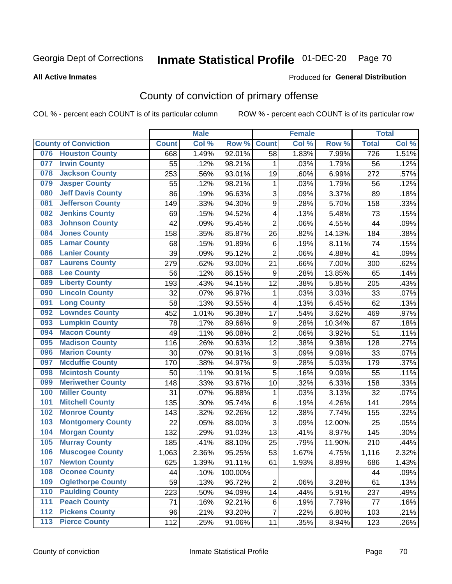# Inmate Statistical Profile 01-DEC-20 Page 70

Produced for General Distribution

#### **All Active Inmates**

## County of conviction of primary offense

COL % - percent each COUNT is of its particular column

|       |                             |              | <b>Male</b> |         |                  | <b>Female</b> |        |                  | <b>Total</b> |
|-------|-----------------------------|--------------|-------------|---------|------------------|---------------|--------|------------------|--------------|
|       | <b>County of Conviction</b> | <b>Count</b> | Col %       | Row %   | <b>Count</b>     | Col%          | Row %  | <b>Total</b>     | Col %        |
| 076   | <b>Houston County</b>       | 668          | 1.49%       | 92.01%  | 58               | 1.83%         | 7.99%  | $\overline{726}$ | 1.51%        |
| 077   | <b>Irwin County</b>         | 55           | .12%        | 98.21%  | 1                | .03%          | 1.79%  | 56               | .12%         |
| 078   | <b>Jackson County</b>       | 253          | .56%        | 93.01%  | 19               | .60%          | 6.99%  | 272              | .57%         |
| 079   | <b>Jasper County</b>        | 55           | .12%        | 98.21%  | 1                | .03%          | 1.79%  | 56               | .12%         |
| 080   | <b>Jeff Davis County</b>    | 86           | .19%        | 96.63%  | 3                | .09%          | 3.37%  | 89               | .18%         |
| 081   | <b>Jefferson County</b>     | 149          | .33%        | 94.30%  | 9                | .28%          | 5.70%  | 158              | .33%         |
| 082   | <b>Jenkins County</b>       | 69           | .15%        | 94.52%  | 4                | .13%          | 5.48%  | 73               | .15%         |
| 083   | <b>Johnson County</b>       | 42           | .09%        | 95.45%  | $\overline{2}$   | .06%          | 4.55%  | 44               | .09%         |
| 084   | <b>Jones County</b>         | 158          | .35%        | 85.87%  | 26               | .82%          | 14.13% | 184              | .38%         |
| 085   | <b>Lamar County</b>         | 68           | .15%        | 91.89%  | 6                | .19%          | 8.11%  | 74               | .15%         |
| 086   | <b>Lanier County</b>        | 39           | .09%        | 95.12%  | $\overline{2}$   | .06%          | 4.88%  | 41               | .09%         |
| 087   | <b>Laurens County</b>       | 279          | .62%        | 93.00%  | 21               | .66%          | 7.00%  | 300              | .62%         |
| 088   | <b>Lee County</b>           | 56           | .12%        | 86.15%  | $\boldsymbol{9}$ | .28%          | 13.85% | 65               | .14%         |
| 089   | <b>Liberty County</b>       | 193          | .43%        | 94.15%  | 12               | .38%          | 5.85%  | 205              | .43%         |
| 090   | <b>Lincoln County</b>       | 32           | .07%        | 96.97%  | 1                | .03%          | 3.03%  | 33               | .07%         |
| 091   | <b>Long County</b>          | 58           | .13%        | 93.55%  | 4                | .13%          | 6.45%  | 62               | .13%         |
| 092   | <b>Lowndes County</b>       | 452          | 1.01%       | 96.38%  | 17               | .54%          | 3.62%  | 469              | .97%         |
| 093   | <b>Lumpkin County</b>       | 78           | .17%        | 89.66%  | $\boldsymbol{9}$ | .28%          | 10.34% | 87               | .18%         |
| 094   | <b>Macon County</b>         | 49           | .11%        | 96.08%  | $\overline{2}$   | .06%          | 3.92%  | 51               | .11%         |
| 095   | <b>Madison County</b>       | 116          | .26%        | 90.63%  | 12               | .38%          | 9.38%  | 128              | .27%         |
| 096   | <b>Marion County</b>        | 30           | .07%        | 90.91%  | 3                | .09%          | 9.09%  | 33               | .07%         |
| 097   | <b>Mcduffie County</b>      | 170          | .38%        | 94.97%  | 9                | .28%          | 5.03%  | 179              | .37%         |
| 098   | <b>Mcintosh County</b>      | 50           | .11%        | 90.91%  | 5                | .16%          | 9.09%  | 55               | .11%         |
| 099   | <b>Meriwether County</b>    | 148          | .33%        | 93.67%  | 10               | .32%          | 6.33%  | 158              | .33%         |
| 100   | <b>Miller County</b>        | 31           | .07%        | 96.88%  | 1                | .03%          | 3.13%  | 32               | .07%         |
| 101   | <b>Mitchell County</b>      | 135          | .30%        | 95.74%  | 6                | .19%          | 4.26%  | 141              | .29%         |
| 102   | <b>Monroe County</b>        | 143          | .32%        | 92.26%  | 12               | .38%          | 7.74%  | 155              | .32%         |
| 103   | <b>Montgomery County</b>    | 22           | .05%        | 88.00%  | $\sqrt{3}$       | .09%          | 12.00% | 25               | .05%         |
| 104   | <b>Morgan County</b>        | 132          | .29%        | 91.03%  | 13               | .41%          | 8.97%  | 145              | .30%         |
| 105   | <b>Murray County</b>        | 185          | .41%        | 88.10%  | 25               | .79%          | 11.90% | 210              | .44%         |
| 106   | <b>Muscogee County</b>      | 1,063        | 2.36%       | 95.25%  | 53               | 1.67%         | 4.75%  | 1,116            | 2.32%        |
| 107   | <b>Newton County</b>        | 625          | 1.39%       | 91.11%  | 61               | 1.93%         | 8.89%  | 686              | 1.43%        |
| 108   | <b>Oconee County</b>        | 44           | .10%        | 100.00% |                  |               |        | 44               | .09%         |
| 109   | <b>Oglethorpe County</b>    | 59           | .13%        | 96.72%  | $\overline{2}$   | .06%          | 3.28%  | 61               | .13%         |
| 110   | <b>Paulding County</b>      | 223          | .50%        | 94.09%  | 14               | .44%          | 5.91%  | 237              | .49%         |
| 111   | <b>Peach County</b>         | 71           | .16%        | 92.21%  | 6                | .19%          | 7.79%  | 77               | .16%         |
| 112   | <b>Pickens County</b>       | 96           | .21%        | 93.20%  | $\overline{7}$   | .22%          | 6.80%  | 103              | .21%         |
| $113$ | <b>Pierce County</b>        | 112          | .25%        | 91.06%  | 11               | .35%          | 8.94%  | 123              | .26%         |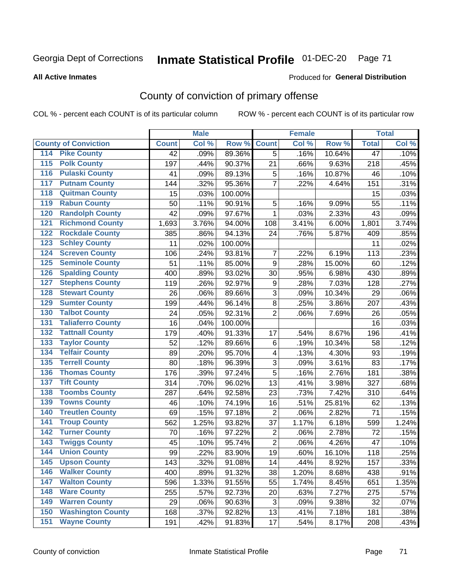# Inmate Statistical Profile 01-DEC-20 Page 71

#### **All Active Inmates**

#### Produced for General Distribution

## County of conviction of primary offense

COL % - percent each COUNT is of its particular column

|                                        |              | <b>Male</b> |         |                         | <b>Female</b> |        |                 | <b>Total</b> |
|----------------------------------------|--------------|-------------|---------|-------------------------|---------------|--------|-----------------|--------------|
| <b>County of Conviction</b>            | <b>Count</b> | Col %       | Row %   | <b>Count</b>            | Col %         | Row %  | <b>Total</b>    | Col %        |
| 114 Pike County                        | 42           | .09%        | 89.36%  | 5                       | .16%          | 10.64% | $\overline{47}$ | .10%         |
| <b>Polk County</b><br>$\overline{115}$ | 197          | .44%        | 90.37%  | 21                      | .66%          | 9.63%  | 218             | .45%         |
| <b>Pulaski County</b><br>116           | 41           | .09%        | 89.13%  | $\mathbf 5$             | .16%          | 10.87% | 46              | .10%         |
| <b>Putnam County</b><br>117            | 144          | .32%        | 95.36%  | $\overline{7}$          | .22%          | 4.64%  | 151             | .31%         |
| 118<br><b>Quitman County</b>           | 15           | .03%        | 100.00% |                         |               |        | 15              | .03%         |
| <b>Rabun County</b><br>119             | 50           | .11%        | 90.91%  | 5                       | .16%          | 9.09%  | 55              | .11%         |
| <b>Randolph County</b><br>120          | 42           | .09%        | 97.67%  | 1                       | .03%          | 2.33%  | 43              | .09%         |
| <b>Richmond County</b><br>121          | 1,693        | 3.76%       | 94.00%  | 108                     | 3.41%         | 6.00%  | 1,801           | 3.74%        |
| <b>Rockdale County</b><br>122          | 385          | .86%        | 94.13%  | 24                      | .76%          | 5.87%  | 409             | .85%         |
| <b>Schley County</b><br>123            | 11           | .02%        | 100.00% |                         |               |        | 11              | .02%         |
| <b>Screven County</b><br>124           | 106          | .24%        | 93.81%  | 7                       | .22%          | 6.19%  | 113             | .23%         |
| <b>Seminole County</b><br>125          | 51           | .11%        | 85.00%  | 9                       | .28%          | 15.00% | 60              | .12%         |
| 126<br><b>Spalding County</b>          | 400          | .89%        | 93.02%  | 30                      | .95%          | 6.98%  | 430             | .89%         |
| 127<br><b>Stephens County</b>          | 119          | .26%        | 92.97%  | 9                       | .28%          | 7.03%  | 128             | .27%         |
| <b>Stewart County</b><br>128           | 26           | .06%        | 89.66%  | 3                       | .09%          | 10.34% | 29              | .06%         |
| <b>Sumter County</b><br>129            | 199          | .44%        | 96.14%  | $\,8\,$                 | .25%          | 3.86%  | 207             | .43%         |
| <b>Talbot County</b><br>130            | 24           | .05%        | 92.31%  | $\overline{2}$          | .06%          | 7.69%  | 26              | .05%         |
| <b>Taliaferro County</b><br>131        | 16           | .04%        | 100.00% |                         |               |        | 16              | .03%         |
| <b>Tattnall County</b><br>132          | 179          | .40%        | 91.33%  | 17                      | .54%          | 8.67%  | 196             | .41%         |
| <b>Taylor County</b><br>133            | 52           | .12%        | 89.66%  | $\,6\,$                 | .19%          | 10.34% | 58              | .12%         |
| <b>Telfair County</b><br>134           | 89           | .20%        | 95.70%  | $\overline{\mathbf{4}}$ | .13%          | 4.30%  | 93              | .19%         |
| <b>Terrell County</b><br>135           | 80           | .18%        | 96.39%  | $\sqrt{3}$              | .09%          | 3.61%  | 83              | .17%         |
| <b>Thomas County</b><br>136            | 176          | .39%        | 97.24%  | 5                       | .16%          | 2.76%  | 181             | .38%         |
| <b>Tift County</b><br>137              | 314          | .70%        | 96.02%  | 13                      | .41%          | 3.98%  | 327             | .68%         |
| <b>Toombs County</b><br>138            | 287          | .64%        | 92.58%  | 23                      | .73%          | 7.42%  | 310             | .64%         |
| <b>Towns County</b><br>139             | 46           | .10%        | 74.19%  | 16                      | .51%          | 25.81% | 62              | .13%         |
| <b>Treutlen County</b><br>140          | 69           | .15%        | 97.18%  | $\overline{2}$          | .06%          | 2.82%  | 71              | .15%         |
| <b>Troup County</b><br>141             | 562          | 1.25%       | 93.82%  | 37                      | 1.17%         | 6.18%  | 599             | 1.24%        |
| <b>Turner County</b><br>142            | 70           | .16%        | 97.22%  | $\overline{2}$          | .06%          | 2.78%  | 72              | .15%         |
| <b>Twiggs County</b><br>143            | 45           | .10%        | 95.74%  | $\overline{2}$          | .06%          | 4.26%  | 47              | .10%         |
| <b>Union County</b><br>144             | 99           | .22%        | 83.90%  | 19                      | .60%          | 16.10% | 118             | .25%         |
| 145<br><b>Upson County</b>             | 143          | .32%        | 91.08%  | 14                      | .44%          | 8.92%  | 157             | .33%         |
| <b>Walker County</b><br>146            | 400          | .89%        | 91.32%  | 38                      | 1.20%         | 8.68%  | 438             | .91%         |
| <b>Walton County</b><br>147            | 596          | 1.33%       | 91.55%  | 55                      | 1.74%         | 8.45%  | 651             | 1.35%        |
| <b>Ware County</b><br>148              | 255          | .57%        | 92.73%  | 20                      | .63%          | 7.27%  | 275             | .57%         |
| <b>Warren County</b><br>149            | 29           | .06%        | 90.63%  | 3                       | .09%          | 9.38%  | 32              | .07%         |
| <b>Washington County</b><br>150        | 168          | .37%        | 92.82%  | 13                      | .41%          | 7.18%  | 181             | .38%         |
| <b>Wayne County</b><br>151             | 191          | .42%        | 91.83%  | 17                      | .54%          | 8.17%  | 208             | .43%         |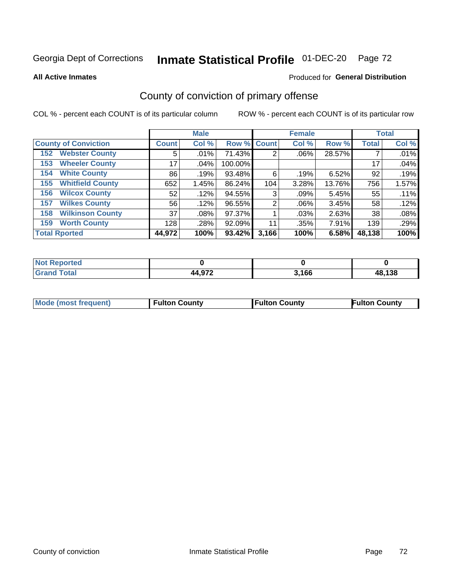# Inmate Statistical Profile 01-DEC-20 Page 72

**All Active Inmates** 

#### Produced for General Distribution

## County of conviction of primary offense

COL % - percent each COUNT is of its particular column

|                                |              | <b>Male</b> |             |       | <b>Female</b> |        |              | <b>Total</b> |
|--------------------------------|--------------|-------------|-------------|-------|---------------|--------|--------------|--------------|
| <b>County of Conviction</b>    | <b>Count</b> | Col %       | Row % Count |       | Col %         | Row %  | <b>Total</b> | Col %        |
| <b>Webster County</b><br>152   | 5            | .01%        | 71.43%      | 2     | $.06\%$       | 28.57% |              | .01%         |
| <b>Wheeler County</b><br>153   | 17           | .04%        | 100.00%     |       |               |        | 17           | .04%         |
| <b>White County</b><br>154     | 86           | .19%        | 93.48%      | 6     | .19%          | 6.52%  | 92           | .19%         |
| <b>Whitfield County</b><br>155 | 652          | 1.45%       | 86.24%      | 104   | 3.28%         | 13.76% | 756          | 1.57%        |
| <b>Wilcox County</b><br>156    | 52           | .12%        | 94.55%      | 3     | .09%          | 5.45%  | 55           | .11%         |
| <b>Wilkes County</b><br>157    | 56           | .12%        | 96.55%      | 2     | $.06\%$       | 3.45%  | 58           | .12%         |
| <b>Wilkinson County</b><br>158 | 37           | .08%        | 97.37%      |       | .03%          | 2.63%  | 38           | .08%         |
| <b>Worth County</b><br>159     | 128          | .28%        | 92.09%      | 11    | .35%          | 7.91%  | 139          | .29%         |
| <b>Total Rported</b>           | 44,972       | 100%        | 93.42%      | 3,166 | 100%          | 6.58%  | 48,138       | 100%         |

| <b>Not Reported</b> |        |       |        |
|---------------------|--------|-------|--------|
| l Total             | 44 972 | 3.166 | 48,138 |

| Mode (most frequent) | <b>Fulton County</b> | <b>Fulton County</b> | <b>Fulton County</b> |
|----------------------|----------------------|----------------------|----------------------|
|                      |                      |                      |                      |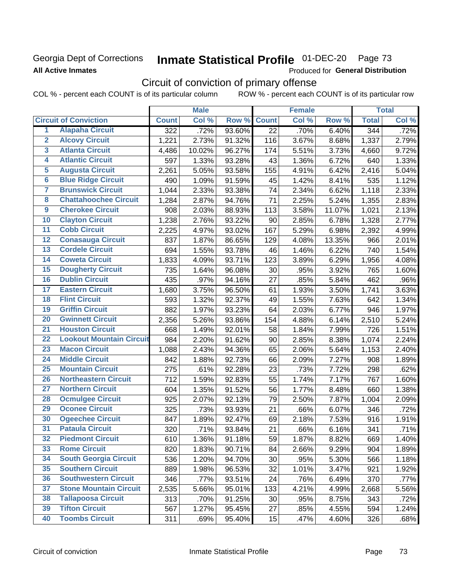### Georgia Dept of Corrections **All Active Inmates**

# Inmate Statistical Profile 01-DEC-20 Page 73

Produced for General Distribution

# Circuit of conviction of primary offense

COL % - percent each COUNT is of its particular column ROW % - percent each COUNT is of its particular row

|                         |                                 | <b>Male</b>      |        |        | <b>Female</b>   |       |        | <b>Total</b> |       |
|-------------------------|---------------------------------|------------------|--------|--------|-----------------|-------|--------|--------------|-------|
|                         | <b>Circuit of Conviction</b>    | <b>Count</b>     | Col %  | Row %  | <b>Count</b>    | Col % | Row %  | <b>Total</b> | Col % |
| 1                       | <b>Alapaha Circuit</b>          | $\overline{322}$ | .72%   | 93.60% | $\overline{22}$ | .70%  | 6.40%  | 344          | .72%  |
| $\overline{2}$          | <b>Alcovy Circuit</b>           | 1,221            | 2.73%  | 91.32% | 116             | 3.67% | 8.68%  | 1,337        | 2.79% |
| $\overline{\mathbf{3}}$ | <b>Atlanta Circuit</b>          | 4,486            | 10.02% | 96.27% | 174             | 5.51% | 3.73%  | 4,660        | 9.72% |
| 4                       | <b>Atlantic Circuit</b>         | 597              | 1.33%  | 93.28% | 43              | 1.36% | 6.72%  | 640          | 1.33% |
| 5                       | <b>Augusta Circuit</b>          | 2,261            | 5.05%  | 93.58% | 155             | 4.91% | 6.42%  | 2,416        | 5.04% |
| $\overline{6}$          | <b>Blue Ridge Circuit</b>       | 490              | 1.09%  | 91.59% | 45              | 1.42% | 8.41%  | 535          | 1.12% |
| $\overline{\mathbf{7}}$ | <b>Brunswick Circuit</b>        | 1,044            | 2.33%  | 93.38% | 74              | 2.34% | 6.62%  | 1,118        | 2.33% |
| $\overline{\mathbf{8}}$ | <b>Chattahoochee Circuit</b>    | 1,284            | 2.87%  | 94.76% | 71              | 2.25% | 5.24%  | 1,355        | 2.83% |
| $\overline{9}$          | <b>Cherokee Circuit</b>         | 908              | 2.03%  | 88.93% | 113             | 3.58% | 11.07% | 1,021        | 2.13% |
| 10                      | <b>Clayton Circuit</b>          | 1,238            | 2.76%  | 93.22% | 90              | 2.85% | 6.78%  | 1,328        | 2.77% |
| $\overline{11}$         | <b>Cobb Circuit</b>             | 2,225            | 4.97%  | 93.02% | 167             | 5.29% | 6.98%  | 2,392        | 4.99% |
| $\overline{12}$         | <b>Conasauga Circuit</b>        | 837              | 1.87%  | 86.65% | 129             | 4.08% | 13.35% | 966          | 2.01% |
| 13                      | <b>Cordele Circuit</b>          | 694              | 1.55%  | 93.78% | 46              | 1.46% | 6.22%  | 740          | 1.54% |
| 14                      | <b>Coweta Circuit</b>           | 1,833            | 4.09%  | 93.71% | 123             | 3.89% | 6.29%  | 1,956        | 4.08% |
| 15                      | <b>Dougherty Circuit</b>        | 735              | 1.64%  | 96.08% | 30              | .95%  | 3.92%  | 765          | 1.60% |
| 16                      | <b>Dublin Circuit</b>           | 435              | .97%   | 94.16% | 27              | .85%  | 5.84%  | 462          | .96%  |
| 17                      | <b>Eastern Circuit</b>          | 1,680            | 3.75%  | 96.50% | 61              | 1.93% | 3.50%  | 1,741        | 3.63% |
| 18                      | <b>Flint Circuit</b>            | 593              | 1.32%  | 92.37% | 49              | 1.55% | 7.63%  | 642          | 1.34% |
| 19                      | <b>Griffin Circuit</b>          | 882              | 1.97%  | 93.23% | 64              | 2.03% | 6.77%  | 946          | 1.97% |
| $\overline{20}$         | <b>Gwinnett Circuit</b>         | 2,356            | 5.26%  | 93.86% | 154             | 4.88% | 6.14%  | 2,510        | 5.24% |
| $\overline{21}$         | <b>Houston Circuit</b>          | 668              | 1.49%  | 92.01% | 58              | 1.84% | 7.99%  | 726          | 1.51% |
| $\overline{22}$         | <b>Lookout Mountain Circuit</b> | 984              | 2.20%  | 91.62% | 90              | 2.85% | 8.38%  | 1,074        | 2.24% |
| 23                      | <b>Macon Circuit</b>            | 1,088            | 2.43%  | 94.36% | 65              | 2.06% | 5.64%  | 1,153        | 2.40% |
| $\overline{24}$         | <b>Middle Circuit</b>           | 842              | 1.88%  | 92.73% | 66              | 2.09% | 7.27%  | 908          | 1.89% |
| 25                      | <b>Mountain Circuit</b>         | 275              | .61%   | 92.28% | 23              | .73%  | 7.72%  | 298          | .62%  |
| 26                      | <b>Northeastern Circuit</b>     | 712              | 1.59%  | 92.83% | 55              | 1.74% | 7.17%  | 767          | 1.60% |
| $\overline{27}$         | <b>Northern Circuit</b>         | 604              | 1.35%  | 91.52% | 56              | 1.77% | 8.48%  | 660          | 1.38% |
| 28                      | <b>Ocmulgee Circuit</b>         | 925              | 2.07%  | 92.13% | 79              | 2.50% | 7.87%  | 1,004        | 2.09% |
| 29                      | <b>Oconee Circuit</b>           | 325              | .73%   | 93.93% | 21              | .66%  | 6.07%  | 346          | .72%  |
| 30                      | <b>Ogeechee Circuit</b>         | 847              | 1.89%  | 92.47% | 69              | 2.18% | 7.53%  | 916          | 1.91% |
| $\overline{31}$         | <b>Pataula Circuit</b>          | 320              | .71%   | 93.84% | 21              | .66%  | 6.16%  | 341          | .71%  |
| 32                      | <b>Piedmont Circuit</b>         | 610              | 1.36%  | 91.18% | 59              | 1.87% | 8.82%  | 669          | 1.40% |
| 33                      | <b>Rome Circuit</b>             | 820              | 1.83%  | 90.71% | 84              | 2.66% | 9.29%  | 904          | 1.89% |
| 34                      | <b>South Georgia Circuit</b>    | 536              | 1.20%  | 94.70% | 30              | .95%  | 5.30%  | 566          | 1.18% |
| 35                      | <b>Southern Circuit</b>         | 889              | 1.98%  | 96.53% | 32              | 1.01% | 3.47%  | 921          | 1.92% |
| 36                      | <b>Southwestern Circuit</b>     | 346              | .77%   | 93.51% | 24              | .76%  | 6.49%  | 370          | .77%  |
| 37                      | <b>Stone Mountain Circuit</b>   | 2,535            | 5.66%  | 95.01% | 133             | 4.21% | 4.99%  | 2,668        | 5.56% |
| 38                      | <b>Tallapoosa Circuit</b>       | 313              | .70%   | 91.25% | 30              | .95%  | 8.75%  | 343          | .72%  |
| 39                      | <b>Tifton Circuit</b>           | 567              | 1.27%  | 95.45% | 27              | .85%  | 4.55%  | 594          | 1.24% |
| 40                      | <b>Toombs Circuit</b>           | 311              | .69%   | 95.40% | 15              | .47%  | 4.60%  | 326          | .68%  |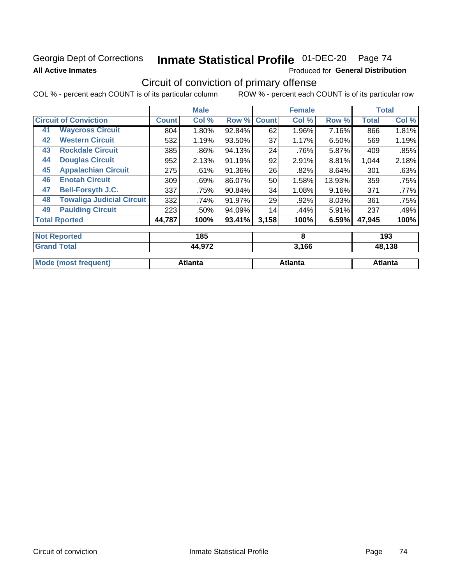## Georgia Dept of Corrections **All Active Inmates**

# Inmate Statistical Profile 01-DEC-20 Page 74

Produced for General Distribution

## Circuit of conviction of primary offense

|                                        |              | <b>Male</b>   |        |              | <b>Female</b> |        |              | <b>Total</b>  |
|----------------------------------------|--------------|---------------|--------|--------------|---------------|--------|--------------|---------------|
| <b>Circuit of Conviction</b>           | <b>Count</b> | Col %         | Row %  | <b>Count</b> | Col %         | Row %  | <b>Total</b> | Col %         |
| <b>Waycross Circuit</b><br>41          | 804          | 1.80%         | 92.84% | 62           | 1.96%         | 7.16%  | 866          | 1.81%         |
| <b>Western Circuit</b><br>42           | 532          | 1.19%         | 93.50% | 37           | 1.17%         | 6.50%  | 569          | 1.19%         |
| <b>Rockdale Circuit</b><br>43          | 385          | .86%          | 94.13% | 24           | .76%          | 5.87%  | 409          | .85%          |
| <b>Douglas Circuit</b><br>44           | 952          | 2.13%         | 91.19% | 92           | 2.91%         | 8.81%  | 1,044        | 2.18%         |
| <b>Appalachian Circuit</b><br>45       | 275          | .61%          | 91.36% | 26           | .82%          | 8.64%  | 301          | .63%          |
| <b>Enotah Circuit</b><br>46            | 309          | .69%          | 86.07% | 50           | 1.58%         | 13.93% | 359          | .75%          |
| <b>Bell-Forsyth J.C.</b><br>47         | 337          | .75%          | 90.84% | 34           | 1.08%         | 9.16%  | 371          | .77%          |
| <b>Towaliga Judicial Circuit</b><br>48 | 332          | .74%          | 91.97% | 29           | .92%          | 8.03%  | 361          | .75%          |
| <b>Paulding Circuit</b><br>49          | 223          | .50%          | 94.09% | 14           | .44%          | 5.91%  | 237          | .49%          |
| <b>Total Rported</b>                   | 44,787       | 100%          | 93.41% | 3,158        | 100%          | 6.59%  | 47,945       | 100%          |
| <b>Not Reported</b>                    |              | 185           |        |              | 8             |        |              | 193           |
| <b>Grand Total</b>                     |              | <b>44 972</b> |        |              | 3.166         |        |              | <b>48 138</b> |

| Ulahu Tutan          | 77,JIL  | J.IUU   | 70,190  |
|----------------------|---------|---------|---------|
|                      |         |         |         |
| Mode (most frequent) | Atlanta | Atlanta | Atlanta |
|                      |         |         |         |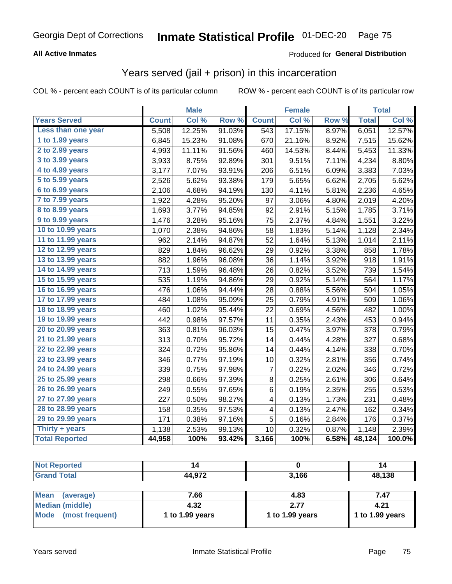### **All Active Inmates**

### Produced for **General Distribution**

### Years served (jail + prison) in this incarceration

|                       |              | <b>Male</b> |                  |                  | <b>Female</b> |       |              | <b>Total</b> |
|-----------------------|--------------|-------------|------------------|------------------|---------------|-------|--------------|--------------|
| <b>Years Served</b>   | <b>Count</b> | Col %       | Row <sup>%</sup> | <b>Count</b>     | Col %         | Row % | <b>Total</b> | Col %        |
| Less than one year    | 5,508        | 12.25%      | 91.03%           | $\overline{543}$ | 17.15%        | 8.97% | 6,051        | 12.57%       |
| 1 to 1.99 years       | 6,845        | 15.23%      | 91.08%           | 670              | 21.16%        | 8.92% | 7,515        | 15.62%       |
| 2 to 2.99 years       | 4,993        | 11.11%      | 91.56%           | 460              | 14.53%        | 8.44% | 5,453        | 11.33%       |
| 3 to 3.99 years       | 3,933        | 8.75%       | 92.89%           | 301              | 9.51%         | 7.11% | 4,234        | 8.80%        |
| 4 to 4.99 years       | 3,177        | 7.07%       | 93.91%           | 206              | 6.51%         | 6.09% | 3,383        | 7.03%        |
| 5 to 5.99 years       | 2,526        | 5.62%       | 93.38%           | 179              | 5.65%         | 6.62% | 2,705        | 5.62%        |
| 6 to 6.99 years       | 2,106        | 4.68%       | 94.19%           | 130              | 4.11%         | 5.81% | 2,236        | 4.65%        |
| 7 to 7.99 years       | 1,922        | 4.28%       | 95.20%           | 97               | 3.06%         | 4.80% | 2,019        | 4.20%        |
| 8 to 8.99 years       | 1,693        | 3.77%       | 94.85%           | 92               | 2.91%         | 5.15% | 1,785        | 3.71%        |
| 9 to 9.99 years       | 1,476        | 3.28%       | 95.16%           | 75               | 2.37%         | 4.84% | 1,551        | 3.22%        |
| 10 to 10.99 years     | 1,070        | 2.38%       | 94.86%           | 58               | 1.83%         | 5.14% | 1,128        | 2.34%        |
| 11 to 11.99 years     | 962          | 2.14%       | 94.87%           | 52               | 1.64%         | 5.13% | 1,014        | 2.11%        |
| 12 to 12.99 years     | 829          | 1.84%       | 96.62%           | 29               | 0.92%         | 3.38% | 858          | 1.78%        |
| 13 to 13.99 years     | 882          | 1.96%       | 96.08%           | 36               | 1.14%         | 3.92% | 918          | 1.91%        |
| 14 to 14.99 years     | 713          | 1.59%       | 96.48%           | 26               | 0.82%         | 3.52% | 739          | 1.54%        |
| 15 to 15.99 years     | 535          | 1.19%       | 94.86%           | 29               | 0.92%         | 5.14% | 564          | 1.17%        |
| 16 to 16.99 years     | 476          | 1.06%       | 94.44%           | 28               | 0.88%         | 5.56% | 504          | 1.05%        |
| 17 to 17.99 years     | 484          | 1.08%       | 95.09%           | 25               | 0.79%         | 4.91% | 509          | 1.06%        |
| 18 to 18.99 years     | 460          | 1.02%       | 95.44%           | 22               | 0.69%         | 4.56% | 482          | 1.00%        |
| 19 to 19.99 years     | 442          | 0.98%       | 97.57%           | 11               | 0.35%         | 2.43% | 453          | 0.94%        |
| 20 to 20.99 years     | 363          | 0.81%       | 96.03%           | 15               | 0.47%         | 3.97% | 378          | 0.79%        |
| 21 to 21.99 years     | 313          | 0.70%       | 95.72%           | 14               | 0.44%         | 4.28% | 327          | 0.68%        |
| 22 to 22.99 years     | 324          | 0.72%       | 95.86%           | 14               | 0.44%         | 4.14% | 338          | 0.70%        |
| 23 to 23.99 years     | 346          | 0.77%       | 97.19%           | 10               | 0.32%         | 2.81% | 356          | 0.74%        |
| 24 to 24.99 years     | 339          | 0.75%       | 97.98%           | 7                | 0.22%         | 2.02% | 346          | 0.72%        |
| 25 to 25.99 years     | 298          | 0.66%       | 97.39%           | $\bf 8$          | 0.25%         | 2.61% | 306          | 0.64%        |
| 26 to 26.99 years     | 249          | 0.55%       | 97.65%           | 6                | 0.19%         | 2.35% | 255          | 0.53%        |
| 27 to 27.99 years     | 227          | 0.50%       | 98.27%           | 4                | 0.13%         | 1.73% | 231          | 0.48%        |
| 28 to 28.99 years     | 158          | 0.35%       | 97.53%           | 4                | 0.13%         | 2.47% | 162          | 0.34%        |
| 29 to 29.99 years     | 171          | 0.38%       | 97.16%           | 5                | 0.16%         | 2.84% | 176          | 0.37%        |
| Thirty $+$ years      | 1,138        | 2.53%       | 99.13%           | 10               | 0.32%         | 0.87% | 1,148        | 2.39%        |
| <b>Total Reported</b> | 44,958       | 100%        | 93.42%           | 3,166            | 100%          | 6.58% | 48,124       | 100.0%       |

| <b>Not Reported</b>            | 14              |                 | 14              |
|--------------------------------|-----------------|-----------------|-----------------|
| <b>Grand Total</b>             | 44,972          | 3,166           | 48,138          |
|                                |                 |                 |                 |
| <b>Mean</b><br>(average)       | 7.66            | 4.83            | 7.47            |
| <b>Median (middle)</b>         | 4.32            | 2.77            | 4.21            |
| <b>Mode</b><br>(most frequent) | 1 to 1.99 years | 1 to 1.99 years | 1 to 1.99 years |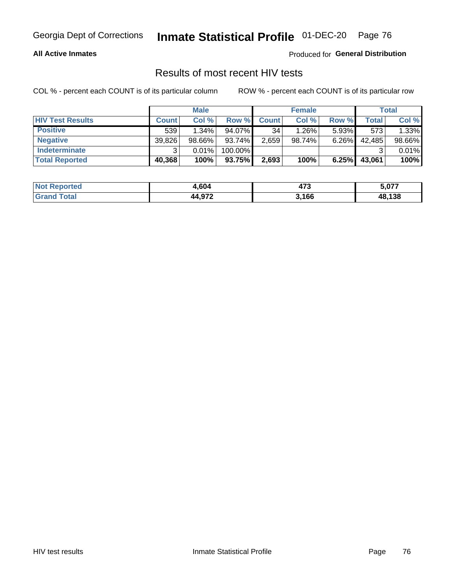#### **All Active Inmates**

Produced for **General Distribution**

### Results of most recent HIV tests

|                         |              | <b>Male</b> |         |              | <b>Female</b> |          |        | Total  |
|-------------------------|--------------|-------------|---------|--------------|---------------|----------|--------|--------|
| <b>HIV Test Results</b> | <b>Count</b> | Col%        | Row %I  | <b>Count</b> | Col %         | Row %    | Total  | Col %  |
| <b>Positive</b>         | 539          | $1.34\%$    | 94.07%  | 34           | $1.26\%$      | $5.93\%$ | 573    | 1.33%  |
| <b>Negative</b>         | 39,826       | $98.66\%$   | 93.74%  | 2,659        | 98.74%        | 6.26%    | 42,485 | 98.66% |
| Indeterminate           | ີ            | 0.01%       | 100.00% |              |               |          |        | 0.01%  |
| <b>Total Reported</b>   | 40,368       | 100%        | 93.75%  | 2,693        | 100%          | 6.25%    | 43,061 | 100%   |

| <b>Not Reported</b> | 4,604  | 172   | 5,077  |
|---------------------|--------|-------|--------|
| Total<br>'Grand     | 44,972 | 3,166 | 48,138 |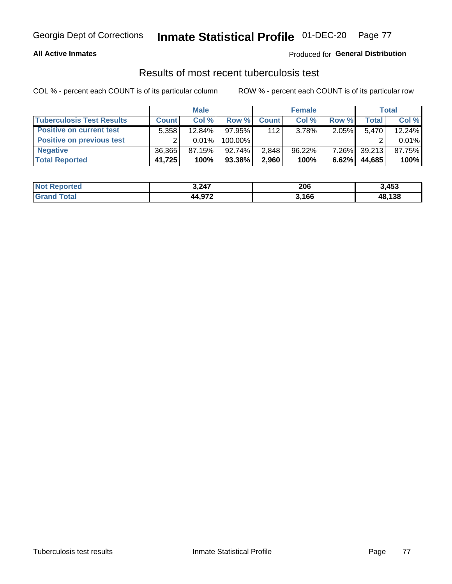#### **All Active Inmates**

### Produced for **General Distribution**

## Results of most recent tuberculosis test

|                                  |              | <b>Male</b> |           |              | <b>Female</b> |          |         | Total  |
|----------------------------------|--------------|-------------|-----------|--------------|---------------|----------|---------|--------|
| <b>Tuberculosis Test Results</b> | <b>Count</b> | Col%        | Row %I    | <b>Count</b> | Col %         | Row %    | Total i | Col %  |
| <b>Positive on current test</b>  | 5.358        | 12.84%      | 97.95%    | 112          | 3.78%         | 2.05%    | 5.470   | 12.24% |
| <b>Positive on previous test</b> | ົ            | 0.01%       | 100.00%   |              |               |          |         | 0.01%  |
| <b>Negative</b>                  | 36,365       | 87.15%      | $92.74\%$ | 2,848        | $96.22\%$     | $7.26\%$ | 39,213  | 87.75% |
| <b>Total Reported</b>            | 41,725       | 100%        | $93.38\%$ | 2,960        | 100%          | 6.62%    | 44,685  | 100%   |

| <b>Not Reported</b> | 3,247  | 206   | 3,453  |
|---------------------|--------|-------|--------|
| Total<br>Grand      | 44,972 | 3,166 | 48,138 |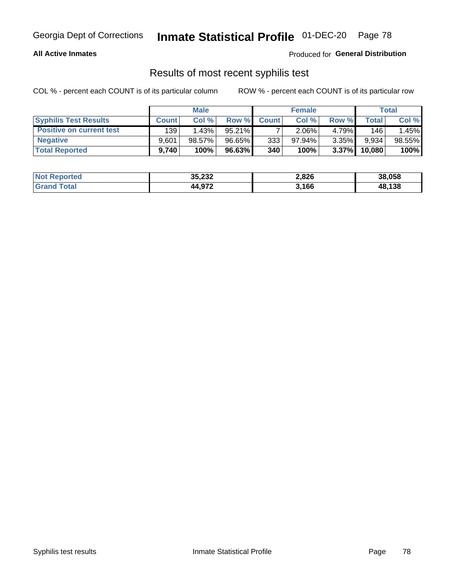#### **All Active Inmates**

Produced for **General Distribution**

### Results of most recent syphilis test

|                                 |              | <b>Male</b> |           |              | <b>Female</b> |          |        | Total  |
|---------------------------------|--------------|-------------|-----------|--------------|---------------|----------|--------|--------|
| <b>Syphilis Test Results</b>    | <b>Count</b> | Col%        | Row %     | <b>Count</b> | Col %         | Row %    | Total  | Col %  |
| <b>Positive on current test</b> | 139          | 1.43%       | $95.21\%$ |              | $2.06\%$      | 4.79%    | 146    | 1.45%  |
| <b>Negative</b>                 | 9.601        | 98.57%      | 96.65%    | 3331         | $97.94\%$     | 3.35%    | 9,934  | 98.55% |
| <b>Total Reported</b>           | 9,740        | 100%        | 96.63%    | 340          | 100%          | $3.37\%$ | 10,080 | 100%   |

| <b>Not Reported</b> | 35,232 | 2,826 | 38,058 |
|---------------------|--------|-------|--------|
| <b>Grand Total</b>  | 44,972 | 3,166 | 48,138 |